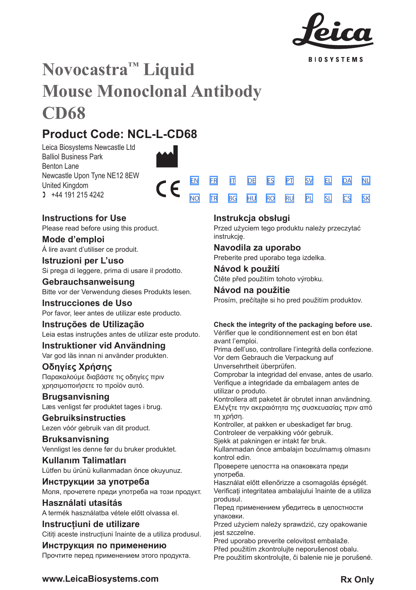

**BIOSYSTEMS** 

[SV](#page-20-0) [EL](#page-23-0) [DA](#page-26-0) [PL](#page-50-0) [SL](#page-53-0) [CS](#page-56-0)

[NL](#page-29-0)

[SK](#page-59-0)

# **Novocastra™ Liquid Mouse Monoclonal Antibody CD68**

## **Product Code: NCL-L-CD68**

Leica Biosystems Newcastle Ltd Balliol Business Park Benton Lane Newcastle Upon Tyne NE12 8EW United Kingdom  $1 +44 191 215 4242$ 



## **Instructions for Use**

Please read before using this product.

**Mode d'emploi** Á lire avant d'utiliser ce produit.

**Istruzioni per L'uso** Si prega di leggere, prima di usare il prodotto.

## **Gebrauchsanweisung**

Bitte vor der Verwendung dieses Produkts lesen.

**Instrucciones de Uso** Por favor, leer antes de utilizar este producto.

**Instruções de Utilização** Leia estas instruções antes de utilizar este produto.

**Instruktioner vid Användning** Var god läs innan ni använder produkten.

## **Οδηγίες Χρήσης**

Παρακαλούμε διαβάστε τις οδηγίες πριν χρησιμοποιήσετε το προϊόν αυτό.

**Brugsanvisning** Læs venligst før produktet tages i brug.

**Gebruiksinstructies** Lezen vóór gebruik van dit product.

**Bruksanvisning** Vennligst les denne før du bruker produktet.

**Kullanım Talimatları** Lütfen bu ürünü kullanmadan önce okuyunuz.

**Инструкции за употреба** Моля, прочетете преди употреба на този продукт.

**Használati utasítás** A termék használatba vétele előtt olvassa el.

**Instrucțiuni de utilizare** Citiți aceste instrucțiuni înainte de a utiliza produsul.

**Инструкция по применению** Прочтите перед применением этого продукта.

## **Instrukcja obsługi**

Przed użyciem tego produktu należy przeczytać instrukcie.

## **Navodila za uporabo**

Preberite pred uporabo tega izdelka.

## **Návod k použití**

Čtěte před použitím tohoto výrobku.

## **Návod na použitie**

Prosím, prečítajte si ho pred použitím produktov.

## **Check the integrity of the packaging before use.**

Vérifier que le conditionnement est en bon état avant l'emploi.

Prima dell'uso, controllare l'integrità della confezione. Vor dem Gebrauch die Verpackung auf Unversehrtheit überprüfen. Comprobar la integridad del envase, antes de usarlo.

Verifique a integridade da embalagem antes de utilizar o produto.

Kontrollera att paketet är obrutet innan användning. Ελέγξτε την ακεραιότητα της συσκευασίας πριν από τη χρήση.

Kontroller, at pakken er ubeskadiget før brug.

Controleer de verpakking vóór gebruik.

Sjekk at pakningen er intakt før bruk.

Kullanmadan önce ambalajın bozulmamış olmasını kontrol edin.

Проверете целостта на опаковката преди употреба.

Használat előtt ellenőrizze a csomagolás épségét. Verificați integritatea ambalajului înainte de a utiliza produsul.

Перед применением убедитесь в целостности упаковки.

Przed użyciem należy sprawdzić, czy opakowanie jest szczelne.

Pred uporabo preverite celovitost embalaže.

Před použitím zkontrolujte neporušenost obalu. Pre použitím skontrolujte, či balenie nie je porušené.

## **www.LeicaBiosystems.com Rx Only**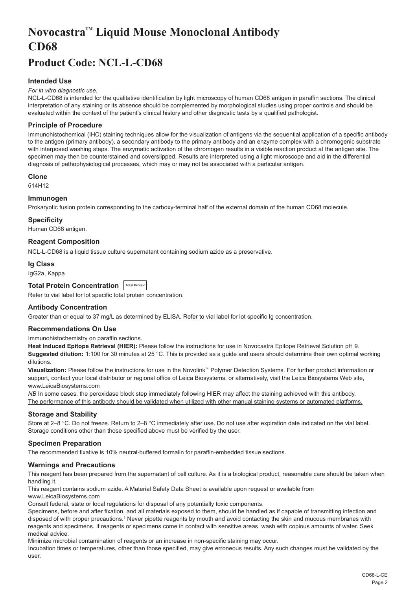## <span id="page-2-0"></span>**Novocastra™ Liquid Mouse Monoclonal Antibody CD68**

## **Product Code: NCL-L-CD68**

## **Intended Use**

#### *For in vitro diagnostic use.*

NCL-L-CD68 is intended for the qualitative identification by light microscopy of human CD68 antigen in paraffin sections. The clinical interpretation of any staining or its absence should be complemented by morphological studies using proper controls and should be evaluated within the context of the patient's clinical history and other diagnostic tests by a qualified pathologist.

#### **Principle of Procedure**

Immunohistochemical (IHC) staining techniques allow for the visualization of antigens via the sequential application of a specific antibody to the antigen (primary antibody), a secondary antibody to the primary antibody and an enzyme complex with a chromogenic substrate with interposed washing steps. The enzymatic activation of the chromogen results in a visible reaction product at the antigen site. The specimen may then be counterstained and coverslipped. Results are interpreted using a light microscope and aid in the differential diagnosis of pathophysiological processes, which may or may not be associated with a particular antigen.

#### **Clone**

514H12

## **Immunogen**

Prokaryotic fusion protein corresponding to the carboxy-terminal half of the external domain of the human CD68 molecule.

#### **Specificity**

Human CD68 antigen.

## **Reagent Composition**

NCL-L-CD68 is a liquid tissue culture supernatant containing sodium azide as a preservative.

#### **Ig Class**

IgG2a, Kappa

## **Total Protein Concentration Total Protein**

Refer to vial label for lot specific total protein concentration.

## **Antibody Concentration**

Greater than or equal to 37 mg/L as determined by ELISA. Refer to vial label for lot specific Ig concentration.

#### **Recommendations On Use**

Immunohistochemistry on paraffin sections.

**Heat Induced Epitope Retrieval (HIER):** Please follow the instructions for use in Novocastra Epitope Retrieval Solution pH 9. **Suggested dilution:** 1:100 for 30 minutes at 25 °C. This is provided as a guide and users should determine their own optimal working dilutions.

**Visualization:** Please follow the instructions for use in the Novolink™ Polymer Detection Systems. For further product information or support, contact your local distributor or regional office of Leica Biosystems, or alternatively, visit the Leica Biosystems Web site, www.LeicaBiosystems.com

*NB* In some cases, the peroxidase block step immediately following HIER may affect the staining achieved with this antibody. The performance of this antibody should be validated when utilized with other manual staining systems or automated platforms.

#### **Storage and Stability**

Store at 2–8 °C. Do not freeze. Return to 2–8 °C immediately after use. Do not use after expiration date indicated on the vial label. Storage conditions other than those specified above must be verified by the user.

#### **Specimen Preparation**

The recommended fixative is 10% neutral-buffered formalin for paraffin-embedded tissue sections.

#### **Warnings and Precautions**

This reagent has been prepared from the supernatant of cell culture. As it is a biological product, reasonable care should be taken when handling it.

This reagent contains sodium azide. A Material Safety Data Sheet is available upon request or available from www.LeicaBiosystems.com

Consult federal, state or local regulations for disposal of any potentially toxic components.

Specimens, before and after fixation, and all materials exposed to them, should be handled as if capable of transmitting infection and disposed of with proper precautions.1 Never pipette reagents by mouth and avoid contacting the skin and mucous membranes with reagents and specimens. If reagents or specimens come in contact with sensitive areas, wash with copious amounts of water. Seek medical advice.

Minimize microbial contamination of reagents or an increase in non-specific staining may occur.

Incubation times or temperatures, other than those specified, may give erroneous results. Any such changes must be validated by the user.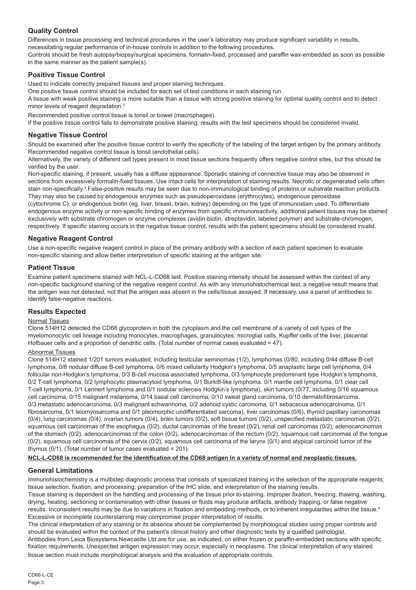## **Quality Control**

Differences in tissue processing and technical procedures in the user's laboratory may produce significant variability in results, necessitating regular performance of in-house controls in addition to the following procedures.

Controls should be fresh autopsy/biopsy/surgical specimens, formalin-fixed, processed and paraffin wax-embedded as soon as possible in the same manner as the patient sample(s).

## **Positive Tissue Control**

Used to indicate correctly prepared tissues and proper staining techniques.

One positive tissue control should be included for each set of test conditions in each staining run.

A tissue with weak positive staining is more suitable than a tissue with strong positive staining for optimal quality control and to detect minor levels of reagent degradation.<sup>2</sup>

Recommended positive control tissue is tonsil or bowel (macrophages).

If the positive tissue control fails to demonstrate positive staining, results with the test specimens should be considered invalid.

#### **Negative Tissue Control**

Should be examined after the positive tissue control to verify the specificity of the labeling of the target antigen by the primary antibody. Recommended negative control tissue is tonsil (endothelial cells).

Alternatively, the variety of different cell types present in most tissue sections frequently offers negative control sites, but this should be verified by the user.

Non-specific staining, if present, usually has a diffuse appearance. Sporadic staining of connective tissue may also be observed in sections from excessively formalin-fixed tissues. Use intact cells for interpretation of staining results. Necrotic or degenerated cells often stain non-specifically.<sup>3</sup> False-positive results may be seen due to non-immunological binding of proteins or substrate reaction products. They may also be caused by endogenous enzymes such as pseudoperoxidase (erythrocytes), endogenous peroxidase

(cytochrome C), or endogenous biotin (eg. liver, breast, brain, kidney) depending on the type of immunostain used. To differentiate endogenous enzyme activity or non-specific binding of enzymes from specific immunoreactivity, additional patient tissues may be stained exclusively with substrate chromogen or enzyme complexes (avidin-biotin, streptavidin, labeled polymer) and substrate-chromogen, respectively. If specific staining occurs in the negative tissue control, results with the patient specimens should be considered invalid.

## **Negative Reagent Control**

Use a non-specific negative reagent control in place of the primary antibody with a section of each patient specimen to evaluate non-specific staining and allow better interpretation of specific staining at the antigen site.

#### **Patient Tissue**

Examine patient specimens stained with NCL-L-CD68 last. Positive staining intensity should be assessed within the context of any non-specific background staining of the negative reagent control. As with any immunohistochemical test, a negative result means that the antigen was not detected, not that the antigen was absent in the cells/tissue assayed. If necessary, use a panel of antibodies to identify false-negative reactions.

#### **Results Expected**

#### Normal Tissues

Clone 514H12 detected the CD68 glycoprotein in both the cytoplasm and the cell membrane of a variety of cell types of the myelomonocytic cell lineage including monocytes, macrophages, granulocytes, microglial cells, Kupffer cells of the liver, placental Hofbauer cells and a proportion of dendritic cells. (Total number of normal cases evaluated = 47).

## Abnormal Tissues

Clone 514H12 stained 1/201 tumors evaluated, including testicular seminomas (1/2), lymphomas (0/80, including 0/44 diffuse B-cell lymphoma, 0/6 nodular diffuse B-cell lymphoma, 0/6 mixed cellularity Hodgkin's lymphoma, 0/5 anaplastic large cell lymphoma, 0/4 follicular non-Hodgkin's lymphoma, 0/3 B-cell mucosa associated lymphoma, 0/3 lymphocyte predominant type Hodgkin's lymphoma, 0/2 T-cell lymphoma, 0/2 lymphocytic plasmacytoid lymphoma, 0/1 Burkitt-like lymphoma. 0/1 mantle cell lymphoma, 0/1 clear cell T-cell lymphoma, 0/1 Lennert lymphoma and 0/1 nodular sclerosis Hodgkin's lymphoma), skin tumors (0/77, including 0/16 squamous cell carcinoma, 0/15 malignant melanoma, 0/14 basal cell carcinoma, 0/10 sweat gland carcinoma, 0/10 dermatofibrosarcoma, 0/3 metastatic adenocarcinoma, 0/3 malignant schwannoma, 0/2 adenoid cystic carcinoma, 0/1 sebaceous adenocarcinoma, 0/1 fibrosarcoma, 0/1 leiomyosarcoma and 0/1 pleomorphic undifferentiated sarcoma), liver carcinomas (0/6), thyroid papillary carcinomas (0/4), lung carcinomas (0/4), ovarian tumors (0/4), brain tumors (0/2), soft tissue tumors (0/2), unspecified metastatic carcinomas (0/2), squamous cell carcinomas of the esophagus (0/2), ductal carcinomas of the breast (0/2), renal cell carcinomas (0/2), adenocarcinomas of the stomach (0/2), adenocarcinomas of the colon (0/2), adenocarcinomas of the rectum (0/2), squamous cell carcinomas of the tongue (0/2), squamous cell carcinomas of the cervix (0/2), squamous cell carcinoma of the larynx (0/1) and atypical carcinoid tumor of the thymus (0/1). (Total number of tumor cases evaluated = 201).

#### **NCL-L-CD68 is recommended for the identification of the CD68 antigen in a variety of normal and neoplastic tissues.**

#### **General Limitations**

Immunohistochemistry is a multistep diagnostic process that consists of specialized training in the selection of the appropriate reagents; tissue selection, fixation, and processing; preparation of the IHC slide; and interpretation of the staining results.

Tissue staining is dependent on the handling and processing of the tissue prior to staining. Improper fixation, freezing, thawing, washing, drying, heating, sectioning or contamination with other tissues or fluids may produce artifacts, antibody trapping, or false negative results. Inconsistent results may be due to variations in fixation and embedding methods, or to inherent irregularities within the tissue.<sup>4</sup> Excessive or incomplete counterstaining may compromise proper interpretation of results.

The clinical interpretation of any staining or its absence should be complemented by morphological studies using proper controls and should be evaluated within the context of the patient's clinical history and other diagnostic tests by a qualified pathologist.

Antibodies from Leica Biosystems Newcastle Ltd are for use, as indicated, on either frozen or paraffin-embedded sections with specific fixation requirements. Unexpected antigen expression may occur, especially in neoplasms. The clinical interpretation of any stained tissue section must include morphological analysis and the evaluation of appropriate controls.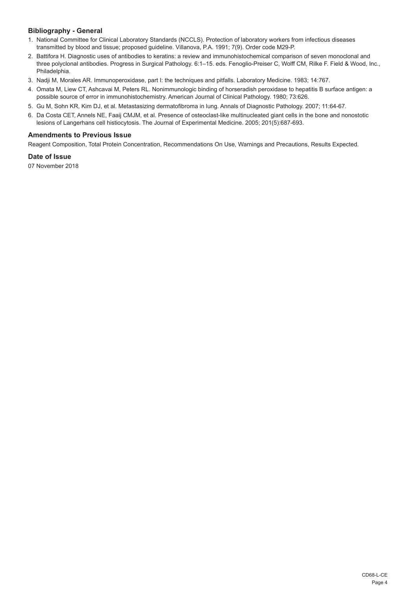## **Bibliography - General**

- 1. National Committee for Clinical Laboratory Standards (NCCLS). Protection of laboratory workers from infectious diseases transmitted by blood and tissue; proposed guideline. Villanova, P.A. 1991; 7(9). Order code M29-P.
- 2. Battifora H. Diagnostic uses of antibodies to keratins: a review and immunohistochemical comparison of seven monoclonal and three polyclonal antibodies. Progress in Surgical Pathology. 6:1–15. eds. Fenoglio-Preiser C, Wolff CM, Rilke F. Field & Wood, Inc., Philadelphia.
- 3. Nadji M, Morales AR. Immunoperoxidase, part I: the techniques and pitfalls. Laboratory Medicine. 1983; 14:767.
- 4. Omata M, Liew CT, Ashcavai M, Peters RL. Nonimmunologic binding of horseradish peroxidase to hepatitis B surface antigen: a possible source of error in immunohistochemistry. American Journal of Clinical Pathology. 1980; 73:626.
- 5. Gu M, Sohn KR, Kim DJ, et al. Metastasizing dermatofibroma in lung. Annals of Diagnostic Pathology. 2007; 11:64-67.
- 6. Da Costa CET, Annels NE, Faaij CMJM, et al. Presence of osteoclast-like multinucleated giant cells in the bone and nonostotic lesions of Langerhans cell histiocytosis. The Journal of Experimental Medicine. 2005; 201(5):687-693.

## **Amendments to Previous Issue**

Reagent Composition, Total Protein Concentration, Recommendations On Use, Warnings and Precautions, Results Expected.

#### **Date of Issue**

07 November 2018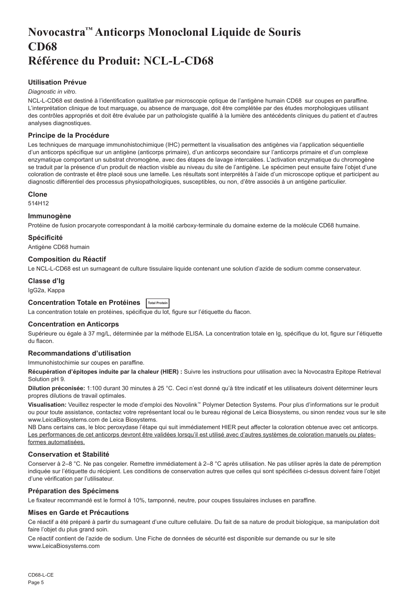## <span id="page-5-0"></span>**Novocastra™ Anticorps Monoclonal Liquide de Souris CD68 Référence du Produit: NCL-L-CD68**

## **Utilisation Prévue**

#### *Diagnostic in vitro*.

NCL-L-CD68 est destiné à l'identification qualitative par microscopie optique de l'antigène humain CD68 sur coupes en paraffine. L'interprétation clinique de tout marquage, ou absence de marquage, doit être complétée par des études morphologiques utilisant des contrôles appropriés et doit être évaluée par un pathologiste qualifié à la lumière des antécédents cliniques du patient et d'autres analyses diagnostiques.

#### **Principe de la Procédure**

Les techniques de marquage immunohistochimique (IHC) permettent la visualisation des antigènes via l'application séquentielle d'un anticorps spécifique sur un antigène (anticorps primaire), d'un anticorps secondaire sur l'anticorps primaire et d'un complexe enzymatique comportant un substrat chromogène, avec des étapes de lavage intercalées. L'activation enzymatique du chromogène se traduit par la présence d'un produit de réaction visible au niveau du site de l'antigène. Le spécimen peut ensuite faire l'objet d'une coloration de contraste et être placé sous une lamelle. Les résultats sont interprétés à l'aide d'un microscope optique et participent au diagnostic différentiel des processus physiopathologiques, susceptibles, ou non, d'être associés à un antigène particulier.

#### **Clone**

514H12

#### **Immunogène**

Protéine de fusion procaryote correspondant à la moitié carboxy-terminale du domaine externe de la molécule CD68 humaine.

#### **Spécificité**

Antigène CD68 humain

#### **Composition du Réactif**

Le NCL-L-CD68 est un surnageant de culture tissulaire liquide contenant une solution d'azide de sodium comme conservateur.

## **Classe d'Ig**

IgG2a, Kappa

## **Concentration Totale en Protéines Total Protein**

La concentration totale en protéines, spécifique du lot, figure sur l'étiquette du flacon.

#### **Concentration en Anticorps**

Supérieure ou égale à 37 mg/L, déterminée par la méthode ELISA. La concentration totale en Ig, spécifique du lot, figure sur l'étiquette du flacon.

### **Recommandations d'utilisation**

Immunohistochimie sur coupes en paraffine.

**Récupération d'épitopes induite par la chaleur (HIER) :** Suivre les instructions pour utilisation avec la Novocastra Epitope Retrieval Solution pH 9.

**Dilution préconisée:** 1:100 durant 30 minutes à 25 °C. Ceci n'est donné qu'à titre indicatif et les utilisateurs doivent déterminer leurs propres dilutions de travail optimales.

**Visualisation:** Veuillez respecter le mode d'emploi des Novolink™ Polymer Detection Systems. Pour plus d'informations sur le produit ou pour toute assistance, contactez votre représentant local ou le bureau régional de Leica Biosystems, ou sinon rendez vous sur le site www.LeicaBiosystems.com de Leica Biosystems.

NB Dans certains cas, le bloc peroxydase l'étape qui suit immédiatement HIER peut affecter la coloration obtenue avec cet anticorps. Les performances de cet anticorps devront être validées lorsqu'il est utilisé avec d'autres systèmes de coloration manuels ou platesformes automatisées.

#### **Conservation et Stabilité**

Conserver à 2–8 °C. Ne pas congeler. Remettre immédiatement à 2–8 °C après utilisation. Ne pas utiliser après la date de péremption indiquée sur l'étiquette du récipient. Les conditions de conservation autres que celles qui sont spécifiées ci-dessus doivent faire l'objet d'une vérification par l'utilisateur.

#### **Préparation des Spécimens**

Le fixateur recommandé est le formol à 10%, tamponné, neutre, pour coupes tissulaires incluses en paraffine.

#### **Mises en Garde et Précautions**

Ce réactif a été préparé à partir du surnageant d'une culture cellulaire. Du fait de sa nature de produit biologique, sa manipulation doit faire l'objet du plus grand soin.

Ce réactif contient de l'azide de sodium. Une Fiche de données de sécurité est disponible sur demande ou sur le site www.LeicaBiosystems.com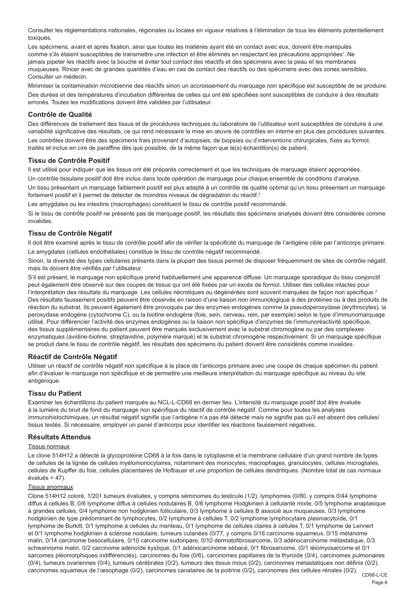Consulter les réglementations nationales, régionales ou locales en vigueur relatives à l'élimination de tous les éléments potentiellement toxiques.

Les spécimens, avant et après fixation, ainsi que toutes les matières ayant été en contact avec eux, doivent être manipulés comme s'ils étaient susceptibles de transmettre une infection et être éliminés en respectant les précautions appropriées<sup>1</sup>. Ne jamais pipeter les réactifs avec la bouche et éviter tout contact des réactifs et des spécimens avec la peau et les membranes muqueuses. Rincer avec de grandes quantités d'eau en cas de contact des réactifs ou des spécimens avec des zones sensibles. Consulter un médecin.

Minimiser la contamination microbienne des réactifs sinon un accroissement du marquage non spécifique est susceptible de se produire. Des durées et des températures d'incubation différentes de celles qui ont été spécifiées sont susceptibles de conduire à des résultats erronés. Toutes les modifications doivent être validées par l'utilisateur.

### **Contrôle de Qualité**

Des différences de traitement des tissus et de procédures techniques du laboratoire de l'utilisateur sont susceptibles de conduire à une variabilité significative des résultats, ce qui rend nécessaire la mise en œuvre de contrôles en interne en plus des procédures suivantes. Les contrôles doivent être des spécimens frais provenant d'autopsies, de biopsies ou d'interventions chirurgicales, fixés au formol, traités et inclus en cire de paraffine dès que possible, de la même façon que le(s) échantillon(s) de patient.

#### **Tissu de Contrôle Positif**

Il est utilisé pour indiquer que les tissus ont été préparés correctement et que les techniques de marquage étaient appropriées.

Un contrôle tissulaire positif doit être inclus dans toute opération de marquage pour chaque ensemble de conditions d'analyse.

Un tissu présentant un marquage faiblement positif est plus adapté à un contrôle de qualité optimal qu'un tissu présentant un marquage fortement positif et il permet de détecter de moindres niveaux de dégradation du réactif.<sup>2</sup>

Les amygdales ou les intestins (macrophages) constituent le tissu de contrôle positif recommandé.

Si le tissu de contrôle positif ne présente pas de marquage positif, les résultats des spécimens analysés doivent être considérés comme invalides.

#### **Tissu de Contrôle Négatif**

Il doit être examiné après le tissu de contrôle positif afin de vérifier la spécificité du marquage de l'antigène cible par l'anticorps primaire.

Le amygdales (cellules endothéliales) constitue le tissu de contrôle négatif recommandé.

Sinon, la diversité des types cellulaires présents dans la plupart des tissus permet de disposer fréquemment de sites de contrôle négatif, mais ils doivent être vérifiés par l'utilisateur.

S'il est présent, le marquage non spécifique prend habituellement une apparence diffuse. Un marquage sporadique du tissu conjonctif peut également être observé sur des coupes de tissus qui ont été fixées par un excès de formol. Utiliser des cellules intactes pour l'interprétation des résultats du marquage. Les cellules nécrotiques ou dégénérées sont souvent marquées de façon non spécifique.3 Des résultats faussement positifs peuvent être observés en raison d'une liaison non immunologique à des protéines ou à des produits de réaction du substrat. Ils peuvent également être provoqués par des enzymes endogènes comme la pseudoperoxydase (érythrocytes), la peroxydase endogène (cytochrome C), ou la biotine endogène (foie, sein, cerveau, rein, par exemple) selon le type d'immunomarquage utilisé. Pour différencier l'activité des enzymes endogènes ou la liaison non spécifique d'enzymes de l'immunoréactivité spécifique, des tissus supplémentaires du patient peuvent être marqués exclusivement avec le substrat chromogène ou par des complexes enzymatiques (avidine-biotine, streptavidine, polymère marqué) et le substrat chromogène respectivement. Si un marquage spécifique se produit dans le tissu de contrôle négatif, les résultats des spécimens du patient doivent être considérés comme invalides.

#### **Réactif de Contrôle Négatif**

Utiliser un réactif de contrôle négatif non spécifique à la place de l'anticorps primaire avec une coupe de chaque spécimen du patient afin d'évaluer le marquage non spécifique et de permettre une meilleure interprétation du marquage spécifique au niveau du site antigénique.

#### **Tissu du Patient**

Examiner les échantillons du patient marqués au NCL-L-CD68 en dernier lieu. L'intensité du marquage positif doit être évaluée à la lumière du bruit de fond du marquage non spécifique du réactif de contrôle négatif. Comme pour toutes les analyses immunohistochimiques, un résultat négatif signifie que l'antigène n'a pas été détecté mais ne signifie pas qu'il est absent des cellules/ tissus testés. Si nécessaire, employer un panel d'anticorps pour identifier les réactions faussement négatives.

### **Résultats Attendus**

#### Tissus normaux

Le clone 514H12 a détecté la glycoprotéine CD68 à la fois dans le cytoplasme et la membrane cellulaire d'un grand nombre de types de cellules de la lignée de cellules myélomonocytaires, notamment des monocytes, macrophages, granulocytes, cellules microgliales, cellules de Kupffer du foie, cellules placentaires de Hofbauer et une proportion de cellules dendritiques. (Nombre total de cas normaux évalués = 47).

#### Tissus anormaux

CD68-L-CE Clone 514H12 coloré, 1/201 tumeurs évaluées, y compris séminomes du testicule (1/2), lymphomes (0/80, y compris 0/44 lymphome diffus à cellules B, 0/6 lymphome diffus à cellules nodulaires B, 0/6 lymphome Hodgkinien à cellularité mixte, 0/5 lymphome anaplasique à grandes cellules, 0/4 lymphome non hodgkinien folliculaire, 0/3 lymphome à cellules B associé aux muqueuses, 0/3 lymphome hodgkinien de type prédominant de lymphocytes, 0/2 lymphome à cellules T, 0/2 lymphome lymphocytaire plasmacytoïde, 0/1 lymphome de Burkitt. 0/1 lymphome à cellules du manteau, 0/1 lymphome de cellules claires à cellules T, 0/1 lymphome de Lennert et 0/1 lymphome hodgkinien à sclérose nodulaire, tumeurs cutanées (0/77, y compris 0/16 carcinome squameux, 0/15 mélanome malin, 0/14 carcinome basocellulaire, 0/10 carcinome sudoripare, 0/10 dermatofibrosarcome, 0/3 adénocarcinome métastatique, 0/3 schwannome malin, 0/2 carcinome adénoïde kystique, 0/1 adénocarcinome sébacé, 0/1 fibrosarcome, (0/1 léiomyosarcome et 0/1 sarcomes pléomorphiques indifférenciés), carcinomes du foie (0/6), carcinomes papillaires de la thyroïde (0/4), carcinomes pulmonaires (0/4), tumeurs ovariennes (0/4), tumeurs cérébrales (0/2), tumeurs des tissus mous (0/2), carcinomes métastatiques non définis (0/2), carcinomes squameux de l'œsophage (0/2), carcinomes canalaires de la poitrine (0/2), carcinomes des cellules rénales (0/2),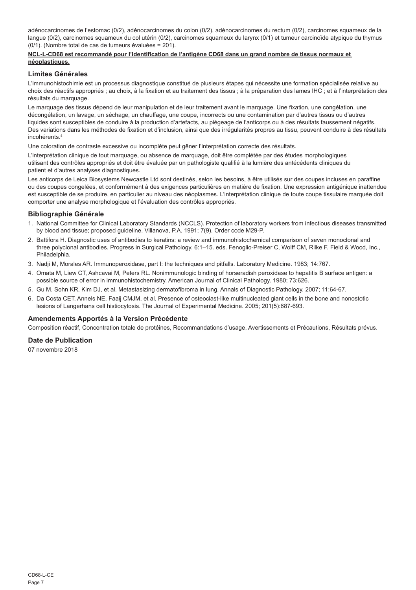adénocarcinomes de l'estomac (0/2), adénocarcinomes du colon (0/2), adénocarcinomes du rectum (0/2), carcinomes squameux de la langue (0/2), carcinomes squameux du col utérin (0/2), carcinomes squameux du larynx (0/1) et tumeur carcinoïde atypique du thymus (0/1). (Nombre total de cas de tumeurs évaluées = 201).

### **NCL-L-CD68 est recommandé pour l'identification de l'antigène CD68 dans un grand nombre de tissus normaux et néoplastiques.**

#### **Limites Générales**

L'immunohistochimie est un processus diagnostique constitué de plusieurs étapes qui nécessite une formation spécialisée relative au choix des réactifs appropriés ; au choix, à la fixation et au traitement des tissus ; à la préparation des lames IHC ; et à l'interprétation des résultats du marquage.

Le marquage des tissus dépend de leur manipulation et de leur traitement avant le marquage. Une fixation, une congélation, une décongélation, un lavage, un séchage, un chauffage, une coupe, incorrects ou une contamination par d'autres tissus ou d'autres liquides sont susceptibles de conduire à la production d'artefacts, au piégeage de l'anticorps ou à des résultats faussement négatifs. Des variations dans les méthodes de fixation et d'inclusion, ainsi que des irrégularités propres au tissu, peuvent conduire à des résultats incohérente<sup>4</sup>

Une coloration de contraste excessive ou incomplète peut gêner l'interprétation correcte des résultats.

L'interprétation clinique de tout marquage, ou absence de marquage, doit être complétée par des études morphologiques utilisant des contrôles appropriés et doit être évaluée par un pathologiste qualifié à la lumière des antécédents cliniques du patient et d'autres analyses diagnostiques.

Les anticorps de Leica Biosystems Newcastle Ltd sont destinés, selon les besoins, à être utilisés sur des coupes incluses en paraffine ou des coupes congelées, et conformément à des exigences particulières en matière de fixation. Une expression antigénique inattendue est susceptible de se produire, en particulier au niveau des néoplasmes. L'interprétation clinique de toute coupe tissulaire marquée doit comporter une analyse morphologique et l'évaluation des contrôles appropriés.

## **Bibliographie Générale**

- 1. National Committee for Clinical Laboratory Standards (NCCLS). Protection of laboratory workers from infectious diseases transmitted by blood and tissue; proposed guideline. Villanova, P.A. 1991; 7(9). Order code M29-P.
- 2. Battifora H. Diagnostic uses of antibodies to keratins: a review and immunohistochemical comparison of seven monoclonal and three polyclonal antibodies. Progress in Surgical Pathology. 6:1–15. eds. Fenoglio-Preiser C, Wolff CM, Rilke F. Field & Wood, Inc., Philadelphia.
- 3. Nadji M, Morales AR. Immunoperoxidase, part I: the techniques and pitfalls. Laboratory Medicine. 1983; 14:767.
- 4. Omata M, Liew CT, Ashcavai M, Peters RL. Nonimmunologic binding of horseradish peroxidase to hepatitis B surface antigen: a possible source of error in immunohistochemistry. American Journal of Clinical Pathology. 1980; 73:626.
- 5. Gu M, Sohn KR, Kim DJ, et al. Metastasizing dermatofibroma in lung. Annals of Diagnostic Pathology. 2007; 11:64-67.
- 6. Da Costa CET, Annels NE, Faaij CMJM, et al. Presence of osteoclast-like multinucleated giant cells in the bone and nonostotic lesions of Langerhans cell histiocytosis. The Journal of Experimental Medicine. 2005; 201(5):687-693.

## **Amendements Apportés à la Version Précédente**

Composition réactif, Concentration totale de protéines, Recommandations d'usage, Avertissements et Précautions, Résultats prévus.

## **Date de Publication**

07 novembre 2018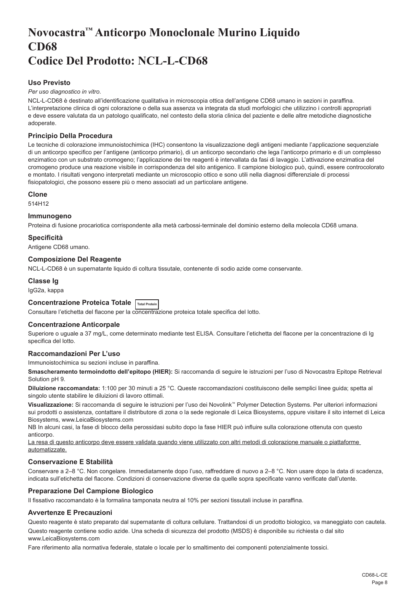## <span id="page-8-0"></span>**Novocastra™ Anticorpo Monoclonale Murino Liquido CD68 Codice Del Prodotto: NCL-L-CD68**

## **Uso Previsto**

#### *Per uso diagnostico in vitro*.

NCL-L-CD68 è destinato all'identificazione qualitativa in microscopia ottica dell'antigene CD68 umano in sezioni in paraffina. L'interpretazione clinica di ogni colorazione o della sua assenza va integrata da studi morfologici che utilizzino i controlli appropriati e deve essere valutata da un patologo qualificato, nel contesto della storia clinica del paziente e delle altre metodiche diagnostiche adoperate.

#### **Principio Della Procedura**

Le tecniche di colorazione immunoistochimica (IHC) consentono la visualizzazione degli antigeni mediante l'applicazione sequenziale di un anticorpo specifico per l'antigene (anticorpo primario), di un anticorpo secondario che lega l'anticorpo primario e di un complesso enzimatico con un substrato cromogeno; l'applicazione dei tre reagenti è intervallata da fasi di lavaggio. L'attivazione enzimatica del cromogeno produce una reazione visibile in corrispondenza del sito antigenico. Il campione biologico può, quindi, essere controcolorato e montato. I risultati vengono interpretati mediante un microscopio ottico e sono utili nella diagnosi differenziale di processi fisiopatologici, che possono essere più o meno associati ad un particolare antigene.

#### **Clone**

514H12

#### **Immunogeno**

Proteina di fusione procariotica corrispondente alla metà carbossi-terminale del dominio esterno della molecola CD68 umana.

#### **Specificità**

Antigene CD68 umano.

#### **Composizione Del Reagente**

NCL-L-CD68 è un supernatante liquido di coltura tissutale, contenente di sodio azide come conservante.

#### **Classe Ig**

IgG2a, kappa

## **Concentrazione Proteica Totale Total Protein**

Consultare l'etichetta del flacone per la concentrazione proteica totale specifica del lotto.

#### **Concentrazione Anticorpale**

Superiore o uguale a 37 mg/L, come determinato mediante test ELISA. Consultare l'etichetta del flacone per la concentrazione di Ig specifica del lotto.

## **Raccomandazioni Per L'uso**

Immunoistochimica su sezioni incluse in paraffina.

**Smascheramento termoindotto dell'epitopo (HIER):** Si raccomanda di seguire le istruzioni per l'uso di Novocastra Epitope Retrieval Solution pH 9.

**Diluizione raccomandata:** 1:100 per 30 minuti a 25 °C. Queste raccomandazioni costituiscono delle semplici linee guida; spetta al singolo utente stabilire le diluizioni di lavoro ottimali.

**Visualizzazione:** Si raccomanda di seguire le istruzioni per l'uso dei Novolink™ Polymer Detection Systems. Per ulteriori informazioni sui prodotti o assistenza, contattare il distributore di zona o la sede regionale di Leica Biosystems, oppure visitare il sito internet di Leica Biosystems, www.LeicaBiosystems.com

NB In alcuni casi, la fase di blocco della perossidasi subito dopo la fase HIER può influire sulla colorazione ottenuta con questo anticorpo.

La resa di questo anticorpo deve essere validata quando viene utilizzato con altri metodi di colorazione manuale o piattaforme automatizzate.

#### **Conservazione E Stabilità**

Conservare a 2–8 °C. Non congelare. Immediatamente dopo l'uso, raffreddare di nuovo a 2–8 °C. Non usare dopo la data di scadenza, indicata sull'etichetta del flacone. Condizioni di conservazione diverse da quelle sopra specificate vanno verificate dall'utente.

#### **Preparazione Del Campione Biologico**

Il fissativo raccomandato è la formalina tamponata neutra al 10% per sezioni tissutali incluse in paraffina.

#### **Avvertenze E Precauzioni**

Questo reagente è stato preparato dal supernatante di coltura cellulare. Trattandosi di un prodotto biologico, va maneggiato con cautela.

Questo reagente contiene sodio azide. Una scheda di sicurezza del prodotto (MSDS) è disponibile su richiesta o dal sito www.LeicaBiosystems.com

Fare riferimento alla normativa federale, statale o locale per lo smaltimento dei componenti potenzialmente tossici.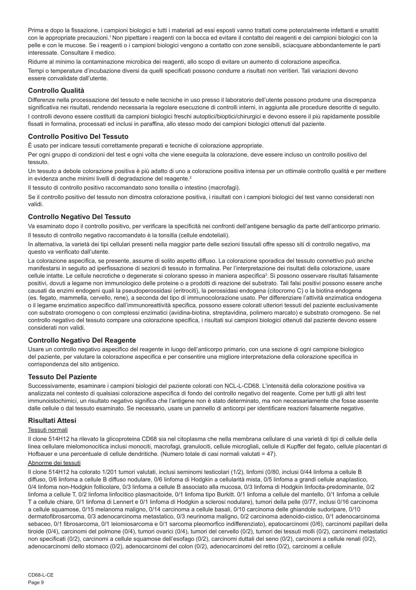Prima e dopo la fissazione, i campioni biologici e tutti i materiali ad essi esposti vanno trattati come potenzialmente infettanti e smaltiti con le appropriate precauzioni.<sup>1</sup> Non pipettare i reagenti con la bocca ed evitare il contatto dei reagenti e dei campioni biologici con la pelle e con le mucose. Se i reagenti o i campioni biologici vengono a contatto con zone sensibili, sciacquare abbondantemente le parti interessate. Consultare il medico.

Ridurre al minimo la contaminazione microbica dei reagenti, allo scopo di evitare un aumento di colorazione aspecifica. Tempi o temperature d'incubazione diversi da quelli specificati possono condurre a risultati non veritieri. Tali variazioni devono essere convalidate dall'utente.

## **Controllo Qualità**

Differenze nella processazione del tessuto e nelle tecniche in uso presso il laboratorio dell'utente possono produrre una discrepanza significativa nei risultati, rendendo necessaria la regolare esecuzione di controlli interni, in aggiunta alle procedure descritte di seguito.

I controlli devono essere costituiti da campioni biologici freschi autoptici/bioptici/chirurgici e devono essere il più rapidamente possibile fissati in formalina, processati ed inclusi in paraffina, allo stesso modo dei campioni biologici ottenuti dal paziente.

## **Controllo Positivo Del Tessuto**

È usato per indicare tessuti correttamente preparati e tecniche di colorazione appropriate.

Per ogni gruppo di condizioni del test e ogni volta che viene eseguita la colorazione, deve essere incluso un controllo positivo del tessuto.

Un tessuto a debole colorazione positiva è più adatto di uno a colorazione positiva intensa per un ottimale controllo qualità e per mettere in evidenza anche minimi livelli di degradazione del reagente.<sup>2</sup>

Il tessuto di controllo positivo raccomandato sono tonsilla o intestino (macrofagi).

Se il controllo positivo del tessuto non dimostra colorazione positiva, i risultati con i campioni biologici del test vanno considerati non validi.

## **Controllo Negativo Del Tessuto**

Va esaminato dopo il controllo positivo, per verificare la specificità nei confronti dell'antigene bersaglio da parte dell'anticorpo primario. Il tessuto di controllo negativo raccomandato è la tonsilla (cellule endoteliali).

In alternativa, la varietà dei tipi cellulari presenti nella maggior parte delle sezioni tissutali offre spesso siti di controllo negativo, ma questo va verificato dall'utente.

La colorazione aspecifica, se presente, assume di solito aspetto diffuso. La colorazione sporadica del tessuto connettivo può anche manifestarsi in seguito ad iperfissazione di sezioni di tessuto in formalina. Per l'interpretazione dei risultati della colorazione, usare cellule intatte. Le cellule necrotiche o degenerate si colorano spesso in maniera aspecifica<sup>3</sup>. Si possono osservare risultati falsamente positivi, dovuti a legame non immunologico delle proteine o a prodotti di reazione del substrato. Tali falsi positivi possono essere anche causati da enzimi endogeni quali la pseudoperossidasi (eritrociti), la perossidasi endogena (citocromo C) o la biotina endogena (es. fegato, mammella, cervello, rene), a seconda del tipo di immunocolorazione usato. Per differenziare l'attività enzimatica endogena o il legame enzimatico aspecifico dall'immunoreattività specifica, possono essere colorati ulteriori tessuti del paziente esclusivamente con substrato cromogeno o con complessi enzimatici (avidina-biotina, streptavidina, polimero marcato) e substrato cromogeno. Se nel controllo negativo del tessuto compare una colorazione specifica, i risultati sui campioni biologici ottenuti dal paziente devono essere considerati non validi.

## **Controllo Negativo Del Reagente**

Usare un controllo negativo aspecifico del reagente in luogo dell'anticorpo primario, con una sezione di ogni campione biologico del paziente, per valutare la colorazione aspecifica e per consentire una migliore interpretazione della colorazione specifica in corrispondenza del sito antigenico.

#### **Tessuto Del Paziente**

Successivamente, esaminare i campioni biologici del paziente colorati con NCL-L-CD68. L'intensità della colorazione positiva va analizzata nel contesto di qualsiasi colorazione aspecifica di fondo del controllo negativo del reagente. Come per tutti gli altri test immunoistochimici, un risultato negativo significa che l'antigene non è stato determinato, ma non necessariamente che fosse assente dalle cellule o dal tessuto esaminato. Se necessario, usare un pannello di anticorpi per identificare reazioni falsamente negative.

#### **Risultati Attesi**

#### Tessuti normali

Il clone 514H12 ha rilevato la glicoproteina CD68 sia nel citoplasma che nella membrana cellulare di una varietà di tipi di cellule della linea cellulare mielomonocitica inclusi monociti, macrofagi, granulociti, cellule microgliali, cellule di Kupffer del fegato, cellule placentari di Hofbauer e una percentuale di cellule dendritiche. (Numero totale di casi normali valutati = 47).

#### Abnorme dei tessuti

Il clone 514H12 ha colorato 1/201 tumori valutati, inclusi seminomi testicolari (1/2), linfomi (0/80, inclusi 0/44 linfoma a cellule B diffuso, 0/6 linfoma a cellule B diffuso nodulare, 0/6 linfoma di Hodgkin a cellularità mista, 0/5 linfoma a grandi cellule anaplastico, 0/4 linfoma non-Hodgkin follicolare, 0/3 linfoma a cellule B associato alla mucosa, 0/3 linfoma di Hodgkin linfocita-predominante, 0/2 linfoma a cellule T, 0/2 linfoma linfocitico plasmacitoide, 0/1 linfoma tipo Burkitt. 0/1 linfoma a cellule del mantello, 0/1 linfoma a cellule T a cellule chiare, 0/1 linfoma di Lennert e 0/1 linfoma di Hodgkin a sclerosi nodulare), tumori della pelle (0/77, inclusi 0/16 carcinoma a cellule squamose, 0/15 melanoma maligno, 0/14 carcinoma a cellule basali, 0/10 carcinoma delle ghiandole sudoripare, 0/10 dermatofibrosarcoma, 0/3 adenocarcinoma metastatico, 0/3 neurinoma maligno, 0/2 carcinoma adenoido-cistico, 0/1 adenocarcinoma sebaceo, 0/1 fibrosarcoma, 0/1 leiomiosarcoma e 0/1 sarcoma pleomorfico indifferenziato), epatocarcinomi (0/6), carcinomi papillari della tiroide (0/4), carcinomi del polmone (0/4), tumori ovarici (0/4), tumori del cervello (0/2), tumori dei tessuti molli (0/2), carcinomi metastatici non specificati (0/2), carcinomi a cellule squamose dell'esofago (0/2), carcinomi duttali del seno (0/2), carcinomi a cellule renali (0/2), adenocarcinomi dello stomaco (0/2), adenocarcinomi del colon (0/2), adenocarcinomi del retto (0/2), carcinomi a cellule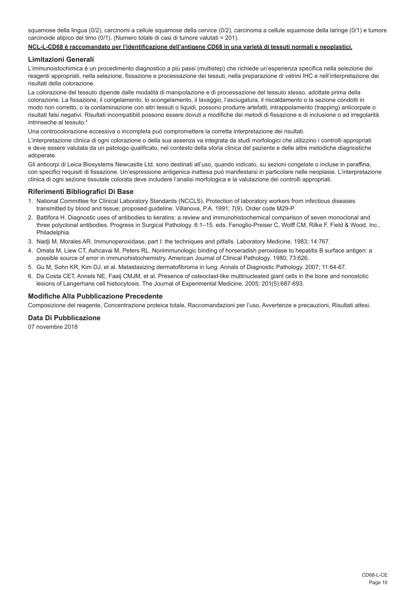squamose della lingua (0/2), carcinomi a cellule squamose della cervice (0/2), carcinoma a cellule squamose della laringe (0/1) e tumore carcinoide atipico del timo (0/1). (Numero totale di casi di tumore valutati = 201).

#### **NCL-L-CD68 è raccomandato per l'identificazione dell'antigene CD68 in una varietà di tessuti normali e neoplastici.**

#### **Limitazioni Generali**

L'immunoistochimica è un procedimento diagnostico a più passi (multistep) che richiede un'esperienza specifica nella selezione dei reagenti appropriati, nella selezione, fissazione e processazione dei tessuti, nella preparazione di vetrini IHC e nell'interpretazione dei risultati della colorazione.

La colorazione del tessuto dipende dalle modalità di manipolazione e di processazione del tessuto stesso, adottate prima della colorazione. La fissazione, il congelamento, lo scongelamento, il lavaggio, l'asciugatura, il riscaldamento o la sezione condotti in modo non corretto, o la contaminazione con altri tessuti o liquidi, possono produrre artefatti, intrappolamento (trapping) anticorpale o risultati falsi negativi. Risultati incompatibili possono essere dovuti a modifiche dei metodi di fissazione e di inclusione o ad irregolarità intrinseche al tessuto.<sup>4</sup>

Una controcolorazione eccessiva o incompleta può compromettere la corretta interpretazione dei risultati.

L'interpretazione clinica di ogni colorazione o della sua assenza va integrata da studi morfologici che utilizzino i controlli appropriati e deve essere valutata da un patologo qualificato, nel contesto della storia clinica del paziente e delle altre metodiche diagnostiche adoperate.

Gli anticorpi di Leica Biosystems Newcastle Ltd. sono destinati all'uso, quando indicato, su sezioni congelate o incluse in paraffina, con specifici requisiti di fissazione. Un'espressione antigenica inattesa può manifestarsi in particolare nelle neoplasie. L'interpretazione clinica di ogni sezione tissutale colorata deve includere l'analisi morfologica e la valutazione dei controlli appropriati.

#### **Riferimenti Bibliografici Di Base**

- 1. National Committee for Clinical Laboratory Standards (NCCLS). Protection of laboratory workers from infectious diseases transmitted by blood and tissue; proposed guideline. Villanova, P.A. 1991; 7(9). Order code M29-P.
- 2. Battifora H. Diagnostic uses of antibodies to keratins: a review and immunohistochemical comparison of seven monoclonal and three polyclonal antibodies. Progress in Surgical Pathology. 6:1–15. eds. Fenoglio-Preiser C, Wolff CM, Rilke F. Field & Wood, Inc., Philadelphia.
- 3. Nadji M, Morales AR. Immunoperoxidase, part I: the techniques and pitfalls. Laboratory Medicine. 1983; 14:767.
- 4. Omata M, Liew CT, Ashcavai M, Peters RL. Nonimmunologic binding of horseradish peroxidase to hepatitis B surface antigen: a possible source of error in immunohistochemistry. American Journal of Clinical Pathology. 1980; 73:626.
- 5. Gu M, Sohn KR, Kim DJ, et al. Metastasizing dermatofibroma in lung. Annals of Diagnostic Pathology. 2007; 11:64-67.
- 6. Da Costa CET, Annels NE, Faaij CMJM, et al. Presence of osteoclast-like multinucleated giant cells in the bone and nonostotic lesions of Langerhans cell histiocytosis. The Journal of Experimental Medicine. 2005; 201(5):687-693.

#### **Modifiche Alla Pubblicazione Precedente**

Composizione del reagente, Concentrazione proteica totale, Raccomandazioni per l'uso, Avvertenze e precauzioni, Risultati attesi.

## **Data Di Pubblicazione**

07 novembre 2018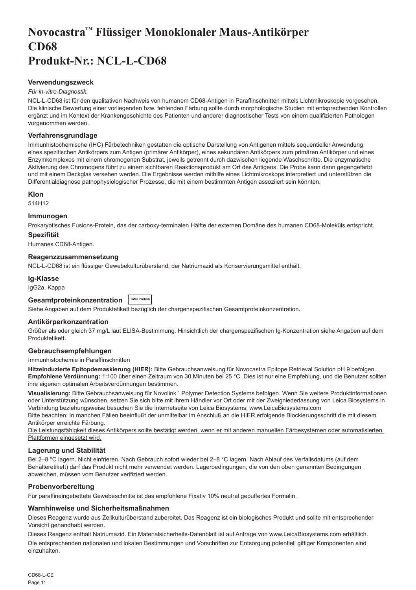## <span id="page-11-0"></span>**Novocastra™ Flüssiger Monoklonaler Maus-Antikörper CD68 Produkt-Nr.: NCL-L-CD68**

#### **Verwendungszweck**

#### *Für in-vitro-Diagnostik*.

NCL-L-CD68 ist für den qualitativen Nachweis von humanem CD68-Antigen in Paraffinschnitten mittels Lichtmikroskopie vorgesehen. Die klinische Bewertung einer vorliegenden bzw. fehlenden Färbung sollte durch morphologische Studien mit entsprechenden Kontrollen ergänzt und im Kontext der Krankengeschichte des Patienten und anderer diagnostischer Tests von einem qualifizierten Pathologen vorgenommen werden.

#### **Verfahrensgrundlage**

Immunhistochemische (IHC) Färbetechniken gestatten die optische Darstellung von Antigenen mittels sequentieller Anwendung eines spezifischen Antikörpers zum Antigen (primärer Antikörper), eines sekundären Antikörpers zum primären Antikörper und eines Enzymkomplexes mit einem chromogenen Substrat, jeweils getrennt durch dazwischen liegende Waschschritte. Die enzymatische Aktivierung des Chromogens führt zu einem sichtbaren Reaktionsprodukt am Ort des Antigens. Die Probe kann dann gegengefärbt und mit einem Deckglas versehen werden. Die Ergebnisse werden mithilfe eines Lichtmikroskops interpretiert und unterstützen die Differentialdiagnose pathophysiologischer Prozesse, die mit einem bestimmten Antigen assoziiert sein könnten.

#### **Klon**

514H12

## **Immunogen**

Prokaryotisches Fusions-Protein, das der carboxy-terminalen Hälfte der externen Domäne des humanen CD68-Moleküls entspricht.

#### **Spezifität**

Humanes CD68-Antigen.

#### **Reagenzzusammensetzung**

NCL-L-CD68 ist ein flüssiger Gewebekulturüberstand, der Natriumazid als Konservierungsmittel enthält.

#### **Ig-Klasse**

IgG2a, Kappa

## **Gesamtproteinkonzentration Total Protein**

Siehe Angaben auf dem Produktetikett bezüglich der chargenspezifischen Gesamtproteinkonzentration.

#### **Antikörperkonzentration**

Größer als oder gleich 37 mg/L laut ELISA-Bestimmung. Hinsichtlich der chargenspezifischen Ig-Konzentration siehe Angaben auf dem Produktetikett.

#### **Gebrauchsempfehlungen**

Immunhistochemie in Paraffinschnitten

**Hitzeinduzierte Epitopdemaskierung (HIER):** Bitte Gebrauchsanweisung für Novocastra Epitope Retrieval Solution pH 9 befolgen. **Empfohlene Verdünnung:** 1:100 über einen Zeitraum von 30 Minuten bei 25 °C. Dies ist nur eine Empfehlung, und die Benutzer sollten ihre eigenen optimalen Arbeitsverdünnungen bestimmen.

**Visualisierung:** Bitte Gebrauchsanweisung für Novolink™ Polymer Detection Systems befolgen. Wenn Sie weitere Produktinformationen oder Unterstützung wünschen, setzen Sie sich bitte mit ihrem Händler vor Ort oder mit der Zweigniederlassung von Leica Biosystems in Verbindung beziehungsweise besuchen Sie die Internetseite von Leica Biosystems, www.LeicaBiosystems.com

Bitte beachten: In manchen Fällen beeinflußt der unmittelbar im Anschluß an die HIER erfolgende Blockierungsschritt die mit diesem Antikörper erreichte Färbung.

Die Leistungsfähigkeit dieses Antikörpers sollte bestätigt werden, wenn er mit anderen manuellen Färbesystemen oder automatisierten Plattformen eingesetzt wird.

#### **Lagerung und Stabilität**

Bei 2–8 °C lagern. Nicht einfrieren. Nach Gebrauch sofort wieder bei 2–8 °C lagern. Nach Ablauf des Verfallsdatums (auf dem Behälteretikett) darf das Produkt nicht mehr verwendet werden. Lagerbedingungen, die von den oben genannten Bedingungen abweichen, müssen vom Benutzer verifiziert werden.

#### **Probenvorbereitung**

Für paraffineingebettete Gewebeschnitte ist das empfohlene Fixativ 10% neutral gepuffertes Formalin.

#### **Warnhinweise und Sicherheitsmaßnahmen**

Dieses Reagenz wurde aus Zellkulturüberstand zubereitet. Das Reagenz ist ein biologisches Produkt und sollte mit entsprechender Vorsicht gehandhabt werden.

Dieses Reagenz enthält Natriumazid. Ein Materialsicherheits-Datenblatt ist auf Anfrage von www.LeicaBiosystems.com erhältlich. Die entsprechenden nationalen und lokalen Bestimmungen und Vorschriften zur Entsorgung potentiell giftiger Komponenten sind einzuhalten.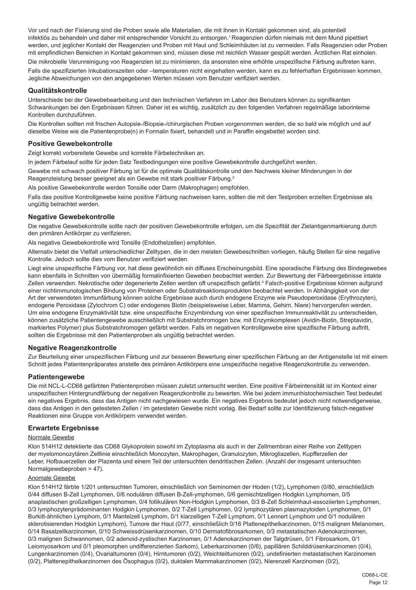Vor und nach der Fixierung sind die Proben sowie alle Materialien, die mit ihnen in Kontakt gekommen sind, als potentiell infektiös zu behandeln und daher mit entsprechender Vorsicht zu entsorgen.<sup>1</sup>Reagenzien dürfen niemals mit dem Mund pipettiert werden, und jeglicher Kontakt der Reagenzien und Proben mit Haut und Schleimhäuten ist zu vermeiden. Falls Reagenzien oder Proben mit empfindlichen Bereichen in Kontakt gekommen sind, müssen diese mit reichlich Wasser gespült werden. Ärztlichen Rat einholen.

Die mikrobielle Verunreinigung von Reagenzien ist zu minimieren, da ansonsten eine erhöhte unspezifische Färbung auftreten kann. Falls die spezifizierten Inkubationszeiten oder –temperaturen nicht eingehalten werden, kann es zu fehlerhaften Ergebnissen kommen. Jegliche Abweichungen von den angegebenen Werten müssen vom Benutzer verifiziert werden.

#### **Qualitätskontrolle**

Unterschiede bei der Gewebebearbeitung und den technischen Verfahren im Labor des Benutzers können zu signifikanten Schwankungen bei den Ergebnissen führen. Daher ist es wichtig, zusätzlich zu den folgenden Verfahren regelmäßige laborinterne Kontrollen durchzuführen.

Die Kontrollen sollten mit frischen Autopsie-/Biopsie-/chirurgischen Proben vorgenommen werden, die so bald wie möglich und auf dieselbe Weise wie die Patientenprobe(n) in Formalin fixiert, behandelt und in Paraffin eingebettet worden sind.

### **Positive Gewebekontrolle**

Zeigt korrekt vorbereitete Gewebe und korrekte Färbetechniken an.

In jedem Färbelauf sollte für jeden Satz Testbedingungen eine positive Gewebekontrolle durchgeführt werden.

Gewebe mit schwach positiver Färbung ist für die optimale Qualitätskontrolle und den Nachweis kleiner Minderungen in der Reagenzleistung besser geeignet als ein Gewebe mit stark positiver Färbung.<sup>2</sup>

Als positive Gewebekontrolle werden Tonsille oder Darm (Makrophagen) empfohlen.

Falls das positive Kontrollgewebe keine positive Färbung nachweisen kann, sollten die mit den Testproben erzielten Ergebnisse als ungültig betrachtet werden.

## **Negative Gewebekontrolle**

Die negative Gewebekontrolle sollte nach der positiven Gewebekontrolle erfolgen, um die Spezifität der Zielantigenmarkierung durch den primären Antikörper zu verifizieren.

Als negative Gewebekontrolle wird Tonsille (Endothelzellen) empfohlen.

Alternativ bietet die Vielfalt unterschiedlicher Zelltypen, die in den meisten Gewebeschnitten vorliegen, häufig Stellen für eine negative Kontrolle. Jedoch sollte dies vom Benutzer verifiziert werden.

Liegt eine unspezifische Färbung vor, hat diese gewöhnlich ein diffuses Erscheinungsbild. Eine sporadische Färbung des Bindegewebes kann ebenfalls in Schnitten von übermäßig formalinfixierten Geweben beobachtet werden. Zur Bewertung der Färbeergebnisse intakte Zellen verwenden. Nekrotische oder degenerierte Zellen werden oft unspezifisch gefärbt.<sup>3</sup> Falsch-positive Ergebnisse können aufgrund einer nichtimmunologischen Bindung von Proteinen oder Substratreaktionsprodukten beobachtet werden. In Abhängigkeit von der Art der verwendeten Immunfärbung können solche Ergebnisse auch durch endogene Enzyme wie Pseudoperoxidase (Erythrozyten), endogene Peroxidase (Zytochrom C) oder endogenes Biotin (beispielsweise Leber, Mamma, Gehirn, Niere) hervorgerufen werden. Um eine endogene Enzymaktivität bzw. eine unspezifische Enzymbindung von einer spezifischen Immunreaktivität zu unterscheiden, können zusätzliche Patientengewebe ausschließlich mit Substratchromogen bzw. mit Enzymkomplexen (Avidin-Biotin, Streptavidin, markiertes Polymer) plus Substratchromogen gefärbt werden. Falls im negativen Kontrollgewebe eine spezifische Färbung auftritt, sollten die Ergebnisse mit den Patientenproben als ungültig betrachtet werden.

## **Negative Reagenzkontrolle**

Zur Beurteilung einer unspezifischen Färbung und zur besseren Bewertung einer spezifischen Färbung an der Antigenstelle ist mit einem Schnitt jedes Patientenpräparates anstelle des primären Antikörpers eine unspezifische negative Reagenzkontrolle zu verwenden.

## **Patientengewebe**

Die mit NCL-L-CD68 gefärbten Patientenproben müssen zuletzt untersucht werden. Eine positive Färbeintensität ist im Kontext einer unspezifischen Hintergrundfärbung der negativen Reagenzkontrolle zu bewerten. Wie bei jedem immunhistochemischen Test bedeutet ein negatives Ergebnis, dass das Antigen nicht nachgewiesen wurde. Ein negatives Ergebnis bedeutet jedoch nicht notwendigerweise, dass das Antigen in den getesteten Zellen / im getesteten Gewebe nicht vorlag. Bei Bedarf sollte zur Identifizierung falsch-negativer Reaktionen eine Gruppe von Antikörpern verwendet werden.

#### **Erwartete Ergebnisse**

### Normale Gewebe

Klon 514H12 detektierte das CD68 Glykoprotein sowohl im Zytoplasma als auch in der Zellmembran einer Reihe von Zelltypen der myelomonozytären Zelllinie einschließlich Monozyten, Makrophagen, Granulozyten, Mikrogliazellen, Kupfferzellen der Leber, Hofbauerzellen der Plazenta und einem Teil der untersuchten dendritischen Zellen. (Anzahl der insgesamt untersuchten Normalgewebeproben = 47).

## Anomale Gewebe

Klon 514H12 färbte 1/201 untersuchten Tumoren, einschließlich von Seminomen der Hoden (1/2), Lymphomen (0/80, einschließlich 0/44 diffusen B-Zell Lymphomen, 0/6 nodulären diffusen B-Zell-ymphomen, 0/6 gemischtzelligen Hodgkin Lymphomen, 0/5 anaplastischen großzelligen Lymphomen, 0/4 follikulären Non-Hodgkin Lymphomen, 0/3 B-Zell Schleimhaut-assoziierten Lymphomen, 0/3 lymphozytenprädominanten Hodgkin Lymphomen, 0/2 T-Zell Lymphomen, 0/2 lymphozytären plasmazytoiden Lymphomen, 0/1 Burkitt-ähnlichen Lymphom, 0/1 Mantelzell Lymphom, 0/1 klarzelligen T-Zell Lymphom, 0/1 Lennert Lymphom und 0/1 nodulären sklerotisierenden Hodgkin Lymphom), Tumore der Haut (0/77, einschließlich 0/16 Plattenepithelkarzinomen, 0/15 malignen Melanomen, 0/14 Basalzellkarzinomen, 0/10 Schweissdrüsenkarzinomen, 0/10 Dermatofibrosarkomen, 0/3 metastatischen Adenokarzinomen, 0/3 malignen Schwannomen, 0/2 adenoid-zystischen Karzinomen, 0/1 Adenokarzinomen der Talgdrüsen, 0/1 Fibrosarkom, 0/1 Leiomyosarkom und 0/1 pleomorphen undifferenzierten Sarkom), Leberkarzinomen (0/6), papillären Schilddrüsenkarzinomen (0/4), Lungenkarzinomen (0/4), Ovarialtumoren (0/4), Hirntumoren (0/2), Weichteiltumoren (0/2), undefinierten metastatischen Karzinomen (0/2), Plattenepithelkarzinomen des Ösophagus (0/2), duktalen Mammakarzinomen (0/2), Nierenzell Karzinomen (0/2),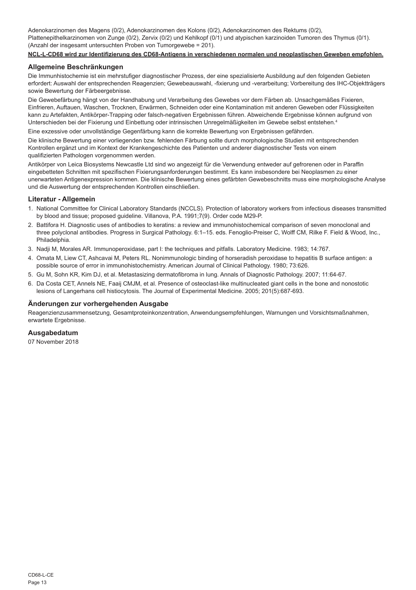Adenokarzinomen des Magens (0/2), Adenokarzinomen des Kolons (0/2), Adenokarzinomen des Rektums (0/2), Plattenepithelkarzinomen von Zunge (0/2), Zervix (0/2) und Kehlkopf (0/1) und atypischen karzinoiden Tumoren des Thymus (0/1). (Anzahl der insgesamt untersuchten Proben von Tumorgewebe = 201).

#### **NCL-L-CD68 wird zur Identifizierung des CD68-Antigens in verschiedenen normalen und neoplastischen Geweben empfohlen.**

#### **Allgemeine Beschränkungen**

Die Immunhistochemie ist ein mehrstufiger diagnostischer Prozess, der eine spezialisierte Ausbildung auf den folgenden Gebieten erfordert: Auswahl der entsprechenden Reagenzien; Gewebeauswahl, -fixierung und -verarbeitung; Vorbereitung des IHC-Objektträgers sowie Bewertung der Färbeergebnisse.

Die Gewebefärbung hängt von der Handhabung und Verarbeitung des Gewebes vor dem Färben ab. Unsachgemäßes Fixieren, Einfrieren, Auftauen, Waschen, Trocknen, Erwärmen, Schneiden oder eine Kontamination mit anderen Geweben oder Flüssigkeiten kann zu Artefakten, Antikörper-Trapping oder falsch-negativen Ergebnissen führen. Abweichende Ergebnisse können aufgrund von Unterschieden bei der Fixierung und Einbettung oder intrinsischen Unregelmäßigkeiten im Gewebe selbst entstehen.<sup>4</sup>

Eine exzessive oder unvollständige Gegenfärbung kann die korrekte Bewertung von Ergebnissen gefährden.

Die klinische Bewertung einer vorliegenden bzw. fehlenden Färbung sollte durch morphologische Studien mit entsprechenden Kontrollen ergänzt und im Kontext der Krankengeschichte des Patienten und anderer diagnostischer Tests von einem qualifizierten Pathologen vorgenommen werden.

Antikörper von Leica Biosystems Newcastle Ltd sind wo angezeigt für die Verwendung entweder auf gefrorenen oder in Paraffin eingebetteten Schnitten mit spezifischen Fixierungsanforderungen bestimmt. Es kann insbesondere bei Neoplasmen zu einer unerwarteten Antigenexpression kommen. Die klinische Bewertung eines gefärbten Gewebeschnitts muss eine morphologische Analyse und die Auswertung der entsprechenden Kontrollen einschließen.

#### **Literatur - Allgemein**

- 1. National Committee for Clinical Laboratory Standards (NCCLS). Protection of laboratory workers from infectious diseases transmitted by blood and tissue; proposed guideline. Villanova, P.A. 1991;7(9). Order code M29-P.
- 2. Battifora H. Diagnostic uses of antibodies to keratins: a review and immunohistochemical comparison of seven monoclonal and three polyclonal antibodies. Progress in Surgical Pathology. 6:1–15. eds. Fenoglio-Preiser C, Wolff CM, Rilke F. Field & Wood, Inc., Philadelphia.
- 3. Nadji M, Morales AR. Immunoperoxidase, part I: the techniques and pitfalls. Laboratory Medicine. 1983; 14:767.
- 4. Omata M, Liew CT, Ashcavai M, Peters RL. Nonimmunologic binding of horseradish peroxidase to hepatitis B surface antigen: a possible source of error in immunohistochemistry. American Journal of Clinical Pathology. 1980; 73:626.
- 5. Gu M, Sohn KR, Kim DJ, et al. Metastasizing dermatofibroma in lung. Annals of Diagnostic Pathology. 2007; 11:64-67.
- 6. Da Costa CET, Annels NE, Faaij CMJM, et al. Presence of osteoclast-like multinucleated giant cells in the bone and nonostotic lesions of Langerhans cell histiocytosis. The Journal of Experimental Medicine. 2005; 201(5):687-693.

### **Änderungen zur vorhergehenden Ausgabe**

Reagenzienzusammensetzung, Gesamtproteinkonzentration, Anwendungsempfehlungen, Warnungen und Vorsichtsmaßnahmen, erwartete Ergebnisse.

#### **Ausgabedatum**

07 November 2018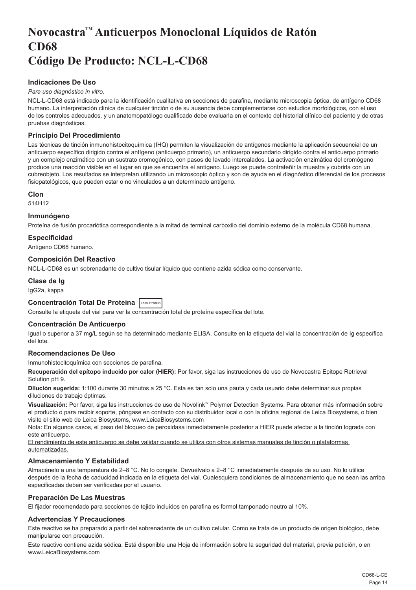## <span id="page-14-0"></span>**Novocastra™ Anticuerpos Monoclonal Líquidos de Ratón CD68 Código De Producto: NCL-L-CD68**

## **Indicaciones De Uso**

#### *Para uso diagnóstico in vitro*.

NCL-L-CD68 está indicado para la identificación cualitativa en secciones de parafina, mediante microscopia óptica, de antígeno CD68 humano. La interpretación clínica de cualquier tinción o de su ausencia debe complementarse con estudios morfológicos, con el uso de los controles adecuados, y un anatomopatólogo cualificado debe evaluarla en el contexto del historial clínico del paciente y de otras pruebas diagnósticas.

#### **Principio Del Procedimiento**

Las técnicas de tinción inmunohistocitoquímica (IHQ) permiten la visualización de antígenos mediante la aplicación secuencial de un anticuerpo específico dirigido contra el antígeno (anticuerpo primario), un anticuerpo secundario dirigido contra el anticuerpo primario y un complejo enzimático con un sustrato cromogénico, con pasos de lavado intercalados. La activación enzimática del cromógeno produce una reacción visible en el lugar en que se encuentra el antígeno. Luego se puede contrateñir la muestra y cubrirla con un cubreobjeto. Los resultados se interpretan utilizando un microscopio óptico y son de ayuda en el diagnóstico diferencial de los procesos fisiopatológicos, que pueden estar o no vinculados a un determinado antígeno.

#### **Clon**

514H12

### **Inmunógeno**

Proteína de fusión procariótica correspondiente a la mitad de terminal carboxilo del dominio externo de la molécula CD68 humana.

#### **Especificidad**

Antígeno CD68 humano.

#### **Composición Del Reactivo**

NCL-L-CD68 es un sobrenadante de cultivo tisular líquido que contiene azida sódica como conservante.

## **Clase de Ig**

IgG2a, kappa

## **Concentración Total De Proteína Total Protein**

Consulte la etiqueta del vial para ver la concentración total de proteína específica del lote.

#### **Concentración De Anticuerpo**

Igual o superior a 37 mg/L según se ha determinado mediante ELISA. Consulte en la etiqueta del vial la concentración de Ig específica del lote.

### **Recomendaciones De Uso**

Inmunohistocitoquímica con secciones de parafina.

**Recuperación del epítopo inducido por calor (HIER):** Por favor, siga las instrucciones de uso de Novocastra Epitope Retrieval Solution pH 9.

**Dilución sugerida:** 1:100 durante 30 minutos a 25 °C. Esta es tan solo una pauta y cada usuario debe determinar sus propias diluciones de trabajo óptimas.

**Visualización:** Por favor, siga las instrucciones de uso de Novolink™ Polymer Detection Systems. Para obtener más información sobre el producto o para recibir soporte, póngase en contacto con su distribuidor local o con la oficina regional de Leica Biosystems, o bien visite el sitio web de Leica Biosystems, www.LeicaBiosystems.com

Nota: En algunos casos, el paso del bloqueo de peroxidasa inmediatamente posterior a HIER puede afectar a la tinción lograda con este anticuerpo.

El rendimiento de este anticuerpo se debe validar cuando se utiliza con otros sistemas manuales de tinción o plataformas automatizadas.

#### **Almacenamiento Y Estabilidad**

Almacénelo a una temperatura de 2–8 °C. No lo congele. Devuélvalo a 2–8 °C inmediatamente después de su uso. No lo utilice después de la fecha de caducidad indicada en la etiqueta del vial. Cualesquiera condiciones de almacenamiento que no sean las arriba especificadas deben ser verificadas por el usuario.

#### **Preparación De Las Muestras**

El fijador recomendado para secciones de tejido incluidos en parafina es formol tamponado neutro al 10%.

### **Advertencias Y Precauciones**

Este reactivo se ha preparado a partir del sobrenadante de un cultivo celular. Como se trata de un producto de origen biológico, debe manipularse con precaución.

Este reactivo contiene azida sódica. Está disponible una Hoja de información sobre la seguridad del material, previa petición, o en www.LeicaBiosystems.com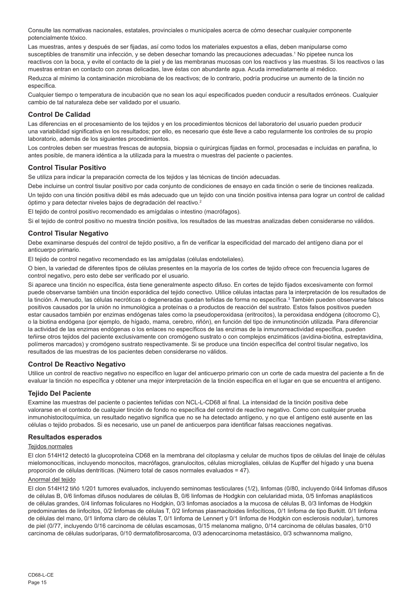Consulte las normativas nacionales, estatales, provinciales o municipales acerca de cómo desechar cualquier componente potencialmente tóxico.

Las muestras, antes y después de ser fijadas, así como todos los materiales expuestos a ellas, deben manipularse como susceptibles de transmitir una infección, y se deben desechar tomando las precauciones adecuadas.<sup>1</sup> No pipetee nunca los reactivos con la boca, y evite el contacto de la piel y de las membranas mucosas con los reactivos y las muestras. Si los reactivos o las muestras entran en contacto con zonas delicadas, lave éstas con abundante agua. Acuda inmediatamente al médico.

Reduzca al mínimo la contaminación microbiana de los reactivos; de lo contrario, podría producirse un aumento de la tinción no específica.

Cualquier tiempo o temperatura de incubación que no sean los aquí especificados pueden conducir a resultados erróneos. Cualquier cambio de tal naturaleza debe ser validado por el usuario.

#### **Control De Calidad**

Las diferencias en el procesamiento de los tejidos y en los procedimientos técnicos del laboratorio del usuario pueden producir una variabilidad significativa en los resultados; por ello, es necesario que éste lleve a cabo regularmente los controles de su propio laboratorio, además de los siguientes procedimientos.

Los controles deben ser muestras frescas de autopsia, biopsia o quirúrgicas fijadas en formol, procesadas e incluidas en parafina, lo antes posible, de manera idéntica a la utilizada para la muestra o muestras del paciente o pacientes.

#### **Control Tisular Positivo**

Se utiliza para indicar la preparación correcta de los tejidos y las técnicas de tinción adecuadas.

Debe incluirse un control tisular positivo por cada conjunto de condiciones de ensayo en cada tinción o serie de tinciones realizada.

Un tejido con una tinción positiva débil es más adecuado que un tejido con una tinción positiva intensa para lograr un control de calidad óptimo y para detectar niveles bajos de degradación del reactivo.<sup>2</sup>

El tejido de control positivo recomendado es amígdalas o intestino (macrófagos).

Si el tejido de control positivo no muestra tinción positiva, los resultados de las muestras analizadas deben considerarse no válidos.

#### **Control Tisular Negativo**

Debe examinarse después del control de tejido positivo, a fin de verificar la especificidad del marcado del antígeno diana por el anticuerpo primario.

El tejido de control negativo recomendado es las amígdalas (células endoteliales).

O bien, la variedad de diferentes tipos de células presentes en la mayoría de los cortes de tejido ofrece con frecuencia lugares de control negativo, pero esto debe ser verificado por el usuario.

Si aparece una tinción no específica, ésta tiene generalmente aspecto difuso. En cortes de tejido fijados excesivamente con formol puede observarse también una tinción esporádica del tejido conectivo. Utilice células intactas para la interpretación de los resultados de la tinción. A menudo, las células necróticas o degeneradas quedan teñidas de forma no específica.<sup>3</sup> También pueden observarse falsos positivos causados por la unión no inmunológica a proteínas o a productos de reacción del sustrato. Estos falsos positivos pueden estar causados también por enzimas endógenas tales como la pseudoperoxidasa (eritrocitos), la peroxidasa endógena (citocromo C), o la biotina endógena (por ejemplo, de hígado, mama, cerebro, riñón), en función del tipo de inmunotinción utilizada. Para diferenciar la actividad de las enzimas endógenas o los enlaces no específicos de las enzimas de la inmunorreactividad específica, pueden teñirse otros tejidos del paciente exclusivamente con cromógeno sustrato o con complejos enzimáticos (avidina-biotina, estreptavidina, polímeros marcados) y cromógeno sustrato respectivamente. Si se produce una tinción específica del control tisular negativo, los resultados de las muestras de los pacientes deben considerarse no válidos.

#### **Control De Reactivo Negativo**

Utilice un control de reactivo negativo no específico en lugar del anticuerpo primario con un corte de cada muestra del paciente a fin de evaluar la tinción no específica y obtener una mejor interpretación de la tinción específica en el lugar en que se encuentra el antígeno.

#### **Tejido Del Paciente**

Examine las muestras del paciente o pacientes teñidas con NCL-L-CD68 al final. La intensidad de la tinción positiva debe valorarse en el contexto de cualquier tinción de fondo no específica del control de reactivo negativo. Como con cualquier prueba inmunohistocitoquímica, un resultado negativo significa que no se ha detectado antígeno, y no que el antígeno esté ausente en las células o tejido probados. Si es necesario, use un panel de anticuerpos para identificar falsas reacciones negativas.

## **Resultados esperados**

#### Teiidos normales

El clon 514H12 detectó la glucoproteína CD68 en la membrana del citoplasma y celular de muchos tipos de células del linaje de células mielomonocíticas, incluyendo monocitos, macrófagos, granulocitos, células microgliales, células de Kupffer del hígado y una buena proporción de células dentríticas. (Número total de casos normales evaluados = 47).

#### Anormal del tejido

El clon 514H12 tiñó 1/201 tumores evaluados, incluyendo seminomas testiculares (1/2), linfomas (0/80, incluyendo 0/44 linfomas difusos de células B, 0/6 linfomas difusos nodulares de células B, 0/6 linfomas de Hodgkin con celularidad mixta, 0/5 linfomas anaplásticos de células grandes, 0/4 linfomas foliculares no Hodgkin, 0/3 linfomas asociados a la mucosa de células B, 0/3 linfomas de Hodgkin predominantes de linfocitos, 0/2 linfomas de células T, 0/2 linfomas plasmacitoides linfocíticos, 0/1 linfoma de tipo Burkitt. 0/1 linfoma de células del mano, 0/1 linfoma claro de células T, 0/1 linfoma de Lennert y 0/1 linfoma de Hodgkin con esclerosis nodular), tumores de piel (0/77, incluyendo 0/16 carcinoma de células escamosas, 0/15 melanoma maligno, 0/14 carcinoma de células basales, 0/10 carcinoma de células sudoríparas, 0/10 dermatofibrosarcoma, 0/3 adenocarcinoma metastásico, 0/3 schwannoma maligno,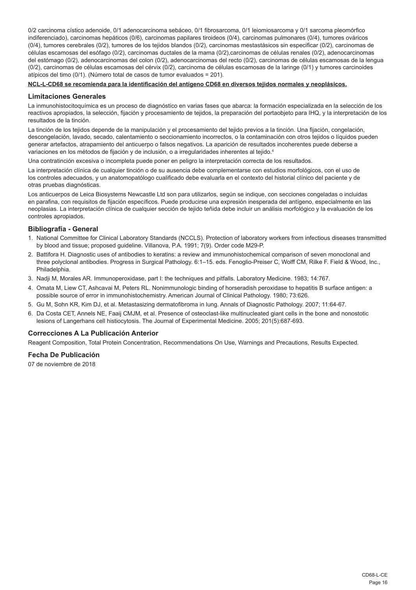0/2 carcinoma cístico adenoide, 0/1 adenocarcinoma sebáceo, 0/1 fibrosarcoma, 0/1 leiomiosarcoma y 0/1 sarcoma pleomórfico indiferenciado), carcinomas hepáticos (0/6), carcinomas papilares tiroideos (0/4), carcinomas pulmonares (0/4), tumores ováricos (0/4), tumores cerebrales (0/2), tumores de los tejidos blandos (0/2), carcinomas mestastásicos sin especificar (0/2), carcinomas de células escamosas del esófago (0/2), carcinomas ductales de la mama (0/2),carcinomas de células renales (0/2), adenocarcinomas del estómago (0/2), adenocarcinomas del colon (0/2), adenocarcinomas del recto (0/2), carcinomas de células escamosas de la lengua (0/2), carcinomas de células escamosas del cérvix (0/2), carcinoma de células escamosas de la laringe (0/1) y tumores carcinoides atípicos del timo (0/1). (Número total de casos de tumor evaluados = 201).

#### **NCL-L-CD68 se recomienda para la identificación del antígeno CD68 en diversos tejidos normales y neoplásicos.**

#### **Limitaciones Generales**

La inmunohistocitoquímica es un proceso de diagnóstico en varias fases que abarca: la formación especializada en la selección de los reactivos apropiados, la selección, fijación y procesamiento de tejidos, la preparación del portaobjeto para IHQ, y la interpretación de los resultados de la tinción.

La tinción de los tejidos depende de la manipulación y el procesamiento del tejido previos a la tinción. Una fijación, congelación, descongelación, lavado, secado, calentamiento o seccionamiento incorrectos, o la contaminación con otros tejidos o líquidos pueden generar artefactos, atrapamiento del anticuerpo o falsos negativos. La aparición de resultados incoherentes puede deberse a variaciones en los métodos de fijación y de inclusión, o a irregularidades inherentes al tejido.<sup>4</sup>

Una contratinción excesiva o incompleta puede poner en peligro la interpretación correcta de los resultados.

La interpretación clínica de cualquier tinción o de su ausencia debe complementarse con estudios morfológicos, con el uso de los controles adecuados, y un anatomopatólogo cualificado debe evaluarla en el contexto del historial clínico del paciente y de otras pruebas diagnósticas.

Los anticuerpos de Leica Biosystems Newcastle Ltd son para utilizarlos, según se indique, con secciones congeladas o incluidas en parafina, con requisitos de fijación específicos. Puede producirse una expresión inesperada del antígeno, especialmente en las neoplasias. La interpretación clínica de cualquier sección de tejido teñida debe incluir un análisis morfológico y la evaluación de los controles apropiados.

## **Bibliografía - General**

- 1. National Committee for Clinical Laboratory Standards (NCCLS). Protection of laboratory workers from infectious diseases transmitted by blood and tissue; proposed guideline. Villanova, P.A. 1991; 7(9). Order code M29-P.
- 2. Battifora H. Diagnostic uses of antibodies to keratins: a review and immunohistochemical comparison of seven monoclonal and three polyclonal antibodies. Progress in Surgical Pathology. 6:1–15. eds. Fenoglio-Preiser C, Wolff CM, Rilke F. Field & Wood, Inc., Philadelphia.
- 3. Nadji M, Morales AR. Immunoperoxidase, part I: the techniques and pitfalls. Laboratory Medicine. 1983; 14:767.
- 4. Omata M, Liew CT, Ashcavai M, Peters RL. Nonimmunologic binding of horseradish peroxidase to hepatitis B surface antigen: a possible source of error in immunohistochemistry. American Journal of Clinical Pathology. 1980; 73:626.
- 5. Gu M, Sohn KR, Kim DJ, et al. Metastasizing dermatofibroma in lung. Annals of Diagnostic Pathology. 2007; 11:64-67.
- 6. Da Costa CET, Annels NE, Faaij CMJM, et al. Presence of osteoclast-like multinucleated giant cells in the bone and nonostotic lesions of Langerhans cell histiocytosis. The Journal of Experimental Medicine. 2005; 201(5):687-693.

#### **Correcciones A La Publicación Anterior**

Reagent Composition, Total Protein Concentration, Recommendations On Use, Warnings and Precautions, Results Expected.

## **Fecha De Publicación**

07 de noviembre de 2018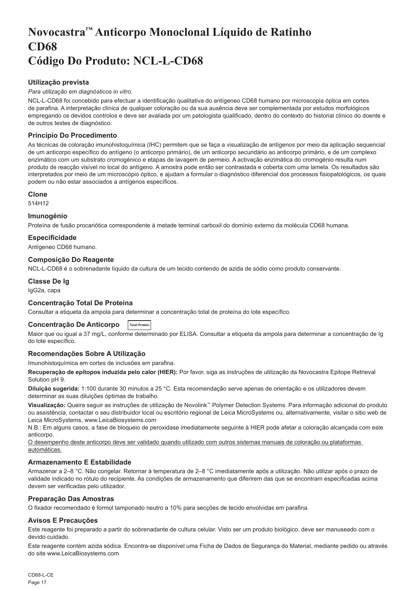## <span id="page-17-0"></span>**Novocastra™ Anticorpo Monoclonal Líquido de Ratinho CD68 Código Do Produto: NCL-L-CD68**

## **Utilização prevista**

#### *Para utilização em diagnósticos in vitro*.

NCL-L-CD68 foi concebido para efectuar a identificação qualitativa do antígeneo CD68 humano por microscopia óptica em cortes de parafina. A interpretação clínica de qualquer coloração ou da sua ausência deve ser complementada por estudos morfológicos empregando os devidos controlos e deve ser avaliada por um patologista qualificado, dentro do contexto do historial clínico do doente e de outros testes de diagnóstico.

### **Princípio Do Procedimento**

As técnicas de coloração imunohistoquímica (IHC) permitem que se faça a visualização de antígenos por meio da aplicação sequencial de um anticorpo específico do antígeno (o anticorpo primário), de um anticorpo secundário ao anticorpo primário, e de um complexo enzimático com um substrato cromogénico e etapas de lavagem de permeio. A activação enzimática do cromogénio resulta num produto de reacção visível no local do antígeno. A amostra pode então ser contrastada e coberta com uma lamela. Os resultados são interpretados por meio de um microscópio óptico, e ajudam a formular o diagnóstico diferencial dos processos fisiopatológicos, os quais podem ou não estar associados a antígenos específicos.

#### **Clone**

514H12

### **Imunogénio**

Proteína de fusão procariótica correspondente à metade terminal carboxil do domínio externo da molécula CD68 humana.

#### **Especificidade**

Antígeneo CD68 humano.

#### **Composição Do Reagente**

NCL-L-CD68 é o sobrenadante líquido da cultura de um tecido contendo de azida de sódio como produto conservante.

## **Classe De Ig**

IgG2a, capa

## **Concentração Total De Proteína**

Consultar a etiqueta da ampola para determinar a concentração total de proteína do lote específico.

## **Concentração De Anticorpo Total Protein**

Maior que ou igual a 37 mg/L, conforme determinado por ELISA. Consultar a etiqueta da ampola para determinar a concentração de Ig do lote específico.

#### **Recomendações Sobre A Utilização**

Imunohistoquímica em cortes de inclusões em parafina.

**Recuperação de epítopos induzida pelo calor (HIER):** Por favor, siga as instruções de utilização da Novocastra Epitope Retrieval Solution pH 9.

**Diluição sugerida:** 1:100 durante 30 minutos a 25 °C. Esta recomendação serve apenas de orientação e os utilizadores devem determinar as suas diluições óptimas de trabalho.

**Visualização:** Queira seguir as instruções de utilização de Novolink™ Polymer Detection Systems. Para informação adicional do produto ou assistência, contactar o seu distribuidor local ou escritório regional de Leica MicroSystems ou, alternativamente, visitar o sitio web de Leica MicroSystems, www.LeicaBiosystems.com

N.B.: Em alguns casos, a fase de bloqueio de peroxidase imediatamente seguinte à HIER pode afetar a coloração alcançada com este anticorpo.

O desempenho deste anticorpo deve ser validado quando utilizado com outros sistemas manuais de coloração ou plataformas automáticas.

#### **Armazenamento E Estabilidade**

Armazenar a 2–8 °C. Não congelar. Retornar à temperatura de 2–8 °C imediatamente após a utilização. Não utilizar após o prazo de validade indicado no rótulo do recipiente. As condições de armazenamento que diferirem das que se encontram especificadas acima devem ser verificadas pelo utilizador.

#### **Preparação Das Amostras**

O fixador recomendado é formol tamponado neutro a 10% para secções de tecido envolvidas em parafina.

#### **Avisos E Precauções**

Este reagente foi preparado a partir do sobrenadante de cultura celular. Visto ser um produto biológico, deve ser manuseado com o devido cuidado.

Este reagente contém azida sódica. Encontra-se disponível uma Ficha de Dados de Segurança do Material, mediante pedido ou através do site www.LeicaBiosystems.com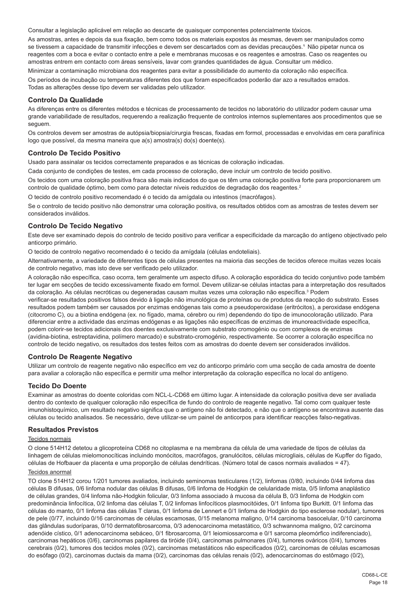Consultar a legislação aplicável em relação ao descarte de quaisquer componentes potencialmente tóxicos.

As amostras, antes e depois da sua fixação, bem como todos os materiais expostos às mesmas, devem ser manipulados como se tivessem a capacidade de transmitir infecções e devem ser descartados com as devidas precauções.<sup>1</sup> Não pipetar nunca os reagentes com a boca e evitar o contacto entre a pele e membranas mucosas e os reagentes e amostras. Caso os reagentes ou amostras entrem em contacto com áreas sensíveis, lavar com grandes quantidades de água. Consultar um médico.

Minimizar a contaminação microbiana dos reagentes para evitar a possibilidade do aumento da coloração não específica. Os períodos de incubação ou temperaturas diferentes dos que foram especificados poderão dar azo a resultados errados. Todas as alterações desse tipo devem ser validadas pelo utilizador.

#### **Controlo Da Qualidade**

As diferenças entre os diferentes métodos e técnicas de processamento de tecidos no laboratório do utilizador podem causar uma grande variabilidade de resultados, requerendo a realização frequente de controlos internos suplementares aos procedimentos que se sequem.

Os controlos devem ser amostras de autópsia/biopsia/cirurgia frescas, fixadas em formol, processadas e envolvidas em cera parafínica logo que possível, da mesma maneira que a(s) amostra(s) do(s) doente(s).

#### **Controlo De Tecido Positivo**

Usado para assinalar os tecidos correctamente preparados e as técnicas de coloração indicadas.

Cada conjunto de condições de testes, em cada processo de coloração, deve incluir um controlo de tecido positivo.

Os tecidos com uma coloração positiva fraca são mais indicados do que os têm uma coloração positiva forte para proporcionarem um controlo de qualidade óptimo, bem como para detectar níveis reduzidos de degradação dos reagentes.<sup>2</sup>

O tecido de controlo positivo recomendado é o tecido da amígdala ou intestinos (macrófagos).

Se o controlo de tecido positivo não demonstrar uma coloração positiva, os resultados obtidos com as amostras de testes devem ser considerados inválidos.

#### **Controlo De Tecido Negativo**

Este deve ser examinado depois do controlo de tecido positivo para verificar a especificidade da marcação do antígeno objectivado pelo anticorpo primário.

O tecido de controlo negativo recomendado é o tecido da amígdala (células endoteliais).

Alternativamente, a variedade de diferentes tipos de células presentes na maioria das secções de tecidos oferece muitas vezes locais de controlo negativo, mas isto deve ser verificado pelo utilizador.

A coloração não específica, caso ocorra, tem geralmente um aspecto difuso. A coloração esporádica do tecido conjuntivo pode também ter lugar em secções de tecido excessivamente fixado em formol. Devem utilizar-se células intactas para a interpretação dos resultados da coloração. As células necróticas ou degeneradas causam muitas vezes uma coloração não específica.<sup>3</sup> Podem

verificar-se resultados positivos falsos devido à ligação não imunológica de proteínas ou de produtos da reacção do substrato. Esses resultados podem também ser causados por enzimas endógenas tais como a pseudoperoxidase (eritrócitos), a peroxidase endógena (citocromo C), ou a biotina endógena (ex. no fígado, mama, cérebro ou rim) dependendo do tipo de imunocoloração utilizado. Para diferenciar entre a actividade das enzimas endógenas e as ligações não específicas de enzimas de imunoreactividade específica, podem colorir-se tecidos adicionais dos doentes exclusivamente com substrato cromogénio ou com complexos de enzimas (avidina-biotina, estreptavidina, polímero marcado) e substrato-cromogénio, respectivamente. Se ocorrer a coloração específica no controlo de tecido negativo, os resultados dos testes feitos com as amostras do doente devem ser considerados inválidos.

#### **Controlo De Reagente Negativo**

Utilizar um controlo de reagente negativo não específico em vez do anticorpo primário com uma secção de cada amostra de doente para avaliar a coloração não específica e permitir uma melhor interpretação da coloração específica no local do antígeno.

#### **Tecido Do Doente**

Examinar as amostras do doente coloridas com NCL-L-CD68 em último lugar. A intensidade da coloração positiva deve ser avaliada dentro do contexto de qualquer coloração não específica de fundo do controlo de reagente negativo. Tal como com qualquer teste imunohistoquímico, um resultado negativo significa que o antígeno não foi detectado, e não que o antígeno se encontrava ausente das células ou tecido analisados. Se necessário, deve utilizar-se um painel de anticorpos para identificar reacções falso-negativas.

#### **Resultados Previstos**

#### Tecidos normais

O clone 514H12 detetou a glicoproteína CD68 no citoplasma e na membrana da célula de uma variedade de tipos de células da linhagem de células mielomonocíticas incluindo monócitos, macrófagos, granulócitos, células microgliais, células de Kupffer do fígado, células de Hofbauer da placenta e uma proporção de células dendríticas. (Número total de casos normais avaliados = 47).

## Tecidos anormal

TO clone 514H12 corou 1/201 tumores avaliados, incluindo seminomas testiculares (1/2), linfomas (0/80, incluindo 0/44 linfoma das células B difusas, 0/6 linfoma nodular das células B difusas, 0/6 linfoma de Hodgkin de celularidade mista, 0/5 linfoma anaplástico de células grandes, 0/4 linfoma não-Hodgkin folicular, 0/3 linfoma associado à mucosa da célula B, 0/3 linfoma de Hodgkin com predominância linfocítica, 0/2 linfoma das células T, 0/2 linfomas linfocíticos plasmocitóides, 0/1 linfoma tipo Burkitt. 0/1 linfoma das células do manto, 0/1 linfoma das células T claras, 0/1 linfoma de Lennert e 0/1 linfoma de Hodgkin do tipo esclerose nodular), tumores de pele (0/77, incluindo 0/16 carcinomas de células escamosas, 0/15 melanoma maligno, 0/14 carcinoma basocelular, 0/10 carcinoma das glândulas sudoríparas, 0/10 dermatofibrosarcoma, 0/3 adenocarcinoma metastático, 0/3 schwannoma maligno, 0/2 carcinoma adenóide cístico, 0/1 adenocarcinoma sebáceo, 0/1 fibrosarcoma, 0/1 leiomiossarcoma e 0/1 sarcoma pleomórfico indiferenciado), carcinomas hepáticos (0/6), carcinomas papilares da tiróide (0/4), carcinomas pulmonares (0/4), tumores ováricos (0/4), tumores cerebrais (0/2), tumores dos tecidos moles (0/2), carcinomas metastáticos não especificados (0/2), carcinomas de células escamosas do esófago (0/2), carcinomas ductais da mama (0/2), carcinomas das células renais (0/2), adenocarcinomas do estômago (0/2),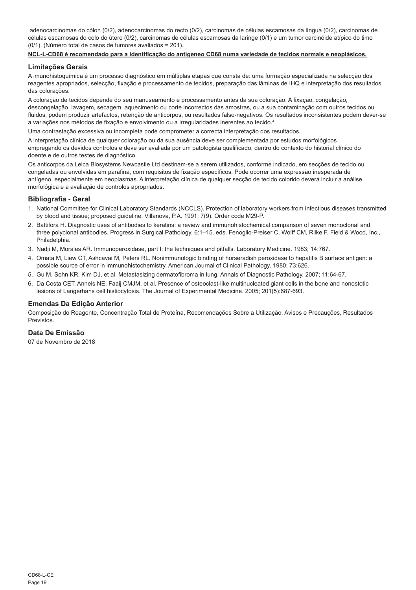adenocarcinomas do cólon (0/2), adenocarcinomas do recto (0/2), carcinomas de células escamosas da língua (0/2), carcinomas de células escamosas do colo do útero (0/2), carcinomas de células escamosas da laringe (0/1) e um tumor carcinóide atípico do timo (0/1). (Número total de casos de tumores avaliados = 201).

#### **NCL-L-CD68 é recomendado para a identificação do antígeneo CD68 numa variedade de tecidos normais e neoplásicos.**

#### **Limitações Gerais**

A imunohistoquímica é um processo diagnóstico em múltiplas etapas que consta de: uma formação especializada na selecção dos reagentes apropriados, selecção, fixação e processamento de tecidos, preparação das lâminas de IHQ e interpretação dos resultados das colorações.

A coloração de tecidos depende do seu manuseamento e processamento antes da sua coloração. A fixação, congelação, descongelação, lavagem, secagem, aquecimento ou corte incorrectos das amostras, ou a sua contaminação com outros tecidos ou fluidos, podem produzir artefactos, retenção de anticorpos, ou resultados falso-negativos. Os resultados inconsistentes podem dever-se a variações nos métodos de fixação e envolvimento ou a irregularidades inerentes ao tecido.<sup>4</sup>

Uma contrastação excessiva ou incompleta pode comprometer a correcta interpretação dos resultados.

A interpretação clínica de qualquer coloração ou da sua ausência deve ser complementada por estudos morfológicos empregando os devidos controlos e deve ser avaliada por um patologista qualificado, dentro do contexto do historial clínico do doente e de outros testes de diagnóstico.

Os anticorpos da Leica Biosystems Newcastle Ltd destinam-se a serem utilizados, conforme indicado, em secções de tecido ou congeladas ou envolvidas em parafina, com requisitos de fixação específicos. Pode ocorrer uma expressão inesperada de antígeno, especialmente em neoplasmas. A interpretação clínica de qualquer secção de tecido colorido deverá incluir a análise morfológica e a avaliação de controlos apropriados.

#### **Bibliografia - Geral**

- 1. National Committee for Clinical Laboratory Standards (NCCLS). Protection of laboratory workers from infectious diseases transmitted by blood and tissue; proposed guideline. Villanova, P.A. 1991; 7(9). Order code M29-P.
- 2. Battifora H. Diagnostic uses of antibodies to keratins: a review and immunohistochemical comparison of seven monoclonal and three polyclonal antibodies. Progress in Surgical Pathology. 6:1–15. eds. Fenoglio-Preiser C, Wolff CM, Rilke F. Field & Wood, Inc., Philadelphia.
- 3. Nadji M, Morales AR. Immunoperoxidase, part I: the techniques and pitfalls. Laboratory Medicine. 1983; 14:767.
- 4. Omata M, Liew CT, Ashcavai M, Peters RL. Nonimmunologic binding of horseradish peroxidase to hepatitis B surface antigen: a possible source of error in immunohistochemistry. American Journal of Clinical Pathology. 1980; 73:626.
- 5. Gu M, Sohn KR, Kim DJ, et al. Metastasizing dermatofibroma in lung. Annals of Diagnostic Pathology. 2007; 11:64-67.
- 6. Da Costa CET, Annels NE, Faaij CMJM, et al. Presence of osteoclast-like multinucleated giant cells in the bone and nonostotic lesions of Langerhans cell histiocytosis. The Journal of Experimental Medicine. 2005; 201(5):687-693.

### **Emendas Da Edição Anterior**

Composição do Reagente, Concentração Total de Proteína, Recomendações Sobre a Utilização, Avisos e Precauções, Resultados Previstos.

#### **Data De Emissão**

07 de Novembro de 2018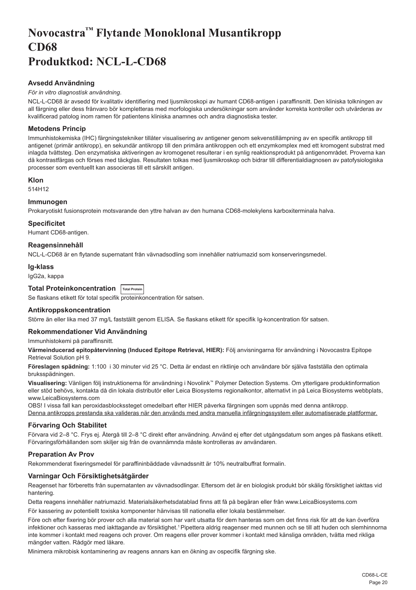## <span id="page-20-0"></span>**Novocastra™ Flytande Monoklonal Musantikropp CD68 Produktkod: NCL-L-CD68**

## **Avsedd Användning**

#### *För in vitro diagnostisk användning*.

NCL-L-CD68 är avsedd för kvalitativ identifiering med ljusmikroskopi av humant CD68-antigen i paraffinsnitt. Den kliniska tolkningen av all färgning eller dess frånvaro bör kompletteras med morfologiska undersökningar som använder korrekta kontroller och utvärderas av kvalificerad patolog inom ramen för patientens kliniska anamnes och andra diagnostiska tester.

#### **Metodens Princip**

Immunhistokemiska (IHC) färgningstekniker tillåter visualisering av antigener genom sekvenstillämpning av en specifik antikropp till antigenet (primär antikropp), en sekundär antikropp till den primära antikroppen och ett enzymkomplex med ett kromogent substrat med inlagda tvättsteg. Den enzymatiska aktiveringen av kromogenet resulterar i en synlig reaktionsprodukt på antigenområdet. Proverna kan då kontrastfärgas och förses med täckglas. Resultaten tolkas med ljusmikroskop och bidrar till differentialdiagnosen av patofysiologiska processer som eventuellt kan associeras till ett särskilt antigen.

#### **Klon**

514H12

#### **Immunogen**

Prokaryotiskt fusionsprotein motsvarande den yttre halvan av den humana CD68-molekylens karboxiterminala halva.

#### **Specificitet**

Humant CD68-antigen.

#### **Reagensinnehåll**

NCL-L-CD68 är en flytande supernatant från vävnadsodling som innehåller natriumazid som konserveringsmedel.

#### **Ig-klass**

IgG2a, kappa

## **Total Proteinkoncentration Total Protein**

Se flaskans etikett för total specifik proteinkoncentration för satsen.

#### **Antikroppskoncentration**

Större än eller lika med 37 mg/L fastställt genom ELISA. Se flaskans etikett för specifik Ig-koncentration för satsen.

#### **Rekommendationer Vid Användning**

Immunhistokemi på paraffinsnitt.

**Värmeinducerad epitopåtervinning (Induced Epitope Retrieval, HIER):** Följ anvisningarna för användning i Novocastra Epitope Retrieval Solution pH 9.

**Föreslagen spädning:** 1:100 i 30 minuter vid 25 °C. Detta är endast en riktlinje och användare bör själva fastställa den optimala bruksspädningen.

**Visualisering:** Vänligen följ instruktionerna för användning i Novolink™ Polymer Detection Systems. Om ytterligare produktinformation eller stöd behövs, kontakta då din lokala distributör eller Leica Biosystems regionalkontor, alternativt in på Leica Biosystems webbplats, www.LeicaBiosystems.com

OBS! I vissa fall kan peroxidasblockssteget omedelbart efter HIER påverka färgningen som uppnås med denna antikropp. Denna antikropps prestanda ska valideras när den används med andra manuella infärgningssystem eller automatiserade plattformar.

### **Förvaring Och Stabilitet**

Förvara vid 2–8 °C. Frys ej. Återgå till 2–8 °C direkt efter användning. Använd ej efter det utgångsdatum som anges på flaskans etikett. Förvaringsförhållanden som skiljer sig från de ovannämnda måste kontrolleras av användaren.

#### **Preparation Av Prov**

Rekommenderat fixeringsmedel för paraffininbäddade vävnadssnitt är 10% neutralbuffrat formalin.

## **Varningar Och Försiktighetsåtgärder**

Reagenset har förberetts från supernatanten av vävnadsodlingar. Eftersom det är en biologisk produkt bör skälig försiktighet iakttas vid hantering.

Detta reagens innehåller natriumazid. Materialsäkerhetsdatablad finns att få på begäran eller från www.LeicaBiosystems.com

För kassering av potentiellt toxiska komponenter hänvisas till nationella eller lokala bestämmelser.

Före och efter fixering bör prover och alla material som har varit utsatta för dem hanteras som om det finns risk för att de kan överföra infektioner och kasseras med iakttagande av försiktighet.<sup>1</sup> Pipettera aldrig reagenser med munnen och se till att huden och slemhinnorna inte kommer i kontakt med reagens och prover. Om reagens eller prover kommer i kontakt med känsliga områden, tvätta med rikliga mängder vatten. Rådgör med läkare.

Minimera mikrobisk kontaminering av reagens annars kan en ökning av ospecifik färgning ske.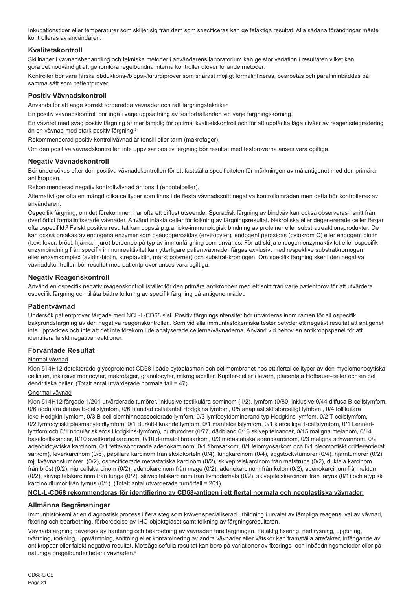Inkubationstider eller temperaturer som skiljer sig från dem som specificeras kan ge felaktiga resultat. Alla sådana förändringar måste kontrolleras av användaren.

## **Kvalitetskontroll**

Skillnader i vävnadsbehandling och tekniska metoder i användarens laboratorium kan ge stor variation i resultaten vilket kan göra det nödvändigt att genomföra regelbundna interna kontroller utöver följande metoder.

Kontroller bör vara färska obduktions-/biopsi-/kirurgiprover som snarast möjligt formalinfixeras, bearbetas och paraffininbäddas på samma sätt som patientprover.

#### **Positiv Vävnadskontroll**

Används för att ange korrekt förberedda vävnader och rätt färgningstekniker.

En positiv vävnadskontroll bör ingå i varje uppsättning av testförhållanden vid varje färgningskörning.

En vävnad med svag positiv färgning är mer lämplig för optimal kvalitetskontroll och för att upptäcka låga nivåer av reagensdegradering än en vävnad med stark positiv färgning.<sup>2</sup>

Rekommenderad positiv kontrollvävnad är tonsill eller tarm (makrofager).

Om den positiva vävnadskontrollen inte uppvisar positiv färgning bör resultat med testproverna anses vara ogiltiga.

## **Negativ Vävnadskontroll**

Bör undersökas efter den positiva vävnadskontrollen för att fastställa specificiteten för märkningen av målantigenet med den primära antikroppen

Rekommenderad negativ kontrollvävnad är tonsill (endotelceller).

Alternativt ger ofta en mängd olika celltyper som finns i de flesta vävnadssnitt negativa kontrollområden men detta bör kontrolleras av användaren.

Ospecifik färgning, om det förekommer, har ofta ett diffust utseende. Sporadisk färgning av bindväv kan också observeras i snitt från överflödigt formalinfixerade vävnader. Använd intakta celler för tolkning av färgningsresultat. Nekrotiska eller degenererade celler färgar ofta ospecifikt.<sup>s</sup> Falskt positiva resultat kan uppstå p.g.a. icke-immunologisk bindning av proteiner eller substratreaktionsprodukter. De kan också orsakas av endogena enzymer som pseudoperoxidas (erytrocyter), endogent peroxidas (cytokrom C) eller endogent biotin (t.ex. lever, bröst, hjärna, njure) beroende på typ av immunfärgning som används. För att skilja endogen enzymaktivitet eller ospecifik enzymbindning från specifik immunreaktivitet kan ytterligare patientvävnader färgas exklusivt med respektive substratkromogen eller enzymkomplex (avidin-biotin, streptavidin, märkt polymer) och substrat-kromogen. Om specifik färgning sker i den negativa vävnadskontrollen bör resultat med patientprover anses vara ogiltiga.

## **Negativ Reagenskontroll**

Använd en ospecifik negativ reagenskontroll istället för den primära antikroppen med ett snitt från varje patientprov för att utvärdera ospecifik färgning och tillåta bättre tolkning av specifik färgning på antigenområdet.

#### **Patientvävnad**

Undersök patientprover färgade med NCL-L-CD68 sist. Positiv färgningsintensitet bör utvärderas inom ramen för all ospecifik bakgrundsfärgning av den negativa reagenskontrollen. Som vid alla immunhistokemiska tester betyder ett negativt resultat att antigenet inte upptäcktes och inte att det inte förekom i de analyserade cellerna/vävnaderna. Använd vid behov en antikroppspanel för att identifiera falskt negativa reaktioner.

## **Förväntade Resultat**

### Normal vävnad

Klon 514H12 detekterade glycoproteinet CD68 i både cytoplasman och cellmembranet hos ett flertal celltyper av den myelomonocytiska cellinjen, inklusive monocyter, makrofager, granulocyter, mikrogliaceller, Kupffer-celler i levern, placentala Hofbauer-celler och en del dendritiska celler. (Totalt antal utvärderade normala fall = 47).

#### Onormal vävnad

Klon 514H12 färgade 1/201 utvärderade tumörer, inklusive testikulära seminom (1/2), lymfom (0/80, inklusive 0/44 diffusa B-cellslymfom, 0/6 nodulära diffusa B-cellslymfom, 0/6 blandad cellularitet Hodgkins lymfom, 0/5 anaplastiskt storcelligt lymfom , 0/4 follikulära icke-Hodgkin-lymfom, 0/3 B-cell slemhinneassocierade lymfom, 0/3 lymfocytdominerand typ Hodgkins lymfom, 0/2 T-cellslymfom, 0/2 lymfocytiskt plasmacytoidlymfom, 0/1 Burkitt-liknande lymfom. 0/1 mantelcellslymfom, 0/1 klarcelliga T-cellslymfom, 0/1 Lennertlymfom och 0/1 nodulär skleros Hodgkins-lymfom), hudtumörer (0/77, däribland 0/16 skivepitelcancer, 0/15 maligna melanom, 0/14 basalcellscancer, 0/10 svettkörtelkarcinom, 0/10 dermatofibrosarkom, 0/3 metastatiska adenokarcinom, 0/3 maligna schwannom, 0/2 adenoidcystiska karcinom, 0/1 fettavsöndrande adenokarcinom, 0/1 fibrosarkom, 0/1 leiomyosarkom och 0/1 pleomorfiskt odifferentierat sarkom), leverkarcinom (0/6), papillära karcinom från sköldkörteln (0/4), lungkarcinom (0/4), äggstockstumörer (0/4), hjärntumörer (0/2), mjukvävnadstumörer (0/2), ospecificerade metastatiska karcinom (0/2), skivepitelskarcinom från matstrupe (0/2), duktala karcinom från bröst (0/2), njurcellskarcinom (0/2), adenokarcinom från mage (0/2), adenokarcinom från kolon (0/2), adenokarcinom från rektum (0/2), skivepitelskarcinom från tunga (0/2), skivepitelskarcinom från livmoderhals (0/2), skivepitelskarcinom från larynx (0/1) och atypisk karcinoidtumör från tymus (0/1). (Totalt antal utvärderade tumörfall = 201).

## **NCL-L-CD68 rekommenderas för identifiering av CD68-antigen i ett flertal normala och neoplastiska vävnader.**

#### **Allmänna Begränsningar**

Immunhistokemi är en diagnostisk process i flera steg som kräver specialiserad utbildning i urvalet av lämpliga reagens, val av vävnad, fixering och bearbetning, förberedelse av IHC-objektglaset samt tolkning av färgningsresultaten.

Vävnadsfärgning påverkas av hantering och bearbetning av vävnaden före färgningen. Felaktig fixering, nedfrysning, upptining, tvättning, torkning, uppvärmning, snittning eller kontaminering av andra vävnader eller vätskor kan framställa artefakter, infångande av antikroppar eller falskt negativa resultat. Motsägelsefulla resultat kan bero på variationer av fixerings- och inbäddningsmetoder eller på naturliga oregelbundenheter i vävnaden.4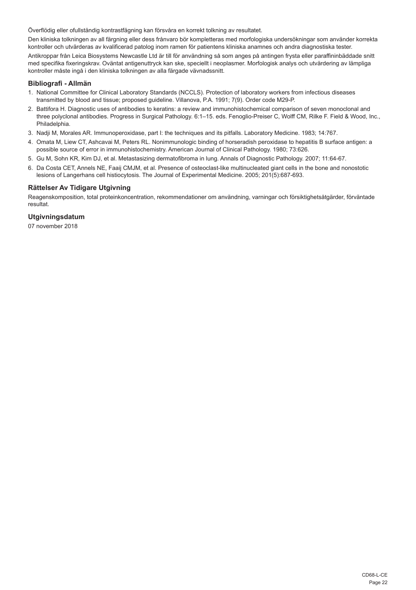Överflödig eller ofullständig kontrastfägning kan försvåra en korrekt tolkning av resultatet.

Den kliniska tolkningen av all färgning eller dess frånvaro bör kompletteras med morfologiska undersökningar som använder korrekta kontroller och utvärderas av kvalificerad patolog inom ramen för patientens kliniska anamnes och andra diagnostiska tester.

Antikroppar från Leica Biosystems Newcastle Ltd är till för användning så som anges på antingen frysta eller paraffininbäddade snitt med specifika fixeringskrav. Oväntat antigenuttryck kan ske, speciellt i neoplasmer. Morfologisk analys och utvärdering av lämpliga kontroller måste ingå i den kliniska tolkningen av alla färgade vävnadssnitt.

#### **Bibliografi - Allmän**

- 1. National Committee for Clinical Laboratory Standards (NCCLS). Protection of laboratory workers from infectious diseases transmitted by blood and tissue; proposed guideline. Villanova, P.A. 1991; 7(9). Order code M29-P.
- 2. Battifora H. Diagnostic uses of antibodies to keratins: a review and immunohistochemical comparison of seven monoclonal and three polyclonal antibodies. Progress in Surgical Pathology. 6:1–15. eds. Fenoglio-Preiser C, Wolff CM, Rilke F. Field & Wood, Inc., Philadelphia.
- 3. Nadji M, Morales AR. Immunoperoxidase, part I: the techniques and its pitfalls. Laboratory Medicine. 1983; 14:767.
- 4. Omata M, Liew CT, Ashcavai M, Peters RL. Nonimmunologic binding of horseradish peroxidase to hepatitis B surface antigen: a possible source of error in immunohistochemistry. American Journal of Clinical Pathology. 1980; 73:626.
- 5. Gu M, Sohn KR, Kim DJ, et al. Metastasizing dermatofibroma in lung. Annals of Diagnostic Pathology. 2007; 11:64-67.
- 6. Da Costa CET, Annels NE, Faaij CMJM, et al. Presence of osteoclast-like multinucleated giant cells in the bone and nonostotic lesions of Langerhans cell histiocytosis. The Journal of Experimental Medicine. 2005; 201(5):687-693.

#### **Rättelser Av Tidigare Utgivning**

Reagenskomposition, total proteinkoncentration, rekommendationer om användning, varningar och försiktighetsåtgärder, förväntade resultat.

## **Utgivningsdatum**

07 november 2018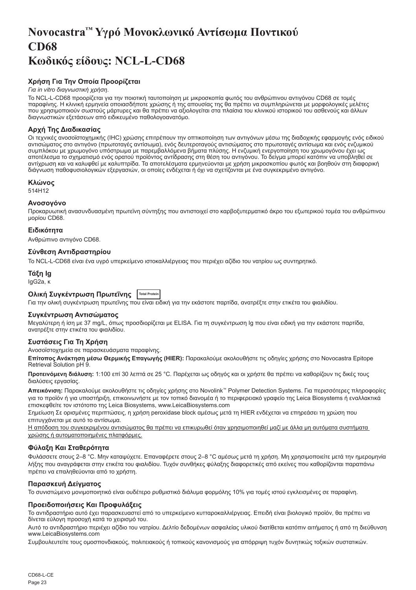## <span id="page-23-0"></span>**Novocastra™ Υγρό Μονοκλωνικό Αντίσωμα Ποντικού CD68 Κωδικός είδους: NCL-L-CD68**

## **Χρήση Για Την Οποία Προορίζεται**

#### *Για in vitro διαγνωστική χρήση*.

Το NCL-L-CD68 προορίζεται για την ποιοτική ταυτοποίηση με μικροσκοπία φωτός του ανθρώπινου αντιγόνου CD68 σε τομές παραφίνης. Η κλινική ερμηνεία οποιασδήποτε χρώσης ή της απουσίας της θα πρέπει να συμπληρώνεται με μορφολογικές μελέτες που χρησιμοποιούν σωστούς μάρτυρες και θα πρέπει να αξιολογείται στα πλαίσια του κλινικού ιστορικού του ασθενούς και άλλων διαγνωστικών εξετάσεων από ειδικευμένο παθολογοανατόμο.

## **Αρχή Της Διαδικασίας**

Οι τεχνικές ανοσοϊστοχημικής (IHC) χρώσης επιτρέπουν την οπτικοποίηση των αντιγόνων μέσω της διαδοχικής εφαρμογής ενός ειδικού αντισώματος στο αντιγόνο (πρωτοταγές αντίσωμα), ενός δευτεροταγούς αντισώματος στο πρωτοταγές αντίσωμα και ενός ενζυμικού συμπλόκου με χρωμογόνο υπόστρωμα με παρεμβαλλόμενα βήματα πλύσης. Η ενζυμική ενεργοποίηση του χρωμογόνου έχει ως αποτέλεσμα το σχηματισμό ενός ορατού προϊόντος αντίδρασης στη θέση του αντιγόνου. Το δείγμα μπορεί κατόπιν να υποβληθεί σε αντίχρωση και να καλυφθεί με καλυπτρίδα. Τα αποτελέσματα ερμηνεύονται με χρήση μικροσκοπίου φωτός και βοηθούν στη διαφορική διάγνωση παθοφυσιολογικών εξεργασιών, οι οποίες ενδέχεται ή όχι να σχετίζονται με ένα συγκεκριμένο αντιγόνο.

#### **Κλώνος**

514H12

#### **Ανοσογόνο**

Προκαρυωτική ανασυνδυασμένη πρωτεϊνη σύντηξης που αντιστοιχεί στο καρβοξυτερματικό άκρο του εξωτερικού τομέα του ανθρώπινου μορίου CD68.

#### **Ειδικότητα**

Ανθρώπινο αντιγόνο CD68.

#### **Σύνθεση Αντιδραστηρίου**

Το NCL-L-CD68 είναι ένα υγρό υπερκείμενο ιστοκαλλιέργειας που περιέχει αζίδιο του νατρίου ως συντηρητικό.

## **Τάξη Ig**

### IgG2a, κ

## **Ολική Συγκέντρωση Πρωτεΐνης Total Protein**

Για την ολική συγκέντρωση πρωτεΐνης που είναι ειδική για την εκάστοτε παρτίδα, ανατρέξτε στην ετικέτα του φιαλιδίου.

#### **Συγκέντρωση Αντισώματος**

Μεγαλύτερη ή ίση με 37 mg/L, όπως προσδιορίζεται με ELISA. Για τη συγκέντρωση Ig που είναι ειδική για την εκάστοτε παρτίδα, ανατρέξτε στην ετικέτα του φιαλιδίου.

#### **Συστάσεις Για Τη Χρήση**

Ανοσοϊστοχημεία σε παρασκευάσματα παραφίνης.

**Επίτοπος Ανάκτηση μέσω Θερμικής Επαγωγής (HIER):** Παρακαλούμε ακολουθήστε τις οδηγίες χρήσης στο Novocastra Epitope Retrieval Solution pH 9.

**Προτεινόμενη διάλυση:** 1:100 επί 30 λεπτά σε 25 °C. Παρέχεται ως οδηγός και οι χρήστε θα πρέπει να καθορίζουν τις δικές τους διαλύσεις εργασίας.

**Απεικόνιση:** Παρακαλούμε ακολουθήστε τις οδηγίες χρήσης στο Novolink™ Polymer Detection Systems. Για περισσότερες πληροφορίες για το προϊόν ή για υποστήριξη, επικοινωνήστε με τον τοπικό διανομέα ή το περιφερειακό γραφείο της Leica Biosystems ή εναλλακτικά επισκεφθείτε τον ιστότοπο της Leica Biosystems, www.LeicaBiosystems.com

Σημείωση Σε ορισμένες περιπτώσεις, η χρήση peroxidase block αμέσως μετά τη HIER ενδέχεται να επηρεάσει τη χρώση που επιτυγχάνεται με αυτό το αντίσωμα.

Η απόδοση του συγκεκριμένου αντισώματος θα πρέπει να επικυρωθεί όταν χρησιμοποιηθεί μαζί με άλλα μη αυτόματα συστήματα χρώσης ή αυτοματοποιημένες πλατφόρμες.

#### **Φύλαξη Και Σταθερότητα**

Φυλάσσετε στους 2–8 °C. Μην καταψύχετε. Επαναφέρετε στους 2–8 °C αμέσως μετά τη χρήση. Μη χρησιμοποιείτε μετά την ημερομηνία λήξης που αναγράφεται στην ετικέτα του φιαλιδίου. Τυχόν συνθήκες φύλαξης διαφορετικές από εκείνες που καθορίζονται παραπάνω πρέπει να επαληθεύονται από το χρήστη.

#### **Παρασκευή Δείγματος**

Το συνιστώμενο μονιμοποιητικό είναι ουδέτερο ρυθμιστικό διάλυμα φορμόλης 10% για τομές ιστού εγκλεισμένες σε παραφίνη.

#### **Προειδοποιήσεις Και Προφυλάξεις**

Το αντιδραστήριο αυτό έχει παρασκευαστεί από το υπερκείμενο κυτταροκαλλιέργειας. Επειδή είναι βιολογικό προϊόν, θα πρέπει να δίνεται εύλογη προσοχή κατά το χειρισμό του.

Αυτό το αντιδραστήριο περιέχει αζίδιο του νατρίου. Δελτίο δεδομένων ασφαλείας υλικού διατίθεται κατόπιν αιτήματος ή από τη διεύθυνση www.LeicaBiosystems.com

Συμβουλευτείτε τους ομοσπονδιακούς, πολιτειακούς ή τοπικούς κανονισμούς για απόρριψη τυχόν δυνητικώς τοξικών συστατικών.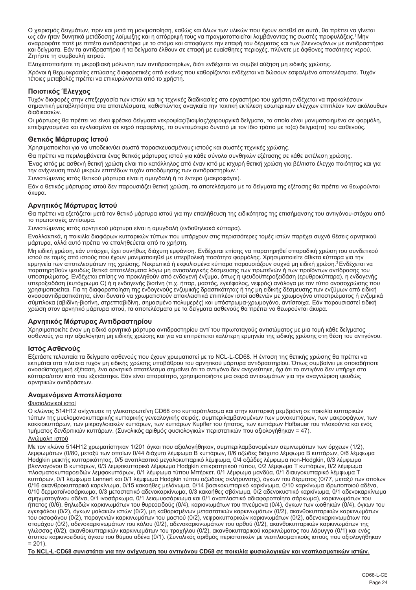Ο χειρισμός δειγμάτων, πριν και μετά τη μονιμοποίηση, καθώς και όλων των υλικών που έχουν εκτεθεί σε αυτά, θα πρέπει να γίνεται ως εάν ήταν δυνητικά μετάδοσης λοίμωξης και η απόρριψή τους να πραγματοποιείται λαμβάνοντας τις σωστές προφυλάξεις.<sup>1</sup>Μην αναρροφάτε ποτέ με πιπέτα αντιδραστήρια με το στόμα και αποφύγετε την επαφή του δέρματος και των βλεννογόνων με αντιδραστήρια και δείγματα. Εάν τα αντιδραστήρια ή τα δείγματα έλθουν σε επαφή με ευαίσθητες περιοχές, πλύνετε με άφθονες ποσότητες νερού. Ζητήστε τη συμβουλή ιατρού.

Ελαχιστοποιήστε τη μικροβιακή μόλυνση των αντιδραστηρίων, διότι ενδέχεται να συμβεί αύξηση μη ειδικής χρώσης.

Χρόνοι ή θερμοκρασίες επώασης διαφορετικές από εκείνες που καθορίζονται ενδέχεται να δώσουν εσφαλμένα αποτελέσματα. Τυχόν τέτοιες μεταβολές πρέπει να επικυρώνονται από το χρήστη.

## **Ποιοτικός Έλεγχος**

Τυχόν διαφορές στην επεξεργασία των ιστών και τις τεχνικές διαδικασίες στο εργαστήριο του χρήστη ενδέχεται να προκαλέσουν σημαντική μεταβλητότητα στα αποτελέσματα, καθιστώντας αναγκαία την τακτική εκτέλεση εσωτερικών ελέγχων επιπλέον των ακόλουθων διαδικασιών.

Οι μάρτυρες θα πρέπει να είναι φρέσκα δείγματα νεκροψίας/βιοψίας/χειρουργικά δείγματα, τα οποία είναι μονιμοποιημένα σε φορμόλη, επεξεργασμένα και εγκλεισμένα σε κηρό παραφίνης, το συντομότερο δυνατό με τον ίδιο τρόπο με το(α) δείγμα(τα) του ασθενούς.

### **Θετικός Μάρτυρας Ιστού**

Χρησιμοποιείται για να υποδεικνύει σωστά παρασκευασμένους ιστούς και σωστές τεχνικές χρώσης.

Θα πρέπει να περιλαμβάνεται ένας θετικός μάρτυρας ιστού για κάθε σύνολο συνθηκών εξέτασης σε κάθε εκτέλεση χρώσης.

Ένας ιστός με ασθενή θετική χρώση είναι πιο κατάλληλος από έναν ιστό με ισχυρή θετική χρώση για βέλτιστο έλεγχο ποιότητας και για την ανίχνευση πολύ μικρών επιπέδων τυχόν αποδόμησης των αντιδραστηρίων.<sup>2</sup>

Συνιστώμενος ιστός θετικού μάρτυρα είναι η αμυγδαλή ή το έντερο (μακροφάγοι).

Εάν ο θετικός μάρτυρας ιστού δεν παρουσιάζει θετική χρώση, τα αποτελέσματα με τα δείγματα της εξέτασης θα πρέπει να θεωρούνται άκυρα.

## **Αρνητικός Μάρτυρας Ιστού**

Θα πρέπει να εξετάζεται μετά τον θετικό μάρτυρα ιστού για την επαλήθευση της ειδικότητας της επισήμανσης του αντιγόνου-στόχου από το πρωτοταγές αντίσωμα.

Συνιστώμενος ιστός αρνητικού μάρτυρα είναι η αμυγδαλή (ενδοθηλιακά κύτταρα).

Εναλλακτικά, η ποικιλία διαφόρων κυτταρικών τύπων που υπάρχουν στις περισσότερες τομές ιστών παρέχει συχνά θέσεις αρνητικού μάρτυρα, αλλά αυτό πρέπει να επαληθεύεται από το χρήστη.

Μη ειδική χρώση, εάν υπάρχει, έχει συνήθως διάχυτη εμφάνιση. Ενδέχεται επίσης να παρατηρηθεί σποραδική χρώση του συνδετικού ιστού σε τομές από ιστούς που έχουν μονιμοποιηθεί με υπερβολική ποσότητα φορμόλης. Χρησιμοποιείτε άθικτα κύτταρα για την ερμηνεία των αποτελεσμάτων της χρώσης. Νεκρωτικά ή εκφυλισμένα κύτταρα παρουσιάζουν συχνά μη ειδική χρώση.<sup>3</sup>Ενδέχεται να παρατηρηθούν ψευδώς θετικά αποτελέσματα λόγω μη ανοσολογικής δέσμευσης των πρωτεϊνών ή των προϊόντων αντίδρασης του υποστρώματος. Ενδέχεται επίσης να προκληθούν από ενδογενή ένζυμα, όπως η ψευδοϋπεροξειδάση (ερυθροκύτταρα), η ενδογενής υπεροξειδάση (κυτόχρωμα C) ή η ενδογενής βιοτίνη (π.χ. ήπαρ, μαστός, εγκέφαλος, νεφρός) ανάλογα με τον τύπο ανοσοχρώσης που χρησιμοποιείται. Για τη διαφοροποίηση της ενδογενούς ενζυμικής δραστικότητας ή της μη ειδικής δέσμευσης των ενζύμων από ειδική ανοσοαντιδραστικότητα, είναι δυνατό να χρωματιστούν αποκλειστικά επιπλέον ιστοί ασθενών με χρωμογόνο υποστρώματος ή ενζυμικά σύμπλοκα (αβιδίνη-βιοτίνη, στρεπταβιδίνη, σημασμένο πολυμερές) και υπόστρωμα-χρωμογόνο, αντίστοιχα. Εάν παρουσιαστεί ειδική χρώση στον αρνητικό μάρτυρα ιστού, τα αποτελέσματα με τα δείγματα ασθενούς θα πρέπει να θεωρούνται άκυρα.

#### **Αρνητικός Μάρτυρας Αντιδραστηρίου**

Χρησιμοποιείτε έναν μη ειδικό αρνητικό μάρτυρα αντιδραστηρίου αντί του πρωτοταγούς αντισώματος με μια τομή κάθε δείγματος ασθενούς για την αξιολόγηση μη ειδικής χρώσης και για να επιτρέπεται καλύτερη ερμηνεία της ειδικής χρώσης στη θέση του αντιγόνου.

#### **Ιστός Ασθενούς**

Εξετάστε τελευταία τα δείγματα ασθενούς που έχουν χρωματιστεί με το NCL-L-CD68. Η ένταση της θετικής χρώσης θα πρέπει να εκτιμάται στα πλαίσια τυχόν μη ειδικής χρώσης υποβάθρου του αρνητικού μάρτυρα αντιδραστηρίου. Όπως συμβαίνει με οποιαδήποτε ανοσοϊστοχημική εξέταση, ένα αρνητικό αποτέλεσμα σημαίνει ότι το αντιγόνο δεν ανιχνεύτηκε, όχι ότι το αντιγόνο δεν υπήρχε στα κύτταρα/στον ιστό που εξετάστηκε. Εάν είναι απαραίτητο, χρησιμοποιήστε μια σειρά αντισωμάτων για την αναγνώριση ψευδώς αρνητικών αντιδράσεων.

#### **Αναμενόμενα Αποτελέσματα**

#### Φυσιολογικοί ιστοί

Ο κλώνος 514H12 ανίχνευσε τη γλυκοπρωτεϊνη CD68 στο κυτταρόπλασμα και στην κυτταρική μεμβράνη σε ποικιλία κυτταρικών τύπων της μυελομονοκυτταρικής κυτταρικής γενεαλογικής σειράς, συμπεριλαμβανομένων των μονοκυττάρων, των μακροφάγων, των κοκκιοκυττάρων, των μικρογλοιακών κυττάρων, των κυττάρων Kupffer του ήπατος, των κυττάρων Hofbauer του πλακούντα και ενός τμήματος δενδριτικών κυττάρων. (Συνολικός αριθμός φυσιολογικών περιστατικών που αξιολογήθηκαν = 47).

#### Ανώμαλη ιστού

Με τον κλώνο 514H12 χρωματίστηκαν 1/201 όγκοι που αξιολογήθηκαν, συμπεριλαμβανομένων σεμινωμάτων των όρχεων (1/2), λεμφωμάτων (0/80, μεταξύ των οποίων 0/44 διάχυτο λέμφωμα Β κυττάρων, 0/6 οζώδες διάχυτο λέμφωμα Β κυττάρων, 0/6 λέμφωμα Hodgkin μεικτής κυτταρικότητας, 0/5 αναπλαστικό μεγαλοκυτταρικό λέμφωμα, 0/4 οζώδες λέμφωμα non-Hodgkin, 0/3 λέμφωμα βλεννογόνου Β κυττάρων, 0/3 λεμφοκυτταρικό λέμφωμα Hodgkin επικρατητικού τύπου, 0/2 λέμφωμα Τ κυττάρων, 0/2 λέμφωμα πλασματοκυτταροειδών λεμφοκυττάρων, 0/1 λέμφωμα τύπου Μπέρκετ. 0/1 λέμφωμα μανδύα, 0/1 διαυγοκυτταρικό λέμφωμα Τ<br>κυττάρων, 0/1 λέμφωμα Lennert και 0/1 λέμφωμα Hodgkin τύπου οζώδους σκλήρυνσης), όγκων του δέρματος (0/77, μ 0/16 ακανθροκυτταρικό καρκίνωμα, 0/15 κακοήθες μελάνωμα, 0/14 βασικοκυτταρικό καρκίνωμα, 0/10 καρκίνωμα ιδρωτοποιού αδένα, 0/10 δερματοϊνοσάρκωμα, 0/3 μεταστατικό αδενοκαρκίνωμα, 0/3 κακοήθες σβάνωμα, 0/2 αδενοκυστικό καρκίνωμα, 0/1 αδενοκαρκίνωμα σμηγματογόνου αδένα, 0/1 ινοσάρκωμα, 0/1 λειομυοσάρκωμα και 0/1 αναπλαστικό αδιαφοροποίητο σάρκωμα), καρκινωμάτων του ήπατος (0/6), θηλωδών καρκινωμάτων του θυρεοειδούς (0/4), καρκινωμάτων του πνεύμονα (0/4), όγκων των ωοθηκών (0/4), όγκων του εγκεφάλου (0/2), όγκων μαλακών ιστών (0/2), μη καθορισμένων μεταστατικών καρκινωμάτων (0/2), ακανθοκυτταρικών καρκινωμάτων του οισοφάγου (0/2), πορογενών καρκινωμάτων του μαστού (0/2), νεφροκυτταρικών καρκινωμάτων (0/2), αδενοκαρκινωμάτων του στομάχου (0/2), αδενοκαρκινωμάτων του κόλου (0/2), αδενοκαρκινωμάτων του ορθού (0/2), ακανθοκυτταρικών καρκινωμάτων της γλώσσας (0/2), ακανθοκυτταρικών καρκινωμάτων του τραχήλου (0/2), ακανθοκυτταρικού καρκινώματος του λάρυγγα (0/1) και ενός άτυπου καρκινοειδούς όγκου του θύμου αδένα (0/1). (Συνολικός αριθμός περιστατικών με νεοπλασματικούς ιστούς που αξιολογήθηκαν  $= 201$ 

**Το NCL-L-CD68 συνιστάται για την ανίχνευση του αντιγόνου CD68 σε ποικιλία φυσιολογικών και νεοπλασματικών ιστών.**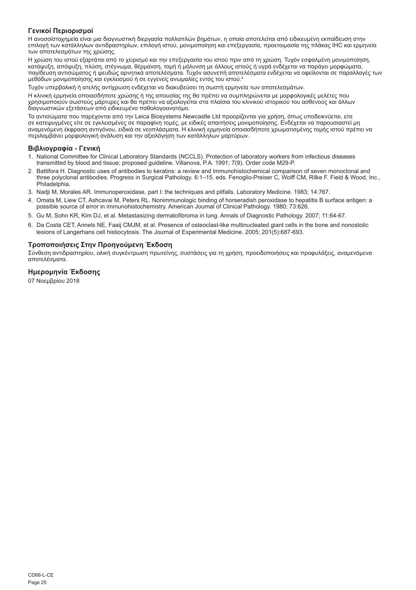## **Γενικοί Περιορισμοί**

Η ανοσοϊστοχημεία είναι μια διαγνωστική διεργασία πολλαπλών βημάτων, η οποία αποτελείται από ειδικευμένη εκπαίδευση στην επιλογή των κατάλληλων αντιδραστηρίων, επιλογή ιστού, μονιμοποίηση και επεξεργασία, προετοιμασία της πλάκας IHC και ερμηνεία των αποτελεσμάτων της χρώσης.

Η χρώση του ιστού εξαρτάται από το χειρισμό και την επεξεργασία του ιστού πριν από τη χρώση. Τυχόν εσφαλμένη μονιμοποίηση, κατάψυξη, απόψυξη, πλύση, στέγνωμα, θέρμανση, τομή ή μόλυνση με άλλους ιστούς ή υγρά ενδέχεται να παράγει μορφώματα, παγίδευση αντισώματος ή ψευδώς αρνητικά αποτελέσματα. Τυχόν ασυνεπή αποτελέσματα ενδέχεται να οφείλονται σε παραλλαγές των μεθόδων μονιμοποίησης και εγκλεισμού ή σε εγγενείς ανωμαλίες εντός του ιστού.<sup>4</sup>

Τυχόν υπερβολική ή ατελής αντίχρωση ενδέχεται να διακυβεύσει τη σωστή ερμηνεία των αποτελεσμάτων.

Η κλινική ερμηνεία οποιασδήποτε χρώσης ή της απουσίας της θα πρέπει να συμπληρώνεται με μορφολογικές μελέτες που χρησιμοποιούν σωστούς μάρτυρες και θα πρέπει να αξιολογείται στα πλαίσια του κλινικού ιστορικού του ασθενούς και άλλων διαγνωστικών εξετάσεων από ειδικευμένο παθολογοανατόμο.

Τα αντισώματα που παρέχονται από την Leica Biosystems Newcastle Ltd προορίζονται για χρήση, όπως υποδεικνύεται, είτε σε κατεψυγμένες είτε σε εγκλεισμένες σε παραφίνη τομές, με ειδικές απαιτήσεις μονιμοποίησης. Ενδέχεται να παρουσιαστεί μη αναμενόμενη έκφραση αντιγόνου, ειδικά σε νεοπλάσματα. Η κλινική ερμηνεία οποιασδήποτε χρωματισμένης τομής ιστού πρέπει να περιλαμβάνει μορφολογική ανάλυση και την αξιολόγηση των κατάλληλων μαρτύρων.

### **Βιβλιογραφία - Γενική**

- 1. National Committee for Clinical Laboratory Standards (NCCLS). Protection of laboratory workers from infectious diseases transmitted by blood and tissue; proposed guideline. Villanova, P.A. 1991; 7(9). Order code M29-P.
- 2. Battifora H. Diagnostic uses of antibodies to keratins: a review and immunohistochemical comparison of seven monoclonal and three polyclonal antibodies. Progress in Surgical Pathology. 6:1–15. eds. Fenoglio-Preiser C, Wolff CM, Rilke F. Field & Wood, Inc., Philadelphia
- 3. Nadji M, Morales AR. Immunoperoxidase, part I: the techniques and pitfalls. Laboratory Medicine. 1983; 14:767.
- 4. Omata M, Liew CT, Ashcavai M, Peters RL. Nonimmunologic binding of horseradish peroxidase to hepatitis B surface antigen: a possible source of error in immunohistochemistry. American Journal of Clinical Pathology. 1980; 73:626.
- 5. Gu M, Sohn KR, Kim DJ, et al. Metastasizing dermatofibroma in lung. Annals of Diagnostic Pathology. 2007; 11:64-67.
- 6. Da Costa CET, Annels NE, Faaij CMJM, et al. Presence of osteoclast-like multinucleated giant cells in the bone and nonostotic lesions of Langerhans cell histiocytosis. The Journal of Experimental Medicine. 2005; 201(5):687-693.

#### **Τροποποιήσεις Στην Προηγούμενη Έκδοση**

Σύνθεση αντιδραστηρίου, ολική συγκέντρωση πρωτεϊνης, συστάσεις για τη χρήση, προειδοποιήσεις και προφυλάξεις, αναμενόμενα αποτελέσματα.

## **Ημερομηνία Έκδοσης**

07 Νοεμβρίου 2018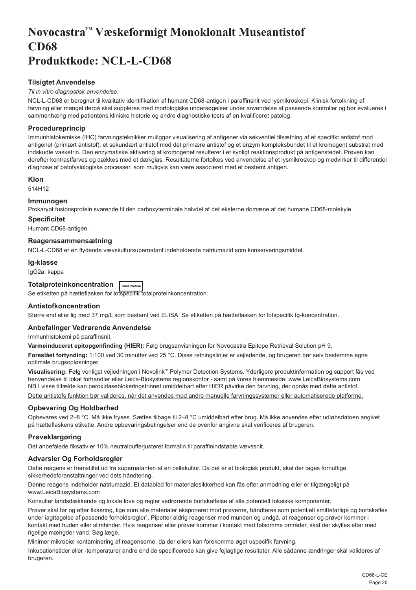## <span id="page-26-0"></span>**Novocastra™ Væskeformigt Monoklonalt Museantistof CD68 Produktkode: NCL-L-CD68**

### **Tilsigtet Anvendelse**

#### *Til in vitro diagnostisk anvendelse*.

NCL-L-CD68 er beregnet til kvalitativ identifikation af humant CD68-antigen i paraffinsnit ved lysmikroskopi. Klinisk fortolkning af farvning eller mangel derpå skal suppleres med morfologiske undersøgelser under anvendelse af passende kontroller og bør evalueres i sammenhæng med patientens kliniske historie og andre diagnostiske tests af en kvalificeret patolog.

### **Procedureprincip**

Immunhistokemiske (IHC) farvningsteknikker muliggør visualisering af antigener via sekventiel tilsætning af et specifikt antistof mod antigenet (primært antistof), et sekundært antistof mod det primære antistof og et enzym kompleksbundet til et kromogent substrat med indskudte vasketrin. Den enzymatiske aktivering af kromogenet resulterer i et synligt reaktionsprodukt på antigenstedet. Prøven kan derefter kontrastfarves og dækkes med et dækglas. Resultaterne fortolkes ved anvendelse af et lysmikroskop og medvirker til differentiel diagnose af patofysiologiske processer, som muligvis kan være associeret med et bestemt antigen.

### **Klon**

514H12

## **Immunogen**

Prokaryot fusionsprotein svarende til den carboxyterminale halvdel af det eksterne domæne af det humane CD68-molekyle.

## **Specificitet**

Humant CD68-antigen.

#### **Reagenssammensætning**

NCL-L-CD68 er en flydende vævskultursupernatant indeholdende natriumazid som konserveringsmiddel.

#### **Ig-klasse**

IgG2a, kappa

## **Totalproteinkoncentration Total Protein**

Se etiketten på hætteflasken for lotspecifik totalproteinkoncentration.

#### **Antistofkoncentration**

Større end eller lig med 37 mg/L som bestemt ved ELISA. Se etiketten på hætteflasken for lotspecifik Ig-koncentration.

#### **Anbefalinger Vedrørende Anvendelse**

Immunhistokemi på paraffinsnit.

**Varmeinduceret epitopgenfinding (HIER):** Følg brugsanvisningen for Novocastra Epitope Retrieval Solution pH 9.

**Foreslået fortynding:** 1:100 ved 30 minutter ved 25 °C. Disse retningslinjer er vejledende, og brugeren bør selv bestemme egne optimale brugsopløsninger.

**Visualisering:** Følg venligst vejledningen i Novolink™ Polymer Detection Systems. Yderligere produktinformation og support fås ved henvendelse til lokal forhandler eller Leica-Biosystems regionskontor - samt på vores hjemmeside: www.LeicaBiosystems.com NB I visse tilfælde kan peroxidaseblokeringstrinnet umiddelbart efter HIER påvirke den farvning, der opnås med dette antistof.

Dette antistofs funktion bør valideres, når det anvendes med andre manuelle farvningssystemer eller automatiserede platforme.

#### **Opbevaring Og Holdbarhed**

Opbevares ved 2–8 °C. Må ikke fryses. Sættes tilbage til 2–8 °C umiddelbart efter brug. Må ikke anvendes efter udløbsdatoen angivet på hætteflaskens etikette. Andre opbevaringsbetingelser end de ovenfor angivne skal verificeres af brugeren.

#### **Prøveklargøring**

Det anbefalede fiksativ er 10% neutralbufferjusteret formalin til paraffinindstøbte vævssnit.

#### **Advarsler Og Forholdsregler**

Dette reagens er fremstillet ud fra supernatanten af en cellekultur. Da det er et biologisk produkt, skal der tages fornuftige sikkerhedsforanstaltninger ved dets håndtering.

Denne reagens indeholder natriumazid. Et datablad for materialesikkerhed kan fås efter anmodning eller er tilgængeligt på www.LeicaBiosystems.com

Konsulter landsdækkende og lokale love og regler vedrørende bortskaffelse af alle potentielt toksiske komponenter.

Prøver skal før og efter fiksering, lige som alle materialer eksponeret mod prøverne, håndteres som potentielt smittefarlige og bortskaffes under iagttagelse af passende forholdsregler<sup>1</sup>. Pipetter aldrig reagenser med munden og undgå, at reagenser og prøver kommer i kontakt med huden eller slimhinder. Hvis reagenser eller prøver kommer i kontakt med følsomme områder, skal der skylles efter med rigelige mængder vand. Søg læge.

Minimer mikrobiel kontaminering af reagenserne, da der ellers kan forekomme øget uspecifik farvning.

Inkubationstider eller -temperaturer andre end de specificerede kan give fejlagtige resultater. Alle sådanne ændringer skal valideres af brugeren.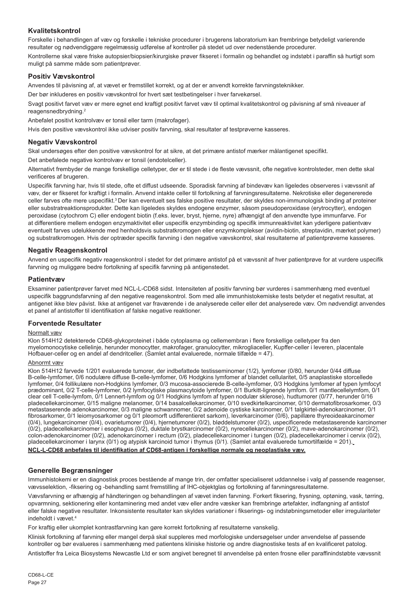## **Kvalitetskontrol**

Forskelle i behandlingen af væv og forskelle i tekniske procedurer i brugerens laboratorium kan frembringe betydeligt varierende resultater og nødvendiggøre regelmæssig udførelse af kontroller på stedet ud over nedenstående procedurer. Kontrollerne skal være friske autopsier/biopsier/kirurgiske prøver fikseret i formalin og behandlet og indstøbt i paraffin så hurtigt som

## **Positiv Vævskontrol**

muligt på samme måde som patientprøver.

Anvendes til påvisning af, at vævet er fremstillet korrekt, og at der er anvendt korrekte farvningsteknikker.

Der bør inkluderes en positiv vævskontrol for hvert sæt testbetingelser i hver farvekørsel.

Svagt positivt farvet væv er mere egnet end kraftigt positivt farvet væv til optimal kvalitetskontrol og påvisning af små niveauer af reagensnedbrydning.<sup>2</sup>

Anbefalet positivt kontrolvæv er tonsil eller tarm (makrofager).

Hvis den positive vævskontrol ikke udviser positiv farvning, skal resultater af testprøverne kasseres.

### **Negativ Vævskontrol**

Skal undersøges efter den positive vævskontrol for at sikre, at det primære antistof mærker målantigenet specifikt.

Det anbefalede negative kontrolvæv er tonsil (endotelceller).

Alternativt frembyder de mange forskellige celletyper, der er til stede i de fleste vævssnit, ofte negative kontrolsteder, men dette skal verificeres af brugeren.

Uspecifik farvning har, hvis til stede, ofte et diffust udseende. Sporadisk farvning af bindevæv kan ligeledes observeres i vævssnit af væv, der er fikseret for kraftigt i formalin. Anvend intakte celler til fortolkning af farvningsresultaterne. Nekrotiske eller degenererede celler farves ofte mere uspecifikt.<sup>3</sup> Der kan eventuelt ses falske positive resultater, der skyldes non-immunologisk binding af proteiner eller substratreaktionsprodukter. Dette kan ligeledes skyldes endogene enzymer, såsom pseudoperoxidase (erytrocytter), endogen peroxidase (cytochrom C) eller endogent biotin (f.eks. lever, bryst, hjerne, nyre) afhængigt af den anvendte type immunfarve. For at differentiere mellem endogen enzymaktivitet eller uspecifik enzymbinding og specifik immunreaktivitet kan yderligere patientvæv eventuelt farves udelukkende med henholdsvis substratkromogen eller enzymkomplekser (avidin-biotin, streptavidin, mærket polymer) og substratkromogen. Hvis der optræder specifik farvning i den negative vævskontrol, skal resultaterne af patientprøverne kasseres.

## **Negativ Reagenskontrol**

Anvend en uspecifik negativ reagenskontrol i stedet for det primære antistof på et vævssnit af hver patientprøve for at vurdere uspecifik farvning og muliggøre bedre fortolkning af specifik farvning på antigenstedet.

#### **Patientvæv**

Eksaminer patientprøver farvet med NCL-L-CD68 sidst. Intensiteten af positiv farvning bør vurderes i sammenhæng med eventuel uspecifik baggrundsfarvning af den negative reagenskontrol. Som med alle immunhistokemiske tests betyder et negativt resultat, at antigenet ikke blev påvist. Ikke at antigenet var fraværende i de analyserede celler eller det analyserede væv. Om nødvendigt anvendes et panel af antistoffer til identifikation af falske negative reaktioner.

#### **Forventede Resultater**

#### Normalt væv

Klon 514H12 detekterede CD68-glykoproteinet i både cytoplasma og cellemembran i flere forskellige celletyper fra den myelomonocytiske cellelinje, herunder monocytter, makrofager, granulocytter, mikrogliaceller, Kupffer-celler i leveren, placentale Hofbauer-celler og en andel af dendritceller. (Samlet antal evaluerede, normale tilfælde = 47).

#### Abnormt væv

Klon 514H12 farvede 1/201 evaluerede tumorer, der indbefattede testisseminomer (1/2), lymfomer (0/80, herunder 0/44 diffuse B-celle-lymfomer, 0/6 nodulære diffuse B-celle-lymfomer, 0/6 Hodgkins lymfomer af blandet cellularitet, 0/5 anaplastiske storcellede lymfomer, 0/4 follikulære non-Hodgkins lymfomer, 0/3 mucosa-associerede B-celle-lymfomer, 0/3 Hodgkins lymfomer af typen lymfocyt prædominant, 0/2 T-celle-lymfomer, 0/2 lymfocytiske plasmacytoide lymfomer, 0/1 Burkitt-lignende lymfom. 0/1 mantlecellelymfom, 0/1 clear cell T-celle-lymfom, 0/1 Lennert-lymfom og 0/1 Hodgkins lymfom af typen nodulær sklerose), hudtumorer (0/77, herunder 0/16 pladecellekarcinomer, 0/15 maligne melanomer, 0/14 basalcellekarcinomer, 0/10 svedkirtelkarcinomer, 0/10 dermatofibrosarkomer, 0/3 metastaserende adenokarcinomer, 0/3 maligne schwannomer, 0/2 adenoide cystiske karcinomer, 0/1 talgkirtel-adenokarcinomer, 0/1 fibrosarkomer, 0/1 leiomyosarkomer og 0/1 pleomorft udifferentieret sarkom), leverkarcinomer (0/6), papillære thyreoideakarcinomer (0/4), lungekarcinomer (0/4), ovarietumorer (0/4), hjernetumorer (0/2), bløddelstumorer (0/2), uspecificerede metastaserende karcinomer  $(0/2)$ , pladecellekarcinomer i esophagus  $(0/2)$ , duktale brystkarcinomer  $(0/2)$ , nyrecellekarcinomer  $(0/2)$ , mave-adenokarcinomer  $(0/2)$ colon-adenokarcinomer (0/2), adenokarcinomer i rectum (0/2), pladecellekarcinomer i tungen (0/2), pladecellekarcinomer i cervix (0/2), pladecellekarcinomer i larynx (0/1) og atypisk karcinoid tumor i thymus (0/1). (Samlet antal evaluerede tumortilfælde = 201). **NCL-L-CD68 anbefales til identifikation af CD68-antigen i forskellige normale og neoplastiske væv.**

#### **Generelle Begrænsninger**

Immunhistokemi er en diagnostisk proces bestående af mange trin, der omfatter specialiseret uddannelse i valg af passende reagenser, vævsselektion, -fiksering og -behandling samt fremstilling af IHC-objektglas og fortolkning af farvningsresultaterne.

Vævsfarvning er afhængig af håndteringen og behandlingen af vævet inden farvning. Forkert fiksering, frysning, optøning, vask, tørring, opvarmning, sektionering eller kontaminering med andet væv eller andre væsker kan frembringe artefakter, indfangning af antistof eller falske negative resultater. Inkonsistente resultater kan skyldes variationer i fikserings- og indstøbningsmetoder eller irregulariteter indeholdt i vævet.<sup>4</sup>

For kraftig eller ukomplet kontrastfarvning kan gøre korrekt fortolkning af resultaterne vanskelig.

Klinisk fortolkning af farvning eller mangel derpå skal suppleres med morfologiske undersøgelser under anvendelse af passende kontroller og bør evalueres i sammenhæng med patientens kliniske historie og andre diagnostiske tests af en kvalificeret patolog. Antistoffer fra Leica Biosystems Newcastle Ltd er som angivet beregnet til anvendelse på enten frosne eller paraffinindstøbte vævssnit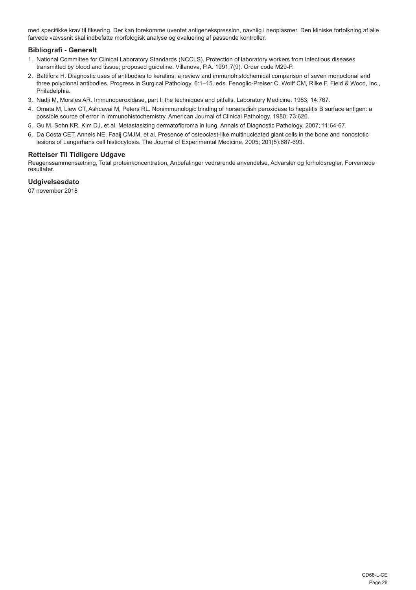med specifikke krav til fiksering. Der kan forekomme uventet antigenekspression, navnlig i neoplasmer. Den kliniske fortolkning af alle farvede vævssnit skal indbefatte morfologisk analyse og evaluering af passende kontroller.

#### **Bibliografi - Generelt**

- 1. National Committee for Clinical Laboratory Standards (NCCLS). Protection of laboratory workers from infectious diseases transmitted by blood and tissue; proposed guideline. Villanova, P.A. 1991;7(9). Order code M29-P.
- 2. Battifora H. Diagnostic uses of antibodies to keratins: a review and immunohistochemical comparison of seven monoclonal and three polyclonal antibodies. Progress in Surgical Pathology. 6:1–15. eds. Fenoglio-Preiser C, Wolff CM, Rilke F. Field & Wood, Inc., Philadelphia.
- 3. Nadji M, Morales AR. Immunoperoxidase, part I: the techniques and pitfalls. Laboratory Medicine. 1983; 14:767.
- 4. Omata M, Liew CT, Ashcavai M, Peters RL. Nonimmunologic binding of horseradish peroxidase to hepatitis B surface antigen: a possible source of error in immunohistochemistry. American Journal of Clinical Pathology. 1980; 73:626.
- 5. Gu M, Sohn KR, Kim DJ, et al. Metastasizing dermatofibroma in lung. Annals of Diagnostic Pathology. 2007; 11:64-67.
- 6. Da Costa CET, Annels NE, Faaij CMJM, et al. Presence of osteoclast-like multinucleated giant cells in the bone and nonostotic lesions of Langerhans cell histiocytosis. The Journal of Experimental Medicine. 2005; 201(5):687-693.

### **Rettelser Til Tidligere Udgave**

Reagenssammensætning, Total proteinkoncentration, Anbefalinger vedrørende anvendelse, Advarsler og forholdsregler, Forventede resultater.

## **Udgivelsesdato**

07 november 2018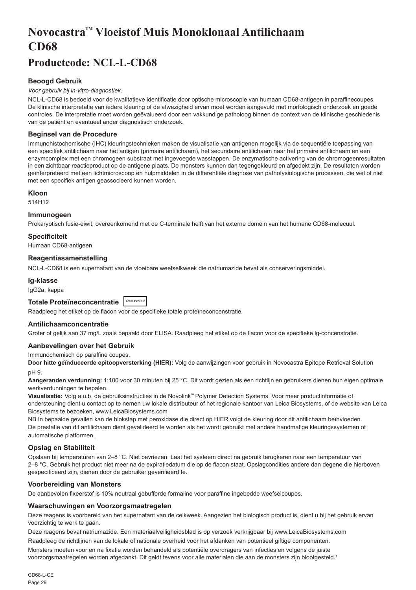## <span id="page-29-0"></span>**Novocastra™ Vloeistof Muis Monoklonaal Antilichaam CD68**

## **Productcode: NCL-L-CD68**

## **Beoogd Gebruik**

#### *Voor gebruik bij in-vitro-diagnostiek.*

NCL-L-CD68 is bedoeld voor de kwalitatieve identificatie door optische microscopie van humaan CD68-antigeen in paraffinecoupes. De klinische interpretatie van iedere kleuring of de afwezigheid ervan moet worden aangevuld met morfologisch onderzoek en goede controles. De interpretatie moet worden geëvalueerd door een vakkundige patholoog binnen de context van de klinische geschiedenis van de patiënt en eventueel ander diagnostisch onderzoek.

## **Beginsel van de Procedure**

Immunohistochemische (IHC) kleuringstechnieken maken de visualisatie van antigenen mogelijk via de sequentiële toepassing van een specifiek antilichaam naar het antigen (primaire antilichaam), het secundaire antilichaam naar het primaire antilichaam en een enzymcomplex met een chromogeen substraat met ingevoegde wasstappen. De enzymatische activering van de chromogeenresultaten in een zichtbaar reactieproduct op de antigene plaats. De monsters kunnen dan tegengekleurd en afgedekt zijn. De resultaten worden geïnterpreteerd met een lichtmicroscoop en hulpmiddelen in de differentiële diagnose van pathofysiologische processen, die wel of niet met een specifiek antigen geassocieerd kunnen worden.

#### **Kloon**

514H12

#### **Immunogeen**

Prokaryotisch fusie-eiwit, overeenkomend met de C-terminale helft van het externe domein van het humane CD68-molecuul.

#### **Specificiteit**

Humaan CD68-antigeen.

#### **Reagentiasamenstelling**

NCL-L-CD68 is een supernatant van de vloeibare weefselkweek die natriumazide bevat als conserveringsmiddel.

#### **Ig-klasse**

IgG2a, kappa

## **Totale Proteïneconcentratie Total Protein**

Raadpleeg het etiket op de flacon voor de specifieke totale proteïneconcenstratie.

#### **Antilichaamconcentratie**

Groter of gelijk aan 37 mg/L zoals bepaald door ELISA. Raadpleeg het etiket op de flacon voor de specifieke lg-concenstratie.

#### **Aanbevelingen over het Gebruik**

Immunochemisch op paraffine coupes.

**Door hitte geïnduceerde epitoopversterking (HIER):** Volg de aanwijzingen voor gebruik in Novocastra Epitope Retrieval Solution pH 9.

**Aangeranden verdunning:** 1:100 voor 30 minuten bij 25 °C. Dit wordt gezien als een richtlijn en gebruikers dienen hun eigen optimale werkverdunningen te bepalen.

**Visualisatie:** Volg a.u.b. de gebruiksinstructies in de Novolink™ Polymer Detection Systems. Voor meer productinformatie of ondersteuning dient u contact op te nemen uw lokale distributeur of het regionale kantoor van Leica Biosystems, of de website van Leica Biosystems te bezoeken, www.LeicaBiosystems.com

NB In bepaalde gevallen kan de blokstap met peroxidase die direct op HIER volgt de kleuring door dit antilichaam beïnvloeden. De prestatie van dit antilichaam dient gevalideerd te worden als het wordt gebruikt met andere handmatige kleuringssystemen of automatische platformen.

#### **Opslag en Stabiliteit**

Opslaan bij temperaturen van 2–8 °C. Niet bevriezen. Laat het systeem direct na gebruik terugkeren naar een temperatuur van 2–8 °C. Gebruik het product niet meer na de expiratiedatum die op de flacon staat. Opslagcondities andere dan degene die hierboven gespecificeerd zijn, dienen door de gebruiker geverifieerd te.

## **Voorbereiding van Monsters**

De aanbevolen fixeerstof is 10% neutraal gebufferde formaline voor paraffine ingebedde weefselcoupes.

## **Waarschuwingen en Voorzorgsmaatregelen**

Deze reagens is voorbereid van het supernatant van de celkweek. Aangezien het biologisch product is, dient u bij het gebruik ervan voorzichtig te werk te gaan.

Deze reagens bevat natriumazide. Een materiaalveiligheidsblad is op verzoek verkrijgbaar bij www.LeicaBiosystems.com

Raadpleeg de richtlijnen van de lokale of nationale overheid voor het afdanken van potentieel giftige componenten. Monsters moeten voor en na fixatie worden behandeld als potentiële overdragers van infecties en volgens de juiste voorzorgsmaatregelen worden afgedankt. Dit geldt tevens voor alle materialen die aan de monsters zijn blootgesteld.<sup>1</sup>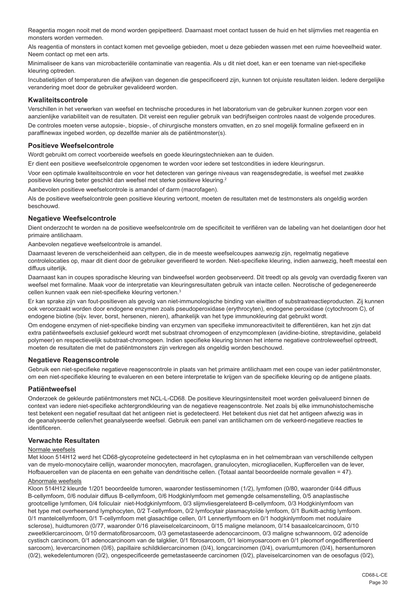Reagentia mogen nooit met de mond worden gepipetteerd. Daarnaast moet contact tussen de huid en het slijmvlies met reagentia en monsters worden vermeden.

Als reagentia of monsters in contact komen met gevoelige gebieden, moet u deze gebieden wassen met een ruime hoeveelheid water. Neem contact op met een arts.

Minimaliseer de kans van microbacteriële contaminatie van reagentia. Als u dit niet doet, kan er een toename van niet-specifieke kleuring optreden.

Incubatietijden of temperaturen die afwijken van degenen die gespecificeerd zijn, kunnen tot onjuiste resultaten leiden. Iedere dergelijke verandering moet door de gebruiker gevalideerd worden.

#### **Kwaliteitscontrole**

Verschillen in het verwerken van weefsel en technische procedures in het laboratorium van de gebruiker kunnen zorgen voor een aanzienlijke variabiliteit van de resultaten. Dit vereist een regulier gebruik van bedrijfseigen controles naast de volgende procedures. De controles moeten verse autopsie-, biopsie-, of chirurgische monsters omvatten, en zo snel mogelijk formaline gefixeerd en in paraffinewax ingebed worden, op dezelfde manier als de patiëntmonster(s).

#### **Positieve Weefselcontrole**

Wordt gebruikt om correct voorbereide weefsels en goede kleuringstechnieken aan te duiden.

Er dient een positieve weefselcontrole opgenomen te worden voor iedere set testcondities in iedere kleuringsrun.

Voor een optimale kwaliteitscontrole en voor het detecteren van geringe niveaus van reagensdegredatie, is weefsel met zwakke positieve kleuring beter geschikt dan weefsel met sterke positieve kleuring.<sup>2</sup>

Aanbevolen positieve weefselcontrole is amandel of darm (macrofagen).

Als de positieve weefselcontrole geen positieve kleuring vertoont, moeten de resultaten met de testmonsters als ongeldig worden beschouwd.

### **Negatieve Weefselcontrole**

Dient onderzocht te worden na de positieve weefselcontrole om de specificiteit te verifiëren van de labeling van het doelantigen door het primaire antilichaam.

Aanbevolen negatieve weefselcontrole is amandel.

Daarnaast leveren de verscheidenheid aan celtypen, die in de meeste weefselcoupes aanwezig zijn, regelmatig negatieve controlelocaties op, maar dit dient door de gebruiker geverifieerd te worden. Niet-specifieke kleuring, indien aanwezig, heeft meestal een diffuus uiterlijk.

Daarnaast kan in coupes sporadische kleuring van bindweefsel worden geobserveerd. Dit treedt op als gevolg van overdadig fixeren van weefsel met formaline. Maak voor de interpretatie van kleuringsresultaten gebruik van intacte cellen. Necrotische of gedegenereerde cellen kunnen vaak een niet-specifieke kleuring vertonen.<sup>3</sup>

Er kan sprake zijn van fout-positieven als gevolg van niet-immunologische binding van eiwitten of substraatreactieproducten. Zij kunnen ook veroorzaakt worden door endogene enzymen zoals pseudoperoxidase (erythrocyten), endogene peroxidase (cytochroom C), of endogene biotine (bijv. lever, borst, hersenen, nieren), afhankelijk van het type immunokleuring dat gebruikt wordt.

Om endogene enzymen of niet-specifieke binding van enzymen van specifieke immunoreactiviteit te differentiëren, kan het zijn dat extra patiëntweefsels exclusief gekleurd wordt met substraat chromogeen of enzymcomplexen (avidine-biotine, streptavidine, gelabeld polymeer) en respectievelijk substraat-chromogeen. Indien specifieke kleuring binnen het interne negatieve controleweefsel optreedt, moeten de resultaten die met de patiëntmonsters zijn verkregen als ongeldig worden beschouwd.

## **Negatieve Reagenscontrole**

Gebruik een niet-specifieke negatieve reagenscontrole in plaats van het primaire antilichaam met een coupe van ieder patiëntmonster, om een niet-specifieke kleuring te evalueren en een betere interpretatie te krijgen van de specifieke kleuring op de antigene plaats.

#### **Patiëntweefsel**

Onderzoek de gekleurde patiëntmonsters met NCL-L-CD68. De positieve kleuringsintensiteit moet worden geëvalueerd binnen de context van iedere niet-specifieke achtergrondkleuring van de negatieve reagenscontrole. Net zoals bij elke immunohistochemische test betekent een negatief resultaat dat het antigeen niet is gedetecteerd. Het betekent dus niet dat het antigeen afwezig was in de geanalyseerde cellen/het geanalyseerde weefsel. Gebruik een panel van antilichamen om de verkeerd-negatieve reacties te identificeren.

#### **Verwachte Resultaten**

#### Normale weefsels

Met kloon 514H12 werd het CD68-glycoproteïne gedetecteerd in het cytoplasma en in het celmembraan van verschillende celtypen van de myelo-monocytaire cellijn, waaronder monocyten, macrofagen, granulocyten, microgliacellen, Kupffercellen van de lever, Hofbauercellen van de placenta en een gehalte van dendritische cellen. (Totaal aantal beoordeelde normale gevallen = 47).

#### Abnormale weefsels

Kloon 514H12 kleurde 1/201 beoordeelde tumoren, waaronder testisseminomen (1/2), lymfomen (0/80, waaronder 0/44 diffuus B-cellymfoom, 0/6 nodulair diffuus B-cellymfoom, 0/6 Hodgkinlymfoom met gemengde celsamenstelling, 0/5 anaplastische grootcellige lymfomen, 0/4 foliculair niet-Hodgkinlymfoom, 0/3 slijmvliesgerelateerd B-cellymfoom, 0/3 Hodgkinlymfoom van het type met overheersend lymphocyten, 0/2 T-cellymfoom, 0/2 lymfocytair plasmacytoïde lymfoom, 0/1 Burkitt-achtig lymfoom. 0/1 mantelcellymfoom, 0/1 T-cellymfoom met glasachtige cellen, 0/1 Lennertlymfoom en 0/1 hodgkinlymfoom met nodulaire sclerose), huidtumoren (0/77, waaronder 0/16 plaveiselcelcarcinoom, 0/15 maligne melanoom, 0/14 basaalcelcarcinoom, 0/10 zweetkliercarcinoom, 0/10 dermatofibrosarcoom, 0/3 gemetastaseerde adenocarcinoom, 0/3 maligne schwannoom, 0/2 adenoïde cystisch carcinoom, 0/1 adenocarcinoom van de talgklier, 0/1 fibrosarcoom, 0/1 leiomyosarcoom en 0/1 pleomorf ongedifferentieerd sarcoom), levercarcinomen (0/6), papillaire schildkliercarcinomen (0/4), longcarcinomen (0/4), ovariumtumoren (0/4), hersentumoren (0/2), wekedelentumoren (0/2), ongespecificeerde gemetastaseerde carcinomen (0/2), plaveiselcarcinomen van de oesofagus (0/2),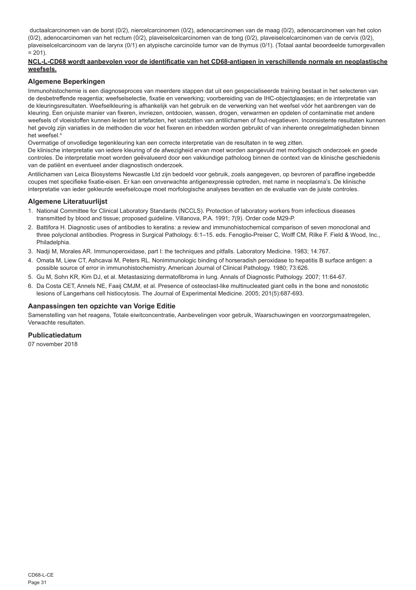ductaalcarcinomen van de borst (0/2), niercelcarcinomen (0/2), adenocarcinomen van de maag (0/2), adenocarcinomen van het colon (0/2), adenocarcinomen van het rectum (0/2), plaveiselcelcarcinomen van de tong (0/2), plaveiselcelcarcinomen van de cervix (0/2), plaveiselcelcarcinoom van de larynx (0/1) en atypische carcinoïde tumor van de thymus (0/1). (Totaal aantal beoordeelde tumorgevallen  $= 201$ .

#### **NCL-L-CD68 wordt aanbevolen voor de identificatie van het CD68-antigeen in verschillende normale en neoplastische weefsels.**

## **Algemene Beperkingen**

Immunohistochemie is een diagnoseproces van meerdere stappen dat uit een gespecialiseerde training bestaat in het selecteren van de desbetreffende reagentia; weefselselectie, fixatie en verwerking; voorbereiding van de IHC-objectglaasjes; en de interpretatie van de kleuringsresultaten. Weefselkleuring is afhankelijk van het gebruik en de verwerking van het weefsel vóór het aanbrengen van de kleuring. Een onjuiste manier van fixeren, invriezen, ontdooien, wassen, drogen, verwarmen en opdelen of contaminatie met andere weefsels of vloeistoffen kunnen leiden tot artefacten, het vastzitten van antilichamen of fout-negatieven. Inconsistente resultaten kunnen het gevolg zijn variaties in de methoden die voor het fixeren en inbedden worden gebruikt of van inherente onregelmatigheden binnen het weefsel.<sup>4</sup>

Overmatige of onvolledige tegenkleuring kan een correcte interpretatie van de resultaten in te weg zitten.

De klinische interpretatie van iedere kleuring of de afwezigheid ervan moet worden aangevuld met morfologisch onderzoek en goede controles. De interpretatie moet worden geëvalueerd door een vakkundige patholoog binnen de context van de klinische geschiedenis van de patiënt en eventueel ander diagnostisch onderzoek.

Antilichamen van Leica Biosystems Newcastle Ltd zijn bedoeld voor gebruik, zoals aangegeven, op bevroren of paraffine ingebedde coupes met specifieke fixatie-eisen. Er kan een onverwachte antigenexpressie optreden, met name in neoplasma's. De klinische interpretatie van ieder gekleurde weefselcoupe moet morfologische analyses bevatten en de evaluatie van de juiste controles.

### **Algemene Literatuurlijst**

- 1. National Committee for Clinical Laboratory Standards (NCCLS). Protection of laboratory workers from infectious diseases transmitted by blood and tissue; proposed guideline. Villanova, P.A. 1991; 7(9). Order code M29-P.
- 2. Battifora H. Diagnostic uses of antibodies to keratins: a review and immunohistochemical comparison of seven monoclonal and three polyclonal antibodies. Progress in Surgical Pathology. 6:1–15. eds. Fenoglio-Preiser C, Wolff CM, Rilke F. Field & Wood, Inc., Philadelphia.
- 3. Nadji M, Morales AR. Immunoperoxidase, part I: the techniques and pitfalls. Laboratory Medicine. 1983; 14:767.
- 4. Omata M, Liew CT, Ashcavai M, Peters RL. Nonimmunologic binding of horseradish peroxidase to hepatitis B surface antigen: a possible source of error in immunohistochemistry. American Journal of Clinical Pathology. 1980; 73:626.
- 5. Gu M, Sohn KR, Kim DJ, et al. Metastasizing dermatofibroma in lung. Annals of Diagnostic Pathology. 2007; 11:64-67.
- 6. Da Costa CET, Annels NE, Faaij CMJM, et al. Presence of osteoclast-like multinucleated giant cells in the bone and nonostotic lesions of Langerhans cell histiocytosis. The Journal of Experimental Medicine. 2005; 201(5):687-693.

#### **Aanpassingen ten opzichte van Vorige Editie**

Samenstelling van het reagens, Totale eiwitconcentratie, Aanbevelingen voor gebruik, Waarschuwingen en voorzorgsmaatregelen, Verwachte resultaten.

## **Publicatiedatum**

07 november 2018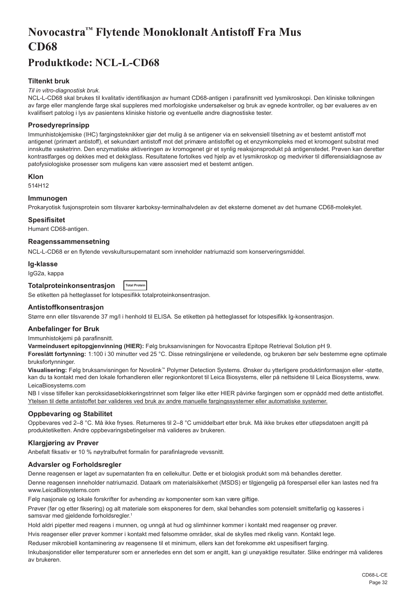## <span id="page-32-0"></span>**Novocastra™ Flytende Monoklonalt Antistoff Fra Mus CD68**

## **Produktkode: NCL-L-CD68**

## **Tiltenkt bruk**

#### *Til in vitro-diagnostisk bruk.*

NCL-L-CD68 skal brukes til kvalitativ identifikasjon av humant CD68-antigen i parafinsnitt ved lysmikroskopi. Den kliniske tolkningen av farge eller manglende farge skal suppleres med morfologiske undersøkelser og bruk av egnede kontroller, og bør evalueres av en kvalifisert patolog i lys av pasientens kliniske historie og eventuelle andre diagnostiske tester.

#### **Prosedyreprinsipp**

Immunhistokjemiske (IHC) fargingsteknikker gjør det mulig å se antigener via en sekvensiell tilsetning av et bestemt antistoff mot antigenet (primært antistoff), et sekundært antistoff mot det primære antistoffet og et enzymkompleks med et kromogent substrat med innskutte vasketrinn. Den enzymatiske aktiveringen av kromogenet gir et synlig reaksjonsprodukt på antigenstedet. Prøven kan deretter kontrastfarges og dekkes med et dekkglass. Resultatene fortolkes ved hjelp av et lysmikroskop og medvirker til differensialdiagnose av patofysiologiske prosesser som muligens kan være assosiert med et bestemt antigen.

#### **Klon**

514H12

## **Immunogen**

Prokaryotisk fusjonsprotein som tilsvarer karboksy-terminalhalvdelen av det eksterne domenet av det humane CD68-molekylet.

#### **Spesifisitet**

Humant CD68-antigen.

#### **Reagenssammensetning**

NCL-L-CD68 er en flytende vevskultursupernatant som inneholder natriumazid som konserveringsmiddel.

#### **Ig-klasse**

IgG2a, kappa

#### **Totalproteinkonsentrasjon Total Protein**

Se etiketten på hetteglasset for lotspesifikk totalproteinkonsentrasjon.

#### **Antistoffkonsentrasjon**

Større enn eller tilsvarende 37 mg/l i henhold til ELISA. Se etiketten på hetteglasset for lotspesifikk Ig-konsentrasjon.

#### **Anbefalinger for Bruk**

Immunhistokjemi på parafinsnitt.

**Varmeindusert epitopgjenvinning (HIER):** Følg bruksanvisningen for Novocastra Epitope Retrieval Solution pH 9.

**Foreslått fortynning:** 1:100 i 30 minutter ved 25 °C. Disse retningslinjene er veiledende, og brukeren bør selv bestemme egne optimale bruksfortynninger.

**Visualisering:** Følg bruksanvisningen for Novolink™ Polymer Detection Systems. Ønsker du ytterligere produktinformasjon eller -støtte, kan du ta kontakt med den lokale forhandleren eller regionkontoret til Leica Biosystems, eller på nettsidene til Leica Biosystems, www. LeicaBiosystems.com

NB I visse tilfeller kan peroksidaseblokkeringstrinnet som følger like etter HIER påvirke fargingen som er oppnådd med dette antistoffet. Ytelsen til dette antistoffet bør valideres ved bruk av andre manuelle fargingssystemer eller automatiske systemer.

#### **Oppbevaring og Stabilitet**

Oppbevares ved 2–8 °C. Må ikke fryses. Returneres til 2–8 °C umiddelbart etter bruk. Må ikke brukes etter utløpsdatoen angitt på produktetiketten. Andre oppbevaringsbetingelser må valideres av brukeren.

#### **Klargjøring av Prøver**

Anbefalt fiksativ er 10 % nøytralbufret formalin for parafinlagrede vevssnitt.

#### **Advarsler og Forholdsregler**

Denne reagensen er laget av supernatanten fra en cellekultur. Dette er et biologisk produkt som må behandles deretter.

Denne reagensen inneholder natriumazid. Dataark om materialsikkerhet (MSDS) er tilgjengelig på forespørsel eller kan lastes ned fra www.LeicaBiosystems.com

Følg nasjonale og lokale forskrifter for avhending av komponenter som kan være giftige.

Prøver (før og etter fiksering) og alt materiale som eksponeres for dem, skal behandles som potensielt smittefarlig og kasseres i samsvar med gjeldende forholdsregler.<sup>1</sup>

Hold aldri pipetter med reagens i munnen, og unngå at hud og slimhinner kommer i kontakt med reagenser og prøver.

Hvis reagenser eller prøver kommer i kontakt med følsomme områder, skal de skylles med rikelig vann. Kontakt lege.

Reduser mikrobiell kontaminering av reagensene til et minimum, ellers kan det forekomme økt uspesifisert farging.

Inkubasjonstider eller temperaturer som er annerledes enn det som er angitt, kan gi unøyaktige resultater. Slike endringer må valideres av brukeren.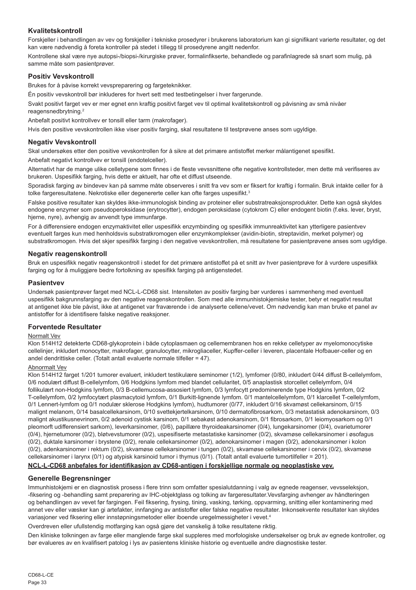## **Kvalitetskontroll**

Forskjeller i behandlingen av vev og forskjeller i tekniske prosedyrer i brukerens laboratorium kan gi signifikant varierte resultater, og det kan være nødvendig å foreta kontroller på stedet i tillegg til prosedyrene angitt nedenfor.

Kontrollene skal være nye autopsi-/biopsi-/kirurgiske prøver, formalinfikserte, behandlede og parafinlagrede så snart som mulig, på samme måte som pasientprøver.

## **Positiv Vevskontroll**

Brukes for å påvise korrekt vevspreparering og fargeteknikker.

Én positiv vevskontroll bør inkluderes for hvert sett med testbetingelser i hver fargerunde.

Svakt positivt farget vev er mer egnet enn kraftig positivt farget vev til optimal kvalitetskontroll og påvisning av små nivåer reagensnedbrytning.<sup>2</sup>

Anbefalt positivt kontrollvev er tonsill eller tarm (makrofager).

Hvis den positive vevskontrollen ikke viser positiv farging, skal resultatene til testprøvene anses som ugyldige.

### **Negativ Vevskontroll**

Skal undersøkes etter den positive vevskontrollen for å sikre at det primære antistoffet merker målantigenet spesifikt. Anbefalt negativt kontrollvev er tonsill (endotelceller).

Alternativt har de mange ulike celletypene som finnes i de fleste vevssnittene ofte negative kontrollsteder, men dette må verifiseres av brukeren. Uspesifikk farging, hvis dette er aktuelt, har ofte et diffust utseende.

Sporadisk farging av bindevev kan på samme måte observeres i snitt fra vev som er fiksert for kraftig i formalin. Bruk intakte celler for å tolke fargeresultatene. Nekrotiske eller degenererte celler kan ofte farges uspesifikt.<sup>3</sup>

Falske positive resultater kan skyldes ikke-immunologisk binding av proteiner eller substratreaksjonsprodukter. Dette kan også skyldes endogene enzymer som pseudoperoksidase (erytrocytter), endogen peroksidase (cytokrom C) eller endogent biotin (f.eks. lever, bryst, hjerne, nyre), avhengig av anvendt type immunfarge.

For å differensiere endogen enzymaktivitet eller uspesifikk enzymbinding og spesifikk immunreaktivitet kan ytterligere pasientvev eventuelt farges kun med henholdsvis substratkromogen eller enzymkomplekser (avidin-biotin, streptavidin, merket polymer) og substratkromogen. Hvis det skjer spesifikk farging i den negative vevskontrollen, må resultatene for pasientprøvene anses som ugyldige.

## **Negativ reagenskontroll**

Bruk en uspesifikk negativ reagenskontroll i stedet for det primære antistoffet på et snitt av hver pasientprøve for å vurdere uspesifikk farging og for å muliggjøre bedre fortolkning av spesifikk farging på antigenstedet.

#### **Pasientvev**

Undersøk pasientprøver farget med NCL-L-CD68 sist. Intensiteten av positiv farging bør vurderes i sammenheng med eventuell uspesifikk bakgrunnsfarging av den negative reagenskontrollen. Som med alle immunhistokjemiske tester, betyr et negativt resultat at antigenet ikke ble påvist, ikke at antigenet var fraværende i de analyserte cellene/vevet. Om nødvendig kan man bruke et panel av antistoffer for å identifisere falske negative reaksjoner.

#### **Forventede Resultater**

#### Normalt Vev

Klon 514H12 detekterte CD68-glykoprotein i både cytoplasmaen og cellemembranen hos en rekke celletyper av myelomonocytiske cellelinjer, inkludert monocytter, makrofager, granulocytter, mikrogliaceller, Kupffer-celler i leveren, placentale Hofbauer-celler og en andel dendrittiske celler. (Totalt antall evaluerte normale tilfeller = 47).

#### Abnormalt Vev

Klon 514H12 farget 1/201 tumorer evaluert, inkludert testikulære seminomer (1/2), lymfomer (0/80, inkludert 0/44 diffust B-cellelymfom, 0/6 nodulært diffust B-cellelymfom, 0/6 Hodgkins lymfom med blandet cellularitet, 0/5 anaplastisk storcellet cellelymfom, 0/4 follikulært non-Hodgkins lymfom, 0/3 B-cellemucosa-assosiert lymfom, 0/3 lymfocytt predominerende type Hodgkins lymfom, 0/2 T-cellelymfom, 0/2 lymfocytært plasmacytoid lymfom, 0/1 Burkitt-lignende lymfom. 0/1 mantelcellelymfom, 0/1 klarcellet T-cellelymfom, 0/1 Lennert-lymfom og 0/1 nodulær sklerose Hodgkins lymfom), hudtumorer (0/77, inkludert 0/16 skvamøst cellekarsinom, 0/15 malignt melanom, 0/14 basalcellekarsinom, 0/10 svettekjertelkarsinom, 0/10 dermatofibrosarkom, 0/3 metastatisk adenokarsinom, 0/3 malignt akustikusnevrinom, 0/2 adenoid cystisk karsinom, 0/1 sebakøst adenokarsinom, 0/1 fibrosarkom, 0/1 leiomyosarkom og 0/1 pleomorft udifferensiert sarkom), leverkarsinomer, (0/6), papillære thyroideakarsinomer (0/4), lungekarsinomer (0/4), ovarietumorer (0/4), hjernetumorer (0/2), bløtvevstumorer (0/2), uspesifiserte metastatiske karsinomer (0/2), skvamøse cellekarsinomer i øsofagus (0/2), duktale karsinomer i brystene (0/2), renale cellekarsinomer (0/2), adenokarsinomer i magen (0/2), adenokarsinomer i kolon (0/2), adenkarsinomer i rektum (0/2), skvamøse cellekarsinomer i tungen (0/2), skvamøse cellekarsinomer i cervix (0/2), skvamøse cellekarsinomer i larynx (0/1) og atypisk karsinoid tumor i thymus (0/1). (Totalt antall evaluerte tumortilfeller = 201).

#### **NCL-L-CD68 anbefales for identifikasjon av CD68-antigen i forskjellige normale og neoplastiske vev.**

#### **Generelle Begrensninger**

Immunhistokjemi er en diagnostisk prosess i flere trinn som omfatter spesialutdanning i valg av egnede reagenser, vevsseleksjon, -fiksering og -behandling samt preparering av IHC-objektglass og tolking av fargeresultater.Vevsfarging avhenger av håndteringen og behandlingen av vevet før fargingen. Feil fiksering, frysing, tining, vasking, tørking, oppvarming, snitting eller kontaminering med annet vev eller væsker kan gi artefakter, innfanging av antistoffer eller falske negative resultater. Inkonsekvente resultater kan skyldes variasjoner ved fiksering eller innstøpningsmetoder eller iboende uregelmessigheter i vevet.<sup>4</sup>

Overdreven eller ufullstendig motfarging kan også gjøre det vanskelig å tolke resultatene riktig.

Den kliniske tolkningen av farge eller manglende farge skal suppleres med morfologiske undersøkelser og bruk av egnede kontroller, og bør evalueres av en kvalifisert patolog i lys av pasientens kliniske historie og eventuelle andre diagnostiske tester.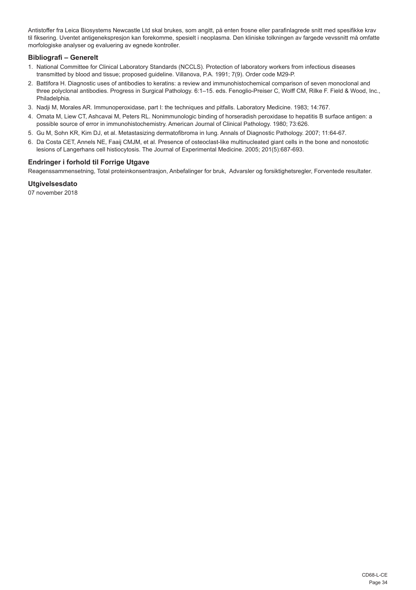Antistoffer fra Leica Biosystems Newcastle Ltd skal brukes, som angitt, på enten frosne eller parafinlagrede snitt med spesifikke krav til fiksering. Uventet antigenekspresjon kan forekomme, spesielt i neoplasma. Den kliniske tolkningen av fargede vevssnitt må omfatte morfologiske analyser og evaluering av egnede kontroller.

## **Bibliografi – Generelt**

- 1. National Committee for Clinical Laboratory Standards (NCCLS). Protection of laboratory workers from infectious diseases transmitted by blood and tissue; proposed guideline. Villanova, P.A. 1991; 7(9). Order code M29-P.
- 2. Battifora H. Diagnostic uses of antibodies to keratins: a review and immunohistochemical comparison of seven monoclonal and three polyclonal antibodies. Progress in Surgical Pathology. 6:1–15. eds. Fenoglio-Preiser C, Wolff CM, Rilke F. Field & Wood, Inc., Philadelphia.
- 3. Nadji M, Morales AR. Immunoperoxidase, part I: the techniques and pitfalls. Laboratory Medicine. 1983; 14:767.
- 4. Omata M, Liew CT, Ashcavai M, Peters RL. Nonimmunologic binding of horseradish peroxidase to hepatitis B surface antigen: a possible source of error in immunohistochemistry. American Journal of Clinical Pathology. 1980; 73:626.
- 5. Gu M, Sohn KR, Kim DJ, et al. Metastasizing dermatofibroma in lung. Annals of Diagnostic Pathology. 2007; 11:64-67.
- 6. Da Costa CET, Annels NE, Faaij CMJM, et al. Presence of osteoclast-like multinucleated giant cells in the bone and nonostotic lesions of Langerhans cell histiocytosis. The Journal of Experimental Medicine. 2005; 201(5):687-693.

### **Endringer i forhold til Forrige Utgave**

Reagenssammensetning, Total proteinkonsentrasjon, Anbefalinger for bruk, Advarsler og forsiktighetsregler, Forventede resultater.

## **Utgivelsesdato**

07 november 2018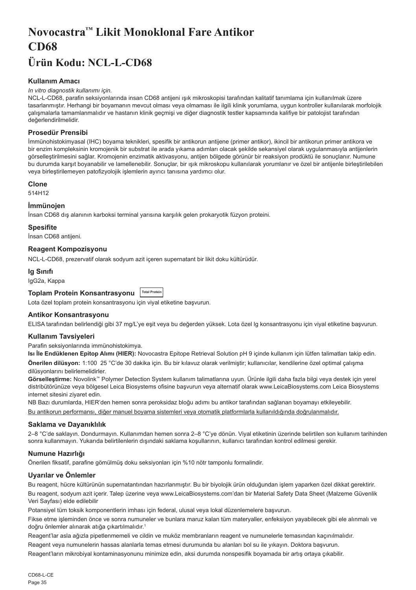## <span id="page-35-0"></span>**Novocastra™ Likit Monoklonal Fare Antikor CD68 Ürün Kodu: NCL-L-CD68**

## **Kullanım Amacı**

#### *In vitro diagnostik kullanımı için.*

NCL-L-CD68, parafin seksiyonlarında insan CD68 antijeni ışık mikroskopisi tarafından kalitatif tanımlama için kullanılmak üzere tasarlanmıştır. Herhangi bir boyamanın mevcut olması veya olmaması ile ilgili klinik yorumlama, uygun kontroller kullanılarak morfolojik çalışmalarla tamamlanmalıdır ve hastanın klinik geçmişi ve diğer diagnostik testler kapsamında kalifiye bir patolojist tarafından değerlendirilmelidir.

### **Prosedür Prensibi**

İmmünohistokimyasal (IHC) boyama teknikleri, spesifik bir antikorun antijene (primer antikor), ikincil bir antikorun primer antikora ve bir enzim kompleksinin kromojenik bir substrat ile arada yıkama adımları olacak şekilde sekansiyel olarak uygulanmasıyla antijenlerin görselleştirilmesini sağlar. Kromojenin enzimatik aktivasyonu, antijen bölgede görünür bir reaksiyon prodüktü ile sonuçlanır. Numune bu durumda karşıt boyanabilir ve lamellenebilir. Sonuçlar, bir ışık mikroskopu kullanılarak yorumlanır ve özel bir antijenle birleştirilebilen veya birleştirilemeyen patofizyolojik işlemlerin ayırıcı tanısına yardımcı olur.

## **Clone**

514H12

#### **İmmünojen**

İnsan CD68 dış alanının karboksi terminal yarısına karşılık gelen prokaryotik füzyon proteini.

**Spesifite**

İnsan CD68 antijeni.

## **Reagent Kompozisyonu**

NCL-L-CD68, prezervatif olarak sodyum azit içeren supernatant bir likit doku kültürüdür.

#### **Ig Sınıfı**

IgG2a, Kappa

## **Toplam Protein Konsantrasyonu Total Protein**

Lota özel toplam protein konsantrasyonu için viyal etiketine başvurun.

#### **Antikor Konsantrasyonu**

ELISA tarafından belirlendiği gibi 37 mg/L'ye eşit veya bu değerden yüksek. Lota özel lg konsantrasyonu için viyal etiketine başvurun.

#### **Kullanım Tavsiyeleri**

Parafin seksiyonlarında immünohistokimya.

**Isı İle Endüklenen Epitop Alımı (HIER):** Novocastra Epitope Retrieval Solution pH 9 içinde kullanım için lütfen talimatları takip edin.

**Önerilen dilüsyon:** 1:100 25 °C'de 30 dakika için. Bu bir kılavuz olarak verilmiştir; kullanıcılar, kendilerine özel optimal çalışma dilüsyonlarını belirlemelidirler.

**Görselleştirme:** Novolink™ Polymer Detection System kullanım talimatlarına uyun. Ürünle ilgili daha fazla bilgi veya destek için yerel distribütörünüze veya bölgesel Leica Biosystems ofisine başvurun veya alternatif olarak www.LeicaBiosystems.com Leica Biosystems internet sitesini ziyaret edin.

NB Bazı durumlarda, HIER'den hemen sonra peroksidaz bloğu adımı bu antikor tarafından sağlanan boyamayı etkileyebilir.

Bu antikorun performansı, diğer manuel boyama sistemleri veya otomatik platformlarla kullanıldığında doğrulanmalıdır.

#### **Saklama ve Dayanıklılık**

2–8 °C'de saklayın. Dondurmayın. Kullanımdan hemen sonra 2–8 °C'ye dönün. Viyal etiketinin üzerinde belirtilen son kullanım tarihinden sonra kullanmayın. Yukarıda belirtilenlerin dışındaki saklama koşullarının, kullanıcı tarafından kontrol edilmesi gerekir.

#### **Numune Hazırlığı**

Önerilen fiksatif, parafine gömülmüş doku seksiyonları için %10 nötr tamponlu formalindir.

## **Uyarılar ve Önlemler**

Bu reagent, hücre kültürünün supernatantından hazırlanmıştır. Bu bir biyolojik ürün olduğundan işlem yaparken özel dikkat gerektirir. Bu reagent, sodyum azit içerir. Talep üzerine veya www.LeicaBiosystems.com'dan bir Material Safety Data Sheet (Malzeme Güvenlik Veri Sayfası) elde edilebilir

Potansiyel tüm toksik komponentlerin imhası için federal, ulusal veya lokal düzenlemelere başvurun.

Fikse etme işleminden önce ve sonra numuneler ve bunlara maruz kalan tüm materyaller, enfeksiyon yayabilecek gibi ele alınmalı ve doğru önlemler alınarak atığa çıkartılmalıdır.<sup>1</sup>

Reagent'lar asla ağızla pipetlenmemeli ve cildin ve muköz membranların reagent ve numunelerle temasından kaçınılmalıdır.

Reagent veya numunelerin hassas alanlarla temas etmesi durumunda bu alanları bol su ile yıkayın. Doktora başvurun.

Reagent'ların mikrobiyal kontaminasyonunu minimize edin, aksi durumda nonspesifik boyamada bir artış ortaya çıkabilir.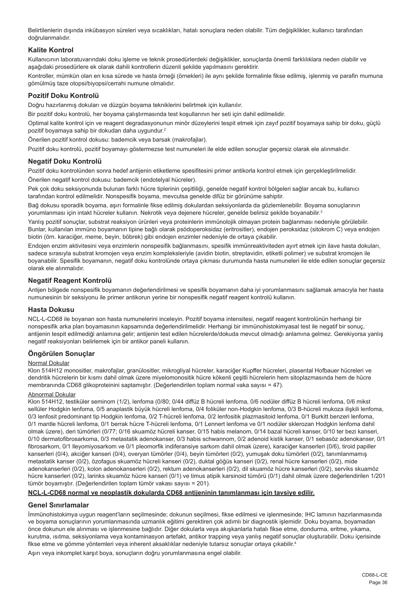Belirtilenlerin dışında inkübasyon süreleri veya sıcaklıkları, hatalı sonuçlara neden olabilir. Tüm değişiklikler, kullanıcı tarafından doğrulanmalıdır.

### **Kalite Kontrol**

Kullanıcının laboratuvarındaki doku işleme ve teknik prosedürlerdeki değişiklikler, sonuçlarda önemli farklılıklara neden olabilir ve aşağıdaki prosedürlere ek olarak dahili kontrollerin düzenli şekilde yapılmasını gerektirir.

Kontroller, mümkün olan en kısa sürede ve hasta örneği (örnekleri) ile aynı şekilde formalinle fikse edilmiş, işlenmiş ve parafin mumuna gömülmüş taze otopsi/biyopsi/cerrahi numune olmalıdır.

#### **Pozitif Doku Kontrolü**

Doğru hazırlanmış dokuları ve düzgün boyama tekniklerini belirtmek için kullanılır.

Bir pozitif doku kontrolü, her boyama çalıştırmasında test koşullarının her seti için dahil edilmelidir.

Optimal kalite kontrol için ve reagent degradasyonunun minör düzeylerini tespit etmek için zayıf pozitif boyamaya sahip bir doku, güçlü pozitif boyamaya sahip bir dokudan daha uygundur.<sup>2</sup>

Önerilen pozitif kontrol dokusu: bademcik veya barsak (makrofajlar).

Pozitif doku kontrolü, pozitif boyamayı göstermezse test numuneleri ile elde edilen sonuçlar geçersiz olarak ele alınmalıdır.

### **Negatif Doku Kontrolü**

Pozitif doku kontrolünden sonra hedef antijenin etiketleme spesifitesini primer antikorla kontrol etmek için gerçekleştirilmelidir.

Önerilen negatif kontrol dokusu: bademcik (endotelyal hücreler).

Pek çok doku seksiyonunda bulunan farklı hücre tiplerinin çeşitliliği, genelde negatif kontrol bölgeleri sağlar ancak bu, kullanıcı tarafından kontrol edilmelidir. Nonspesifik boyama, mevcutsa genelde difüz bir görünüme sahiptir.

Bağ dokusu sporadik boyama, aşırı formalinle fikse edilmiş dokulardan seksiyonlarda da gözlemlenebilir. Boyama sonuçlarının yorumlanması için intakt hücreler kullanın. Nekrotik veya dejenere hücreler, genelde belirsiz şekilde boyanabilir.<sup>3</sup>

Yanlış pozitif sonuçlar, substrat reaksiyon ürünleri veya proteinlerin immünolojik olmayan protein bağlanması nedeniyle görülebilir. Bunlar, kullanılan immüno boyamanın tipine bağlı olarak psödoperoksidaz (eritrositler), endojen peroksidaz (sitokrom C) veya endojen biotin (örn. karaciğer, meme, beyin, böbrek) gibi endojen enzimler nedeniyle de ortaya çıkabilir.

Endojen enzim aktivitesini veya enzimlerin nonspesifik bağlanmasını, spesifik immünreaktiviteden ayırt etmek için ilave hasta dokuları, sadece sırasıyla substrat kromojen veya enzim kompleksleriyle (avidin biotin, streptavidin, etiketli polimer) ve substrat kromojen ile boyanabilir. Spesifik boyamanın, negatif doku kontrolünde ortaya çıkması durumunda hasta numuneleri ile elde edilen sonuçlar geçersiz olarak ele alınmalıdır.

#### **Negatif Reagent Kontrolü**

Antijen bölgede nonspesifik boyamanın değerlendirilmesi ve spesifik boyamanın daha iyi yorumlanmasını sağlamak amacıyla her hasta numunesinin bir seksiyonu ile primer antikorun yerine bir nonspesifik negatif reagent kontrolü kullanın.

#### **Hasta Dokusu**

NCL-L-CD68 ile boyanan son hasta numunelerini inceleyin. Pozitif boyama intensitesi, negatif reagent kontrolünün herhangi bir nonspesifik arka plan boyamasının kapsamında değerlendirilmelidir. Herhangi bir immünohistokimyasal test ile negatif bir sonuç, antijenin tespit edilmediği anlamına gelir; antijenin test edilen hücrelerde/dokuda mevcut olmadığı anlamına gelmez. Gerekiyorsa yanlış negatif reaksiyonları belirlemek için bir antikor paneli kullanın.

### **Öngörülen Sonuçlar**

#### Normal Dokular

Klon 514H12 monositler, makrofajlar, granülositler, mikrogliyal hücreler, karaciğer Kupffer hücreleri, plasental Hofbauer hücreleri ve dendritik hücrelerin bir kısmı dahil olmak üzere miyelomonositik hücre kökenli çeşitli hücrelerin hem sitoplazmasında hem de hücre membranında CD68 glikoproteinini saptamıştır. (Değerlendirilen toplam normal vaka sayısı = 47).

#### Abnormal Dokular

Klon 514H12, testiküler seminom (1/2), lenfoma (0/80; 0/44 diffüz B hücreli lenfoma, 0/6 nodüler diffüz B hücreli lenfoma, 0/6 mikst sellüler Hodgkin lenfoma, 0/5 anaplastik büyük hücreli lenfoma, 0/4 foliküler non-Hodgkin lenfoma, 0/3 B-hücreli mukoza ilişkili lenfoma, 0/3 lenfosit predominant tip Hodgkin lenfoma, 0/2 T-hücreli lenfoma, 0/2 lenfositik plazmasitoid lenfoma, 0/1 Burkitt benzeri lenfoma, 0/1 mantle hücreli lenfoma, 0/1 berrak hücre T-hücreli lenfoma, 0/1 Lennert lenfoma ve 0/1 nodüler sklerozan Hodgkin lenfoma dahil olmak üzere), deri tümörleri (0/77; 0/16 skuamöz hücreli kanser, 0/15 habis melanom, 0/14 bazal hücreli kanser, 0/10 ter bezi kanseri, 0/10 dermatofibrosarkoma, 0/3 metastatik adenokanser, 0/3 habis schwannom, 0/2 adenoid kistik kanser, 0/1 sebasöz adenokanser, 0/1 fibrosarkom, 0/1 lleyomiyosarkom ve 0/1 pleomorfik indiferansiye sarkom dahil olmak üzere), karaciğer kanserleri (0/6), tiroid papiller kanserleri (0/4), akciğer kanseri (0/4), overyan tümörler (0/4), beyin tümörleri (0/2), yumuşak doku tümörleri (0/2), tanımlanmamış metastatik kanser (0/2), özofagus skuamöz hücreli kanseri (0/2), duktal göğüs kanseri (0/2), renal hücre kanserleri (0/2), mide adenokanserleri (0/2), kolon adenokanserleri (0/2), rektum adenokanserleri (0/2), dil skuamöz hücre kanserleri (0/2), serviks skuamöz hücre kanserleri (0/2), larinks skuamöz hücre kanseri (0/1) ve timus atipik karsinoid tümörü (0/1) dahil olmak üzere değerlendirilen 1/201 tümör boyamıştır. (Değerlendirilen toplam tümör vakası sayısı = 201).

#### **NCL-L-CD68 normal ve neoplastik dokularda CD68 antijeninin tanımlanması için tavsiye edilir.**

#### **Genel Sınırlamalar**

İmmünohistokimya uygun reagent'ların seçilmesinde; dokunun seçilmesi, fikse edilmesi ve işlenmesinde; IHC lamının hazırlanmasında ve boyama sonuçlarının yorumlanmasında uzmanlık eğitimi gerektiren çok adımlı bir diagnostik işlemidir. Doku boyama, boyamadan önce dokunun ele alınması ve işlenmesine bağlıdır. Diğer dokularla veya akışkanlarla hatalı fikse etme, dondurma, eritme, yıkama, kurutma, ısıtma, seksiyonlama veya kontaminasyon artefakt, antikor trapping veya yanlış negatif sonuçlar oluşturabilir. Doku içerisinde fikse etme ve gömme yöntemleri veya inherent aksaklıklar nedeniyle tutarsız sonuçlar ortaya çıkabilir. 4

Aşırı veya inkomplet karşıt boya, sonuçların doğru yorumlanmasına engel olabilir.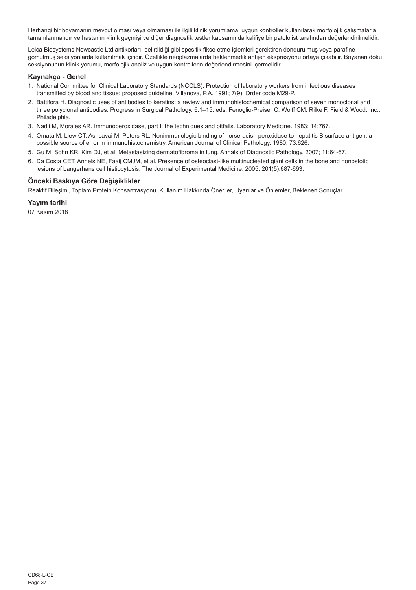Herhangi bir boyamanın mevcut olması veya olmaması ile ilgili klinik yorumlama, uygun kontroller kullanılarak morfolojik çalışmalarla tamamlanmalıdır ve hastanın klinik geçmişi ve diğer diagnostik testler kapsamında kalifiye bir patolojist tarafından değerlendirilmelidir.

Leica Biosystems Newcastle Ltd antikorları, belirtildiği gibi spesifik fikse etme işlemleri gerektiren dondurulmuş veya parafine gömülmüş seksiyonlarda kullanılmak içindir. Özellikle neoplazmalarda beklenmedik antijen ekspresyonu ortaya çıkabilir. Boyanan doku seksiyonunun klinik yorumu, morfolojik analiz ve uygun kontrollerin değerlendirmesini içermelidir.

## **Kaynakça - Genel**

- 1. National Committee for Clinical Laboratory Standards (NCCLS). Protection of laboratory workers from infectious diseases transmitted by blood and tissue; proposed guideline. Villanova, P.A. 1991; 7(9). Order code M29-P.
- 2. Battifora H. Diagnostic uses of antibodies to keratins: a review and immunohistochemical comparison of seven monoclonal and three polyclonal antibodies. Progress in Surgical Pathology. 6:1–15. eds. Fenoglio-Preiser C, Wolff CM, Rilke F. Field & Wood, Inc., Philadelphia.
- 3. Nadji M, Morales AR. Immunoperoxidase, part I: the techniques and pitfalls. Laboratory Medicine. 1983; 14:767.
- 4. Omata M, Liew CT, Ashcavai M, Peters RL. Nonimmunologic binding of horseradish peroxidase to hepatitis B surface antigen: a possible source of error in immunohistochemistry. American Journal of Clinical Pathology. 1980; 73:626.
- 5. Gu M, Sohn KR, Kim DJ, et al. Metastasizing dermatofibroma in lung. Annals of Diagnostic Pathology. 2007; 11:64-67.
- 6. Da Costa CET, Annels NE, Faaij CMJM, et al. Presence of osteoclast-like multinucleated giant cells in the bone and nonostotic lesions of Langerhans cell histiocytosis. The Journal of Experimental Medicine. 2005; 201(5):687-693.

## **Önceki Baskıya Göre Değişiklikler**

Reaktif Bileşimi, Toplam Protein Konsantrasyonu, Kullanım Hakkında Öneriler, Uyarılar ve Önlemler, Beklenen Sonuçlar.

## **Yayım tarihi**

07 Kasım 2018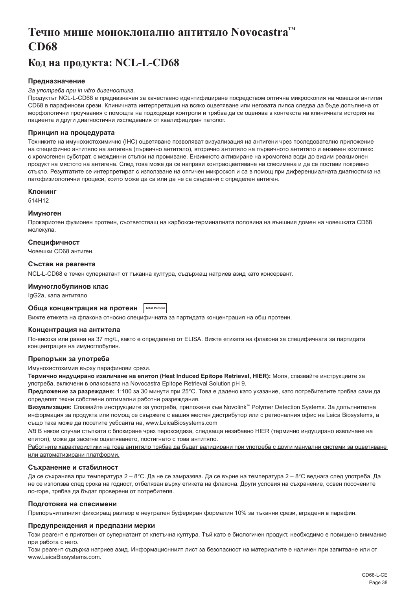## <span id="page-38-0"></span>**Течно мише моноклонално антитяло Novocastra™ CD68**

## **Код на продукта: NCL-L-CD68**

#### **Предназначение**

#### *За употреба при in vitro диагностика.*

Продуктът NCL-L-CD68 е предназначен за качествено идентифициране посредством оптична микроскопия на човешки антиген CD68 в парафинови срези. Клиничната интерпретация на всяко оцветяване или неговата липса следва да бъде допълнена от морфологични проучвания с помощта на подходящи контроли и трябва да се оценява в контекста на клиничната история на пациента и други диагностични изследвания от квалифициран патолог.

#### **Принцип на процедурата**

Техниките на имунохистохимично (IHC) оцветяване позволяват визуализация на антигени чрез последователно приложение на специфично антитяло на антигена (първично антитяло), вторично антитяло на първичното антитяло и ензимен комплекс с хромогенен субстрат, с междинни стъпки на промиване. Ензимното активиране на хромогена води до видим реакционен продукт на мястото на антигена. След това може да се направи контраоцветяване на спесимена и да се постави покривно стъкло. Резултатите се интерпретират с използване на оптичен микроскоп и са в помощ при диференциалната диагностика на патофизиологични процеси, които може да са или да не са свързани с определен антиген.

#### **Клонинг**

514H12

#### **Имуноген**

Прокариотен фузионен протеин, съответстващ на карбокси-терминалната половина на външния домен на човешката CD68 молекула.

### **Специфичност**

Човешки CD68 антиген.

#### **Състав на реагента**

NCL-L-CD68 е течен супернатант от тъканна култура, съдържащ натриев азид като консервант.

#### **Имуноглобулинов клас**

IgG2a, капа антитяло

### **Обща концентрация на протеин Total Protein**

Вижте етикета на флакона относно специфичната за партидата концентрация на общ протеин.

#### **Концентрация на антитела**

По-висока или равна на 37 mg/L, както е определено от ELISA. Вижте етикета на флакона за специфичната за партидата концентрация на имуноглобулин.

#### **Препоръки за употреба**

Имунохистохимия върху парафинови срези.

**Термично индуцирано извличане на епитоп (Heat Induced Epitope Retrieval, HIER):** Моля, спазвайте инструкциите за употреба, включени в опаковката на Novocastra Epitope Retrieval Solution pH 9.

**Предложение за разреждане:** 1:100 за 30 минути при 25°C. Това е дадено като указание, като потребителите трябва сами да определят техни собствени оптимални работни разреждания.

**Визуализация:** Спазвайте инструкциите за употреба, приложени към Novolink™ Polymer Detection Systems. За допълнителна информация за продукта или помощ се свържете с вашия местен дистрибутор или с регионалния офис на Leica Biosystems, а също така може да посетите уебсайта на, www.LeicaBiosystems.com

*NB* В някои случаи стъпката с блокиране чрез пероксидаза, следваща незабавно HIER (термично индуцирано извличане на епитоп), може да засегне оцветяването, постигнато с това антитяло.

Работните характеристики на това антитяло трябва да бъдат валидирани при употреба с други мануални системи за оцветяване или автоматизирани платформи.

#### **Съхранение и стабилност**

Да се съхранява при температура 2 – 8°C. Да не се замразява. Да се върне на температура 2 – 8°C веднага след употреба. Да не се използва след срока на годност, отбелязан върху етикета на флакона. Други условия на съхранение, освен посочените по-горе, трябва да бъдат проверени от потребителя.

#### **Подготовка на спесимени**

Препоръчителният фиксиращ разтвор е неутрален буфериран формалин 10% за тъканни срези, вградени в парафин.

#### **Предупреждения и предпазни мерки**

Този реагент е приготвен от супернатант от клетъчна култура. Тъй като е биологичен продукт, необходимо е повишено внимание при работа с него.

Този реагент съдържа натриев азид. Информационният лист за безопасност на материалите е наличен при запитване или от www.LeicaBiosystems.com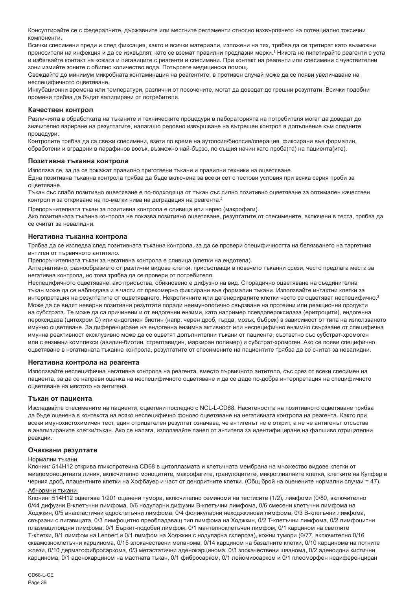Консултирайте се с федералните, държавните или местните регламенти относно изхвърлянето на потенциално токсични компоненти.

Всички спесимени преди и след фиксация, както и всички материали, изложени на тях, трябва да се третират като възможни преносители на инфекция и да се изхвърлят, като се вземат правилни предпазни мерки.' Никога не пипетирайте реагенти с уста и избягвайте контакт на кожата и лигавиците с реагенти и спесимени. При контакт на реагенти или спесимени с чувствителни зони измийте зоните с обилно количество вода. Потърсете медицинска помощ.

Свеждайте до минимум микробната контаминация на реагентите, в противен случай може да се появи увеличаване на неспецифичното оцветяване.

Инкубационни времена или температури, различни от посочените, могат да доведат до грешни резултати. Всички подобни промени трябва да бъдат валидирани от потребителя.

#### **Качествен контрол**

Различията в обработката на тъканите и техническите процедури в лабораторията на потребителя могат да доведат до значително вариране на резултатите, налагащо редовно извършване на вътрешен контрол в допълнение към следните процедури.

Контролите трябва да са свежи спесимени, взети по време на аутопсия/биопсия/операция, фиксирани във формалин, обработени и вградени в парафинов восък, възможно най-бързо, по същия начин като проба(та) на пациента(ите).

#### **Позитивна тъканна контрола**

Използва се, за да се покажат правилно приготвени тъкани и правилни техники на оцветяване.

Една позитивна тъканна контрола трябва да бъде включена за всеки сет с тестови условия при всяка серия проби за оцветяване.

Тъкан със слабо позитивно оцветяване е по-подходяща от тъкан със силно позитивно оцветяване за оптимален качествен контрол и за откриване на по-малки нива на деградация на реагента.<sup>2</sup>

Препоръчителната тъкан за позитивна контрола е сливица или черво (макрофаги).

Ако позитивната тъканна контрола не показва позитивно оцветяване, резултатите от спесимените, включени в теста, трябва да се считат за невалидни.

#### **Негативна тъканна контрола**

Трябва да се изследва след позитивната тъканна контрола, за да се провери специфичността на белязването на таргетния антиген от първичното антитяло.

Препоръчителната тъкан за негативна контрола е сливица (клетки на ендотела).

Алтернативно, разнообразието от различни видове клетки, присъстващи в повечето тъканни срези, често предлага места за негативна контрола, но това трябва да се провери от потребителя.

Неспецифичното оцветяване, ако присъства, обикновено е дифузно на вид. Спорадично оцветяване на съединителна тъкан може да се наблюдава и в части от прекомерно фиксирани във формалин тъкани. Използвайте интактни клетки за интерпретация на резултатите от оцветяването. Некротичните или дегенериралите клетки често се оцветяват неспецифично.<sup>3</sup> Може да се видят неверни позитивни резултати поради неимунологично свързване на протеини или реакционни продукти на субстрата. Те може да са причинени и от ендогенни ензими, като например псевдопероксидаза (еритроцити), ендогенна пероксидаза (цитохром C) или ендогенен биотин (напр. черен дроб, гърда, мозък, бъбрек) в зависимост от типа на използваното имунно оцветяване. За диференциране на ендогенна ензимна активност или неспецифично ензимно свързване от специфична имунна реактивност ексклузивно може да се оцветят допълнителни тъкани от пациента, съответно със субстрат-хромоген или с ензимни комплекси (авидин-биотин, стрептавидин, маркиран полимер) и субстрат-хромоген. Ако се появи специфично оцветяване в негативната тъканна контрола, резултатите от спесимените на пациентите трябва да се считат за невалидни.

#### **Негативна контрола на реагента**

Използвайте неспецифична негативна контрола на реагента, вместо първичното антитяло, със срез от всеки спесимен на пациента, за да се направи оценка на неспецифичното оцветяване и да се даде по-добра интерпретация на специфичното оцветяване на мястото на антигена.

#### **Тъкан от пациента**

Изследвайте спесимените на пациенти, оцветени последно с NCL-L-CD68. Наситеността на позитивното оцветяване трябва да бъде оценена в контекста на всяко неспецифично фоново оцветяване на негативната контрола на реагента. Както при всеки имунохистохимичен тест, един отрицателен резултат означава, че антигенът не е открит, а не че антигенът отсъства в анализираните клетки/тъкан. Ако се налага, използвайте панел от антитела за идентифициране на фалшиво отрицателни реакции.

#### **Очаквани резултати**

#### Нормални тъкани

Клонинг 514H12 открива гликопротеина CD68 в цитоплазмата и клетъчната мембрана на множество видове клетки от миеломоноцитната линия, включително моноцитите, макрофагите, гранулоцитите, микроглиалните клетки, клетките на Купфер в черния дроб, плацентните клетки на Хофбауер и част от дендритните клетки. (Общ брой на оценените нормални случаи = 47).

#### Абнормни тъкани

Клонинг 514H12 оцветява 1/201 оценени тумора, включително семиноми на тестисите (1/2), лимфоми (0/80, включително 0/44 дифузни В-клетъчни лимфома, 0/6 нодуларни дифузни В-клетъчни лимфома, 0/6 смесени клетъчни лимфома на Ходжкин, 0/5 анапластични едроклетъчни лимфома, 0/4 фоликуларни неходжкинови лимфома, 0/3 B-клетъчни лимфома, свързани с лигавицата, 0/3 лимфоцитно преобладаващ тип лимфома на Ходжкин, 0/2 T-клетъчни лимфома, 0/2 лимфоцитни плазмацитоидни лимфома, 0/1 Бъркит-подобен лимфом. 0/1 мантелноклетъчен лимфом, 0/1 карцином на светлите Т-клетки, 0/1 лимфом на Lennert и 0/1 лимфом на Ходжкин с нодуларна склероза), кожни тумори (0/77, включително 0/16 сквамозноклетъчни карцинома, 0/15 злокачествени меланома, 0/14 карцином на базалните клетки, 0/10 карцинома на потните жлези, 0/10 дерматофибросаркома, 0/3 метастатични аденокарцинома, 0/3 злокачествени шванома, 0/2 аденоидни кистични карцинома, 0/1 аденокарцином на мастната тъкан, 0/1 фибросарком, 0/1 лейомиосарком и 0/1 плеоморфен недиференциран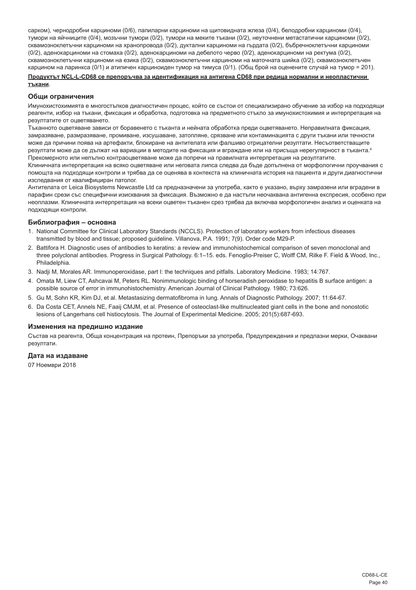сарком), чернодробни карциноми (0/6), папиларни карциноми на щитовидната жлеза (0/4), белодробни карциноми (0/4), тумори на яйчниците (0/4), мозъчни тумори (0/2), тумори на меките тъкани (0/2), неуточнени метастатични карциноми (0/2), сквамозноклетъчни карциноми на хранопровода (0/2), дуктални карциноми на гърдата (0/2), бъбречноклетъчни карциноми (0/2), аденокарциноми на стомаха (0/2), аденокарциноми на дебелото черво (0/2), аденокарциноми на ректума (0/2), сквамозноклетъчни карциноми на езика (0/2), сквамозноклетъчни карциноми на маточната шийка (0/2), сквамозноклетъчен карцином на ларинкса (0/1) и атипичен карциноиден тумор на тимуса (0/1). (Общ брой на оценените случай на тумор = 201).

#### **Продуктът NCL-L-CD68 се препоръчва за идентификация на антигена CD68 при редица нормални и неопластични тъкани**.

#### **Общи ограничения**

Имунохистохимията е многостъпков диагностичен процес, който се състои от специализирано обучение за избор на подходящи реагенти, избор на тъкани, фиксация и обработка, подготовка на предметното стъкло за имунохистохимия и интерпретация на резултатите от оцветяването.

Тъканното оцветяване зависи от боравенето с тъканта и нейната обработка преди оцветяването. Неправилната фиксация, замразяване, размразяване, промиване, изсушаване, затопляне, срязване или контаминацията с други тъкани или течности може да причини поява на артефакти, блокиране на антителата или фалшиво отрицателни резултати. Несъответстващите резултати може да се дължат на вариации в методите на фиксация и вграждане или на присъща нерегулярност в тъканта.<sup>4</sup> Прекомерното или непълно контраоцветяване може да попречи на правилната интерпретация на резултатите. Клиничната интерпретация на всяко оцветяване или неговата липса следва да бъде допълнена от морфологични проучвания с

помощта на подходящи контроли и трябва да се оценява в контекста на клиничната история на пациента и други диагностични изследвания от квалифициран патолог.

Антителата от Leica Biosystems Newcastle Ltd са предназначени за употреба, както е указано, върху замразени или вградени в парафин срези със специфични изисквания за фиксация. Възможно е да настъпи неочаквана антигенна експресия, особено при неоплазми. Клиничната интерпретация на всеки оцветен тъканен срез трябва да включва морфологичен анализ и оценката на подходящи контроли.

#### **Библиография – основна**

- 1. National Committee for Clinical Laboratory Standards (NCCLS). Protection of laboratory workers from infectious diseases transmitted by blood and tissue; proposed guideline. Villanova, P.A. 1991; 7(9). Order code M29-P.
- 2. Battifora H. Diagnostic uses of antibodies to keratins: a review and immunohistochemical comparison of seven monoclonal and three polyclonal antibodies. Progress in Surgical Pathology. 6:1–15. eds. Fenoglio-Preiser C, Wolff CM, Rilke F. Field & Wood, Inc., Philadelphia.
- 3. Nadji M, Morales AR. Immunoperoxidase, part I: the techniques and pitfalls. Laboratory Medicine. 1983; 14:767.
- 4. Omata M, Liew CT, Ashcavai M, Peters RL. Nonimmunologic binding of horseradish peroxidase to hepatitis B surface antigen: a possible source of error in immunohistochemistry. American Journal of Clinical Pathology. 1980; 73:626.
- 5. Gu M, Sohn KR, Kim DJ, et al. Metastasizing dermatofibroma in lung. Annals of Diagnostic Pathology. 2007; 11:64-67.
- 6. Da Costa CET, Annels NE, Faaij CMJM, et al. Presence of osteoclast-like multinucleated giant cells in the bone and nonostotic lesions of Langerhans cell histiocytosis. The Journal of Experimental Medicine. 2005; 201(5):687-693.

#### **Изменения на предишно издание**

Състав на реагента, Обща концентрация на протеин, Препоръки за употреба, Предупреждения и предпазни мерки, Очаквани резултати.

#### **Дата на издаване**

07 Ноември 2018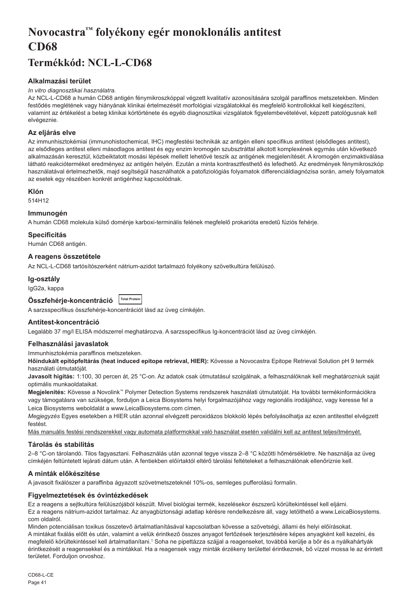## <span id="page-41-0"></span>**Novocastra™ folyékony egér monoklonális antitest CD68**

## **Termékkód: NCL-L-CD68**

## **Alkalmazási terület**

#### *In vitro diagnosztikai használatra.*

Az NCL-L-CD68 a humán CD68 antigén fénymikroszkóppal végzett kvalitatív azonosítására szolgál paraffinos metszetekben. Minden festődés meglétének vagy hiányának klinikai értelmezését morfológiai vizsgálatokkal és megfelelő kontrollokkal kell kiegészíteni, valamint az értékelést a beteg klinikai kórtörténete és egyéb diagnosztikai vizsgálatok figyelembevételével, képzett patológusnak kell elvégeznie.

## **Az eljárás elve**

Az immunhisztokémiai (immunohistochemical, IHC) megfestési technikák az antigén elleni specifikus antitest (elsődleges antitest), az elsődleges antitest elleni másodlagos antitest és egy enzim kromogén szubsztráttal alkotott komplexének egymás után következő alkalmazásán keresztül, közbeiktatott mosási lépések mellett lehetővé teszik az antigének megjelenítését. A kromogén enzimaktiválása látható reakcióterméket eredményez az antigén helyén. Ezután a minta kontrasztfesthető és lefedhető. Az eredmények fénymikroszkóp használatával értelmezhetők, majd segítségül használhatók a patofiziológiás folyamatok differenciáldiagnózisa során, amely folyamatok az esetek egy részében konkrét antigénhez kapcsolódnak.

## **Klón**

514H12

## **Immunogén**

A humán CD68 molekula külső doménje karboxi-terminális felének megfelelő prokarióta eredetű fúziós fehérje.

### **Specificitás**

Humán CD68 antigén.

## **A reagens összetétele**

Az NCL-L-CD68 tartósítószerként nátrium-azidot tartalmazó folyékony szövetkultúra felülúszó.

#### **Ig-osztály**

IgG2a, kappa

| Összfehérje-koncentráció Total Protein |  |
|----------------------------------------|--|
|                                        |  |

A sarzsspecifikus összfehérje-koncentrációt lásd az üveg címkéjén.

#### **Antitest-koncentráció**

Legalább 37 mg/l ELISA módszerrel meghatározva. A sarzsspecifikus Ig-koncentrációt lásd az üveg címkéjén.

#### **Felhasználási javaslatok**

Immunhisztokémia paraffinos metszeteken.

**Hőindukált epitópfeltárás (heat induced epitope retrieval, HIER):** Kövesse a Novocastra Epitope Retrieval Solution pH 9 termék használati útmutatóját.

**Javasolt hígítás:** 1:100, 30 percen át, 25 °C-on. Az adatok csak útmutatásul szolgálnak, a felhasználóknak kell meghatározniuk saját optimális munkaoldataikat.

**Megjelenítés:** Kövesse a Novolink™ Polymer Detection Systems rendszerek használati útmutatóját. Ha további termékinformációkra vagy támogatásra van szüksége, forduljon a Leica Biosystems helyi forgalmazójához vagy regionális irodájához, vagy keresse fel a Leica Biosystems weboldalát a www.LeicaBiosystems.com címen.

*Megjegyzés* Egyes esetekben a HIER után azonnal elvégzett peroxidázos blokkoló lépés befolyásolhatja az ezen antitesttel elvégzett festést.

Más manuális festési rendszerekkel vagy automata platformokkal való használat esetén validálni kell az antitest teljesítményét.

#### **Tárolás és stabilitás**

2–8 °C-on tárolandó. Tilos fagyasztani. Felhasználás után azonnal tegye vissza 2–8 °C közötti hőmérsékletre. Ne használja az üveg címkéjén feltüntetett lejárati dátum után. A fentiekben előírtaktól eltérő tárolási feltételeket a felhasználónak ellenőriznie kell.

## **A minták előkészítése**

A javasolt fixálószer a paraffinba ágyazott szövetmetszeteknél 10%-os, semleges pufferolású formalin.

## **Figyelmeztetések és óvintézkedések**

Ez a reagens a sejtkultúra felülúszójából készült. Mivel biológiai termék, kezelésekor észszerű körültekintéssel kell eljárni. Ez a reagens nátrium-azidot tartalmaz. Az anyagbiztonsági adatlap kérésre rendelkezésre áll, vagy letölthető a www.LeicaBiosystems. com oldalról.

Minden potenciálisan toxikus összetevő ártalmatlanításával kapcsolatban kövesse a szövetségi, állami és helyi előírásokat. A mintákat fixálás előtt és után, valamint a velük érintkező összes anyagot fertőzések terjesztésére képes anyagként kell kezelni, és megfelelő körültekintéssel kell ártalmatlanítani.1 Soha ne pipettázza szájjal a reagenseket, továbbá kerülje a bőr és a nyálkahártyák érintkezését a reagensekkel és a mintákkal. Ha a reagensek vagy minták érzékeny területtel érintkeznek, bő vízzel mossa le az érintett területet. Fordulion orvoshoz.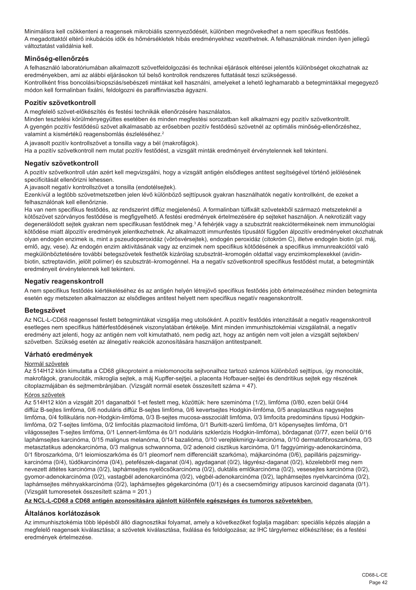Minimálisra kell csökkenteni a reagensek mikrobiális szennyeződését, különben megnövekedhet a nem specifikus festődés. A megadottaktól eltérő inkubációs idők és hőmérsékletek hibás eredményekhez vezethetnek. A felhasználónak minden ilyen jellegű változtatást validálnia kell.

#### **Minőség-ellenőrzés**

A felhasználó laboratóriumában alkalmazott szövetfeldolgozási és technikai eljárások eltérései jelentős különbséget okozhatnak az eredményekben, ami az alábbi eljárásokon túl belső kontrollok rendszeres futtatását teszi szükségessé. Kontrollként friss boncolási/biopsziás/sebészeti mintákat kell használni, amelyeket a lehető leghamarabb a betegmintákkal megegyező módon kell formalinban fixálni, feldolgozni és paraffinviaszba ágyazni.

### **Pozitív szövetkontroll**

A megfelelő szövet-előkészítés és festési technikák ellenőrzésére használatos.

Minden tesztelési körülményegyüttes esetében és minden megfestési sorozatban kell alkalmazni egy pozitív szövetkontrollt. A gyengén pozitív festődésű szövet alkalmasabb az erősebben pozitív festődésű szövetnél az optimális minőség-ellenőrzéshez, valamint a kismértékű reagensbomlás észleléséhez.<sup>2</sup>

A javasolt pozitív kontrollszövet a tonsilla vagy a bél (makrofágok).

Ha a pozitív szövetkontroll nem mutat pozitív festődést, a vizsgált minták eredményeit érvénytelennek kell tekinteni.

#### **Negatív szövetkontroll**

A pozitív szövetkontroll után azért kell megvizsgálni, hogy a vizsgált antigén elsődleges antitest segítségével történő jelölésének specificitását ellenőrizni lehessen.

A javasolt negatív kontrollszövet a tonsilla (endotélsejtek).

Ezenkívül a legtöbb szövetmetszetben jelen lévő különböző sejttípusok gyakran használhatók negatív kontrollként, de ezeket a felhasználónak kell ellenőriznie.

Ha van nem specifikus festődés, az rendszerint diffúz megjelenésű. A formalinban túlfixált szövetekből származó metszeteknél a kötőszövet szórványos festődése is megfigyelhető. A festési eredmények értelmezésére ép sejteket használjon. A nekrotizált vagy degenerálódott sejtek gyakran nem specifikusan festődnek meg.<sup>3</sup> A fehérjék vagy a szubsztrát reakciótermékeinek nem immunológiai kötődése miatt álpozitív eredmények jelentkezhetnek. Az alkalmazott immunfestés típusától függően álpozitív eredményeket okozhatnak olyan endogén enzimek is, mint a pszeudoperoxidáz (vörösvérsejtek), endogén peroxidáz (citokróm C), illetve endogén biotin (pl. máj, emlő, agy, vese). Az endogén enzim aktivitásának vagy az enzimek nem specifikus kötődésének a specifikus immunreakciótól való megkülönböztetésére további betegszövetek festhetők kizárólag szubsztrát–kromogén oldattal vagy enzimkomplexekkel (avidinbiotin, sztreptavidin, jelölt polimer) és szubsztrát–kromogénnel. Ha a negatív szövetkontroll specifikus festődést mutat, a betegminták eredményeit érvénytelennek kell tekinteni.

#### **Negatív reagenskontroll**

A nem specifikus festődés kiértékeléséhez és az antigén helyén létrejövő specifikus festődés jobb értelmezéséhez minden betegminta esetén egy metszeten alkalmazzon az elsődleges antitest helyett nem specifikus negatív reagenskontrollt.

#### **Betegszövet**

Az NCL-L-CD68 reagenssel festett betegmintákat vizsgálja meg utolsóként. A pozitív festődés intenzitását a negatív reagenskontroll esetleges nem specifikus háttérfestődésének viszonylatában értékelje. Mint minden immunhisztokémiai vizsgálatnál, a negatív eredmény azt jelenti, hogy az antigén nem volt kimutatható, nem pedig azt, hogy az antigén nem volt jelen a vizsgált sejtekben/ szövetben. Szükség esetén az álnegatív reakciók azonosítására használjon antitestpanelt.

#### **Várható eredmények**

#### Normál szövetek

Az 514H12 klón kimutatta a CD68 glikoproteint a mielomonocita sejtvonalhoz tartozó számos különböző sejttípus, így monociták, makrofágok, granulociták, mikroglia sejtek, a máj Kupffer-sejtjei, a placenta Hofbauer-sejtjei és dendritikus sejtek egy részének citoplazmájában és sejtmembránjában. (Vizsgált normál esetek összesített száma = 47).

#### Kóros szövetek

Az 514H12 klón a vizsgált 201 daganatból 1-et festett meg, közöttük: here szeminóma (1/2), limfóma (0/80, ezen belül 0/44 diffúz B-sejtes limfóma, 0/6 noduláris diffúz B-sejtes limfóma, 0/6 kevertsejtes Hodgkin-limfóma, 0/5 anaplasztikus nagysejtes limfóma, 0/4 follikuláris non-Hodgkin-limfóma, 0/3 B-sejtes mucosa-asszociált limfóma, 0/3 limfocita predomináns típusú Hodgkinlimfóma, 0/2 T-sejtes limfóma, 0/2 limfocitás plazmacitoid limfóma, 0/1 Burkitt-szerű limfóma, 0/1 köpenysejtes limfóma, 0/1 világossejtes T-sejtes limfóma, 0/1 Lennert-limfóma és 0/1 noduláris szklerózis Hodgkin-limfóma), bőrdaganat (0/77, ezen belül 0/16 laphámsejtes karcinóma, 0/15 malignus melanóma, 0/14 bazalióma, 0/10 verejtékmirigy-karcinóma, 0/10 dermatofibroszarkóma, 0/3 metasztatikus adenokarcinóma, 0/3 malignus schwannoma, 0/2 adenoid cisztikus karcinóma, 0/1 faggyúmirigy-adenokarcinóma, 0/1 fibroszarkóma, 0/1 leiomioszarkóma és 0/1 pleomorf nem differenciált szarkóma), májkarcinóma (0/6), papilláris pajzsmirigykarcinóma (0/4), tüdőkarcinóma (0/4), petefészek-daganat (0/4), agydaganat (0/2), lágyrész-daganat (0/2), közelebbről meg nem nevezett áttétes karcinóma (0/2), laphámsejtes nyelőcsőkarcinóma (0/2), duktális emlőkarcinóma (0/2), vesesejtes karcinóma (0/2), gyomor-adenokarcinóma (0/2), vastagbél adenokarcinóma (0/2), végbél-adenokarcinóma (0/2), laphámsejtes nyelvkarcinóma (0/2), laphámsejtes méhnyakkarcinóma (0/2), laphámsejtes gégekarcinóma (0/1) és a csecsemőmirigy atípusos karcinoid daganata (0/1). (Vizsgált tumoresetek összesített száma = 201.)

### **Az NCL-L-CD68 a CD68 antigén azonosítására ajánlott különféle egészséges és tumoros szövetekben.**

#### **Általános korlátozások**

Az immunhisztokémia több lépésből álló diagnosztikai folyamat, amely a következőket foglalja magában: speciális képzés alapján a megfelelő reagensek kiválasztása; a szövetek kiválasztása, fixálása és feldolgozása; az IHC tárgylemez előkészítése; és a festési eredmények értelmezése.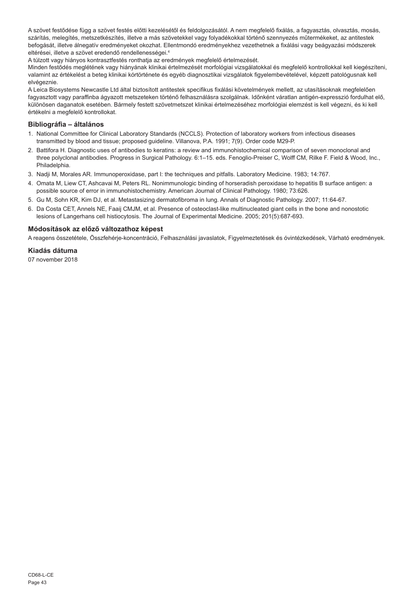A szövet festődése függ a szövet festés előtti kezelésétől és feldolgozásától. A nem megfelelő fixálás, a fagyasztás, olvasztás, mosás, szárítás, melegítés, metszetkészítés, illetve a más szövetekkel vagy folyadékokkal történő szennyezés műtermékeket, az antitestek befogását, illetve álnegatív eredményeket okozhat. Ellentmondó eredményekhez vezethetnek a fixálási vagy beágyazási módszerek eltérései, illetve a szövet eredendő rendellenességei.<sup>4</sup>

A túlzott vagy hiányos kontrasztfestés ronthatja az eredmények megfelelő értelmezését.

Minden festődés meglétének vagy hiányának klinikai értelmezését morfológiai vizsgálatokkal és megfelelő kontrollokkal kell kiegészíteni, valamint az értékelést a beteg klinikai kórtörténete és egyéb diagnosztikai vizsgálatok figyelembevételével, képzett patológusnak kell elvégeznie.

A Leica Biosystems Newcastle Ltd által biztosított antitestek specifikus fixálási követelmények mellett, az utasításoknak megfelelően fagyasztott vagy paraffinba ágyazott metszeteken történő felhasználásra szolgálnak. Időnként váratlan antigén-expresszió fordulhat elő, különösen daganatok esetében. Bármely festett szövetmetszet klinikai értelmezéséhez morfológiai elemzést is kell végezni, és ki kell értékelni a megfelelő kontrollokat.

#### **Bibliográfia – általános**

- 1. National Committee for Clinical Laboratory Standards (NCCLS). Protection of laboratory workers from infectious diseases transmitted by blood and tissue; proposed guideline. Villanova, P.A. 1991; 7(9). Order code M29-P.
- 2. Battifora H. Diagnostic uses of antibodies to keratins: a review and immunohistochemical comparison of seven monoclonal and three polyclonal antibodies. Progress in Surgical Pathology. 6:1–15. eds. Fenoglio-Preiser C, Wolff CM, Rilke F. Field & Wood, Inc., Philadelphia.
- 3. Nadji M, Morales AR. Immunoperoxidase, part I: the techniques and pitfalls. Laboratory Medicine. 1983; 14:767.
- 4. Omata M, Liew CT, Ashcavai M, Peters RL. Nonimmunologic binding of horseradish peroxidase to hepatitis B surface antigen: a possible source of error in immunohistochemistry. American Journal of Clinical Pathology. 1980; 73:626.
- 5. Gu M, Sohn KR, Kim DJ, et al. Metastasizing dermatofibroma in lung. Annals of Diagnostic Pathology. 2007; 11:64-67.
- 6. Da Costa CET, Annels NE, Faaij CMJM, et al. Presence of osteoclast-like multinucleated giant cells in the bone and nonostotic lesions of Langerhans cell histiocytosis. The Journal of Experimental Medicine. 2005; 201(5):687-693.

#### **Módosítások az előző változathoz képest**

A reagens összetétele, Összfehérje-koncentráció, Felhasználási javaslatok, Figyelmeztetések és óvintézkedések, Várható eredmények.

#### **Kiadás dátuma**

07 november 2018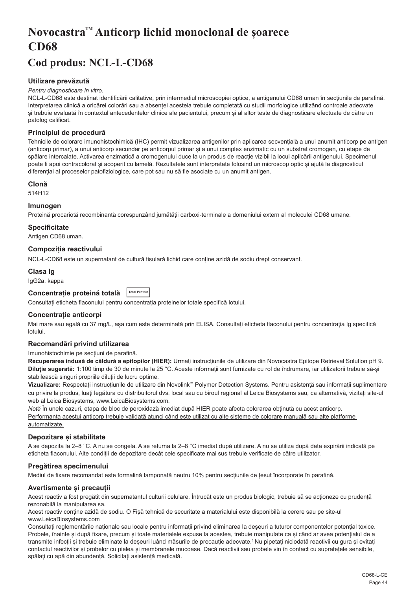## <span id="page-44-0"></span>**Novocastra™ Anticorp lichid monoclonal de șoarece CD68**

## **Cod produs: NCL-L-CD68**

## **Utilizare prevăzută**

#### *Pentru diagnosticare in vitro.*

NCL-L-CD68 este destinat identificării calitative, prin intermediul microscopiei optice, a antigenului CD68 uman în secțiunile de parafină. Interpretarea clinică a oricărei colorări sau a absenței acesteia trebuie completată cu studii morfologice utilizând controale adecvate și trebuie evaluată în contextul antecedentelor clinice ale pacientului, precum și al altor teste de diagnosticare efectuate de către un patolog calificat.

#### **Principiul de procedură**

Tehnicile de colorare imunohistochimică (IHC) permit vizualizarea antigenilor prin aplicarea secvențială a unui anumit anticorp pe antigen (anticorp primar), a unui anticorp secundar pe anticorpul primar și a unui complex enzimatic cu un substrat cromogen, cu etape de spălare intercalate. Activarea enzimatică a cromogenului duce la un produs de reacție vizibil la locul aplicării antigenului. Specimenul poate fi apoi contracolorat și acoperit cu lamelă. Rezultatele sunt interpretate folosind un microscop optic și ajută la diagnosticul diferențial al proceselor patofiziologice, care pot sau nu să fie asociate cu un anumit antigen.

#### **Clonă**

514H12

#### **Imunogen**

Proteină procariotă recombinantă corespunzând jumătății carboxi-terminale a domeniului extern al moleculei CD68 umane.

#### **Specificitate**

Antigen CD68 uman.

#### **Compoziția reactivului**

NCL-L-CD68 este un supernatant de cultură tisulară lichid care conține azidă de sodiu drept conservant.

#### **Clasa Ig**

IgG2a, kappa

## **Concentrație proteină totală Total Protein**

Consultați eticheta flaconului pentru concentrația proteinelor totale specifică lotului.

#### **Concentrație anticorpi**

Mai mare sau egală cu 37 mg/L, asa cum este determinată prin ELISA. Consultati eticheta flaconului pentru concentratia Ig specifică lotului.

#### **Recomandări privind utilizarea**

#### Imunohistochimie pe secțiuni de parafină.

**Recuperarea indusă de căldură a epitopilor (HIER):** Urmați instrucțiunile de utilizare din Novocastra Epitope Retrieval Solution pH 9. **Diluție sugerată:** 1:100 timp de 30 de minute la 25 °C. Aceste informații sunt furnizate cu rol de îndrumare, iar utilizatorii trebuie să-și stabilească singuri propriile diluții de lucru optime.

**Vizualizare:** Respectați instrucțiunile de utilizare din Novolink™ Polymer Detection Systems. Pentru asistență sau informații suplimentare cu privire la produs, luați legătura cu distribuitorul dvs. local sau cu biroul regional al Leica Biosystems sau, ca alternativă, vizitați site-ul web al Leica Biosystems, www.LeicaBiosystems.com.

*Notă* În unele cazuri, etapa de bloc de peroxidază imediat după HIER poate afecta colorarea obținută cu acest anticorp. Performanța acestui anticorp trebuie validată atunci când este utilizat cu alte sisteme de colorare manuală sau alte platforme automatizate.

#### **Depozitare și stabilitate**

A se depozita la 2–8 °C. A nu se congela. A se returna la 2–8 °C imediat după utilizare. A nu se utiliza după data expirării indicată pe eticheta flaconului. Alte condiții de depozitare decât cele specificate mai sus trebuie verificate de către utilizator.

## **Pregătirea specimenului**

Mediul de fixare recomandat este formalină tamponată neutru 10% pentru secțiunile de țesut încorporate în parafină.

#### **Avertismente și precauții**

Acest reactiv a fost pregătit din supernatantul culturii celulare. Întrucât este un produs biologic, trebuie să se acționeze cu prudență rezonabilă la manipularea sa.

Acest reactiv conține azidă de sodiu. O Fișă tehnică de securitate a materialului este disponibilă la cerere sau pe site-ul www.LeicaBiosystems.com

Consultați reglementările naționale sau locale pentru informații privind eliminarea la deșeuri a tuturor componentelor potențial toxice. Probele, înainte și după fixare, precum și toate materialele expuse la acestea, trebuie manipulate ca și când ar avea potențialul de a transmite infecții și trebuie eliminate la deșeuri luând măsurile de precauție adecvate.<sup>1</sup>Nu pipetați niciodată reactivii cu gura și evitați contactul reactivilor și probelor cu pielea și membranele mucoase. Dacă reactivii sau probele vin în contact cu suprafețele sensibile, spălați cu apă din abundență. Solicitați asistență medicală.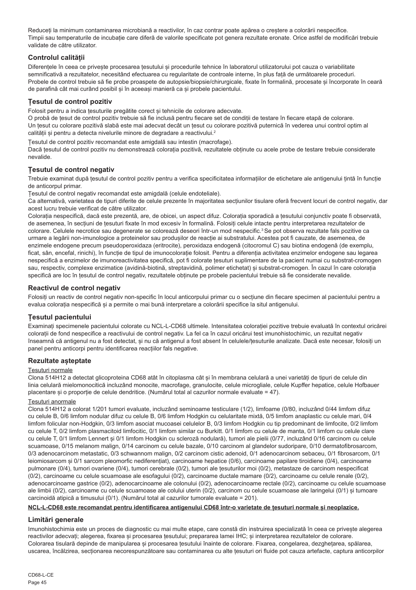Reduceți la minimum contaminarea microbiană a reactivilor, în caz contrar poate apărea o creștere a colorării nespecifice. Timpii sau temperaturile de incubație care diferă de valorile specificate pot genera rezultate eronate. Orice astfel de modificări trebuie validate de către utilizator.

## **Controlul calității**

Diferențele în ceea ce privește procesarea țesutului și procedurile tehnice în laboratorul utilizatorului pot cauza o variabilitate semnificativă a rezultatelor, necesitând efectuarea cu regularitate de controale interne, în plus față de următoarele proceduri. Probele de control trebuie să fie probe proaspete de autopsie/biopsie/chirurgicale, fixate în formalină, procesate și încorporate în ceară de parafină cât mai curând posibil și în aceeași manieră ca și probele pacientului.

## **Țesutul de control pozitiv**

Folosit pentru a indica țesuturile pregătite corect și tehnicile de colorare adecvate.

O probă de țesut de control pozitiv trebuie să fie inclusă pentru fiecare set de condiții de testare în fiecare etapă de colorare. Un țesut cu colorare pozitivă slabă este mai adecvat decât un țesut cu colorare pozitivă puternică în vederea unui control optim al calității și pentru a detecta nivelurile minore de degradare a reactivului.<sup>2</sup>

Țesutul de control pozitiv recomandat este amigdală sau intestin (macrofage).

Dacă țesutul de control pozitiv nu demonstrează colorația pozitivă, rezultatele obținute cu acele probe de testare trebuie considerate nevalide.

## **Țesutul de control negativ**

Trebuie examinat după țesutul de control pozitiv pentru a verifica specificitatea informațiilor de etichetare ale antigenului țintă în funcție de anticorpul primar.

Țesutul de control negativ recomandat este amigdală (celule endoteliale).

Ca alternativă, varietatea de tipuri diferite de celule prezente în majoritatea secțiunilor tisulare oferă frecvent locuri de control negativ, dar acest lucru trebuie verificat de către utilizator.

Colorația nespecifică, dacă este prezentă, are, de obicei, un aspect difuz. Colorația sporadică a țesutului conjunctiv poate fi observată, de asemenea, în secțiuni de țesuturi fixate în mod excesiv în formalină. Folosiți celule intacte pentru interpretarea rezultatelor de colorare. Celulele necrotice sau degenerate se colorează deseori într-un mod nespecific.<sup>3</sup>Se pot observa rezultate fals pozitive ca urmare a legării non-imunologice a proteinelor sau produșilor de reacție ai substratului. Acestea pot fi cauzate, de asemenea, de enzimele endogene precum pseudoperoxidaza (eritrocite), peroxidaza endogenă (citocromul C) sau biotina endogenă (de exemplu, ficat, sân, encefal, rinichi), în funcție de tipul de imunocolorație folosit. Pentru a diferenția activitatea enzimelor endogene sau legarea nespecifică a enzimelor de imunoreactivitatea specifică, pot fi colorate tesuturi suplimentare de la pacient numai cu substrat-cromogen sau, respectiv, complexe enzimatice (avidină-biotină, streptavidină, polimer etichetat) și substrat-cromogen. În cazul în care colorația specifică are loc în țesutul de control negativ, rezultatele obținute pe probele pacientului trebuie să fie considerate nevalide.

## **Reactivul de control negativ**

Folosiți un reactiv de control negativ non-specific în locul anticorpului primar cu o secțiune din fiecare specimen al pacientului pentru a evalua colorația nespecifică și a permite o mai bună interpretare a colorării specifice la situl antigenului.

## **Țesutul pacientului**

Examinați specimenele pacientului colorate cu NCL-L-CD68 ultimele. Intensitatea colorației pozitive trebuie evaluată în contextul oricărei colorații de fond nespecifice a reactivului de control negativ. La fel ca în cazul oricărui test imunohistochimic, un rezultat negativ înseamnă că antigenul nu a fost detectat, și nu că antigenul a fost absent în celulele/țesuturile analizate. Dacă este necesar, folosiți un panel pentru anticorpi pentru identificarea reacțiilor fals negative.

## **Rezultate așteptate**

#### Țesuturi normale

Clona 514H12 a detectat glicoproteina CD68 atât în citoplasma cât și în membrana celulară a unei varietăți de tipuri de celule din linia celulară mielomonocitică incluzând monocite, macrofage, granulocite, celule microgliale, celule Kupffer hepatice, celule Hofbauer placentare și o proporție de celule dendritice. (Numărul total al cazurilor normale evaluate = 47).

#### Țesuturi anormale

Clona 514H12 a colorat 1/201 tumori evaluate, incluzând seminoame testiculare (1/2), limfoame (0/80, incluzând 0/44 limfom difuz cu celule B, 0/6 limfom nodular difuz cu celule B, 0/6 limfom Hodgkin cu celularitate mixtă, 0/5 limfom anaplastic cu celule mari, 0/4 limfom folicular non-Hodgkin, 0/3 limfom asociat mucoasei celulelor B, 0/3 limfom Hodgkin cu tip predominant de limfocite, 0/2 limfom cu celule T, 0/2 limfom plasmacitoid limfocitic, 0/1 limfom similar cu Burkitt. 0/1 limfom cu celule de manta, 0/1 limfom cu celule clare cu celule T, 0/1 limfom Lennert și 0/1 limfom Hodgkin cu scleroză nodulară), tumori ale pielii (0/77, incluzând 0/16 carcinom cu celule scuamoase, 0/15 melanom malign, 0/14 carcinom cu celule bazale, 0/10 carcinom al glandelor sudoripare, 0/10 dermatofibrosarcom, 0/3 adenocarcinom metastatic, 0/3 schwannom malign, 0/2 carcinom cistic adenoid, 0/1 adenocarcinom sebaceu, 0/1 fibrosarcom, 0/1 leiomiosarcom și 0/1 sarcom pleomorfic nediferențiat), carcinoame hepatice (0/6), carcinoame papilare tiroidiene (0/4), carcinoame pulmonare (0/4), tumori ovariene (0/4), tumori cerebrale (0/2), tumori ale țesuturilor moi (0/2), metastaze de carcinom nespecificat (0/2), carcinoame cu celule scuamoase ale esofagului (0/2), carcinoame ductale mamare (0/2), carcinoame cu celule renale (0/2), adenocarcinoame gastrice (0/2), adenocarcinoame ale colonului (0/2), adenocarcinoame rectale (0/2), carcinoame cu celule scuamoase ale limbii (0/2), carcinoame cu celule scuamoase ale colului uterin (0/2), carcinom cu celule scuamoase ale laringelui (0/1) și tumoare carcinoidă atipică a timusului (0/1). (Numărul total al cazurilor tumorale evaluate = 201).

#### **NCL-L-CD68 este recomandat pentru identificarea antigenului CD68 într-o varietate de țesuturi normale și neoplazice.**

## **Limitări generale**

Imunohistochimia este un proces de diagnostic cu mai multe etape, care constă din instruirea specializată în ceea ce privește alegerea reactivilor adecvați; alegerea, fixarea și procesarea țesutului; prepararea lamei IHC; și interpretarea rezultatelor de colorare. Colorarea tisulară depinde de manipularea și procesarea țesutului înainte de colorare. Fixarea, congelarea, dezghețarea, spălarea, uscarea, încălzirea, secționarea necorespunzătoare sau contaminarea cu alte țesuturi ori fluide pot cauza artefacte, captura anticorpilor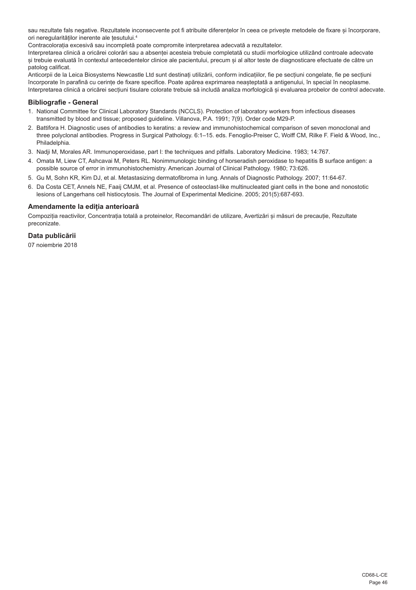sau rezultate fals negative. Rezultatele inconsecvente pot fi atribuite diferențelor în ceea ce privește metodele de fixare și încorporare, ori neregularităților inerente ale țesutului.<sup>4</sup>

Contracolorația excesivă sau incompletă poate compromite interpretarea adecvată a rezultatelor.

Interpretarea clinică a oricărei colorări sau a absenței acesteia trebuie completată cu studii morfologice utilizând controale adecvate și trebuie evaluată în contextul antecedentelor clinice ale pacientului, precum și al altor teste de diagnosticare efectuate de către un patolog calificat.

Anticorpii de la Leica Biosystems Newcastle Ltd sunt destinați utilizării, conform indicațiilor, fie pe secțiuni congelate, fie pe secțiuni încorporate în parafină cu cerințe de fixare specifice. Poate apărea exprimarea neașteptată a antigenului, în special în neoplasme. Interpretarea clinică a oricărei secțiuni tisulare colorate trebuie să includă analiza morfologică și evaluarea probelor de control adecvate.

### **Bibliografie - General**

- 1. National Committee for Clinical Laboratory Standards (NCCLS). Protection of laboratory workers from infectious diseases transmitted by blood and tissue; proposed guideline. Villanova, P.A. 1991; 7(9). Order code M29-P.
- 2. Battifora H. Diagnostic uses of antibodies to keratins: a review and immunohistochemical comparison of seven monoclonal and three polyclonal antibodies. Progress in Surgical Pathology. 6:1–15. eds. Fenoglio-Preiser C, Wolff CM, Rilke F. Field & Wood, Inc., Philadelphia.
- 3. Nadji M, Morales AR. Immunoperoxidase, part I: the techniques and pitfalls. Laboratory Medicine. 1983; 14:767.
- 4. Omata M, Liew CT, Ashcavai M, Peters RL. Nonimmunologic binding of horseradish peroxidase to hepatitis B surface antigen: a possible source of error in immunohistochemistry. American Journal of Clinical Pathology. 1980; 73:626.
- 5. Gu M, Sohn KR, Kim DJ, et al. Metastasizing dermatofibroma in lung. Annals of Diagnostic Pathology. 2007; 11:64-67.
- 6. Da Costa CET, Annels NE, Faaij CMJM, et al. Presence of osteoclast-like multinucleated giant cells in the bone and nonostotic lesions of Langerhans cell histiocytosis. The Journal of Experimental Medicine. 2005; 201(5):687-693.

## **Amendamente la ediția anterioară**

Compoziția reactivilor, Concentrația totală a proteinelor, Recomandări de utilizare, Avertizări și măsuri de precauție, Rezultate preconizate.

**Data publicării** 07 noiembrie 2018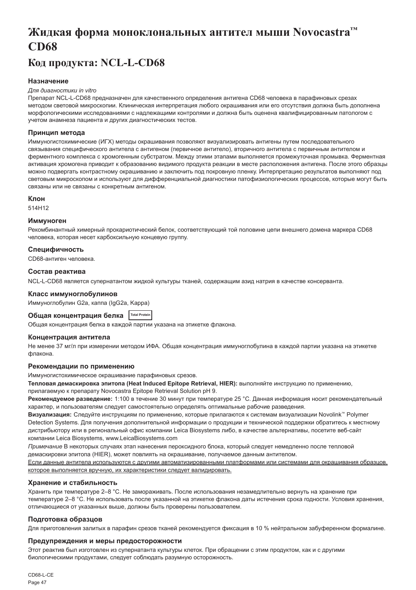## <span id="page-47-0"></span>**Жидкая форма моноклональных антител мыши Novocastra™ CD68**

## **Код продукта: NCL-L-CD68**

### **Назначение**

#### *Для диагностики in vitro*

Препарат NCL-L-CD68 предназначен для качественного определения антигена CD68 человека в парафиновых срезах методом световой микроскопии. Клиническая интерпретация любого окрашивания или его отсутствия должна быть дополнена морфологическими исследованиями с надлежащими контролями и должна быть оценена квалифицированным патологом с учетом анамнеза пациента и других диагностических тестов.

#### **Принцип метода**

Иммуногистохимические (ИГХ) методы окрашивания позволяют визуализировать антигены путем последовательного связывания специфического антитела с антигеном (первичное антитело), вторичного антитела с первичным антителом и ферментного комплекса с хромогенным субстратом. Между этими этапами выполняется промежуточная промывка. Ферментная активация хромогена приводит к образованию видимого продукта реакции в месте расположения антигена. После этого образцы можно подвергать контрастному окрашиванию и заключить под покровную пленку. Интерпретацию результатов выполняют под световым микроскопом и используют для дифференциальной диагностики патофизиологических процессов, которые могут быть связаны или не связаны с конкретным антигеном.

#### **Клон**

514H12

#### **Иммуноген**

Рекомбинантный химерный прокариотический белок, соответствующий той половине цепи внешнего домена маркера CD68 человека, которая несет карбоксильную концевую группу.

#### **Специфичность**

CD68-антиген человека.

#### **Состав реактива**

NCL-L-CD68 является супернатантом жидкой культуры тканей, содержащим азид натрия в качестве консерванта.

#### **Класс иммуноглобулинов**

Иммуноглобулин G2a, каппа (IgG2a, Kappa)

**Общая концентрация белка Total Protein**

Общая концентрация белка в каждой партии указана на этикетке флакона.

#### **Концентрация антитела**

Не менее 37 мг/л при измерении методом ИФА. Общая концентрация иммуноглобулина в каждой партии указана на этикетке флакона.

#### **Рекомендации по применению**

Иммуногистохимическое окрашивание парафиновых срезов.

**Тепловая демаскировка эпитопа (Heat Induced Epitope Retrieval, HIER):** выполняйте инструкцию по применению,

прилагаемую к препарату Novocastra Epitope Retrieval Solution pH 9.

**Рекомендуемое разведение:** 1:100 в течение 30 минут при температуре 25 °C. Данная информация носит рекомендательный характер, и пользователям следует самостоятельно определять оптимальные рабочие разведения.

**Визуализация:** Следуйте инструкциям по применению, которые прилагаются к системам визуализации Novolink™ Polymer Detection Systems. Для получения дополнительной информации о продукции и технической поддержки обратитесь к местному дистрибьютору или в региональный офис компании Leica Biosystems либо, в качестве альтернативы, посетите веб-сайт компании Leica Biosystems, www.LeicaBiosystems.com

*Примечание* В некоторых случаях этап нанесения пероксидного блока, который следует немедленно после тепловой демаскировки эпитопа (HIER), может повлиять на окрашивание, получаемое данным антителом.

Если данные антитела используются с другими автоматизированными платформами или системами для окрашивания образцов, которое выполняется вручную, их характеристики следует валидировать.

#### **Хранение и стабильность**

Хранить при температуре 2–8 °C. Не замораживать. После использования незамедлительно вернуть на хранение при температуре 2–8 °C. Не использовать после указанной на этикетке флакона даты истечения срока годности. Условия хранения, отличающиеся от указанных выше, должны быть проверены пользователем.

## **Подготовка образцов**

Для приготовления залитых в парафин срезов тканей рекомендуется фиксация в 10 % нейтральном забуференном формалине.

#### **Предупреждения и меры предосторожности**

Этот реактив был изготовлен из супернатанта культуры клеток. При обращении с этим продуктом, как и с другими биологическими продуктами, следует соблюдать разумную осторожность.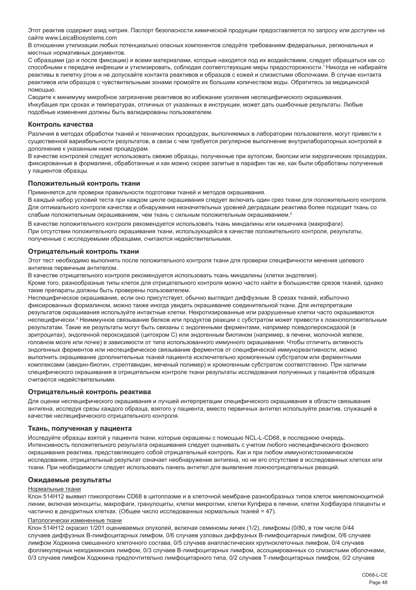Этот реактив содержит азид натрия. Паспорт безопасности химической продукции предоставляется по запросу или доступен на сайте www.LeicaBiosystems.com

В отношении утилизации любых потенциально опасных компонентов следуйте требованиям федеральных, региональных и местных нормативных документов.

С образцами (до и после фиксации) и всеми материалами, которые находятся под их воздействием, следует обращаться как со способными к передаче инфекции и утилизировать, соблюдая соответствующие меры предосторожности.<sup>1</sup>Никогда не набирайте реактивы в пипетку ртом и не допускайте контакта реактивов и образцов с кожей и слизистыми оболочками. В случае контакта реактивов или образцов с чувствительными зонами промойте их большим количеством воды. Обратитесь за медицинской помощью.

Сводите к минимуму микробное загрязнение реактивов во избежание усиления неспецифического окрашивания. Инкубация при сроках и температурах, отличных от указанных в инструкции, может дать ошибочные результаты. Любые подобные изменения должны быть валидированы пользователем.

#### **Контроль качества**

Различия в методах обработки тканей и технических процедурах, выполняемых в лаборатории пользователя, могут привести к существенной вариабельности результатов, в связи с чем требуется регулярное выполнение внутрилабораторных контролей в дополнение к указанным ниже процедурам.

В качестве контролей следует использовать свежие образцы, полученные при аутопсии, биопсии или хирургических процедурах, фиксированные в формалине, обработанные и как можно скорее залитые в парафин так же, как были обработаны полученные у пациентов образцы.

#### **Положительный контроль ткани**

Применяется для проверки правильности подготовки тканей и методов окрашивания.

В каждый набор условий теста при каждом цикле окрашивания следует включать один срез ткани для положительного контроля. Для оптимального контроля качества и обнаружения незначительных уровней деградации реактива более подходит ткань со слабым положительным окрашиванием, чем ткань с сильным положительным окрашиванием.<sup>2</sup>

В качестве положительного контроля рекомендуется использовать ткань миндалины или кишечника (макрофаги). При отсутствии положительного окрашивания ткани, использующейся в качестве положительного контроля, результаты, полученные с исследуемыми образцами, считаются недействительными.

#### **Отрицательный контроль ткани**

Этот тест необходимо выполнять после положительного контроля ткани для проверки специфичности мечения целевого антигена первичным антителом.

В качестве отрицательного контроля рекомендуется использовать ткань миндалины (клетки эндотелия). Кроме того, разнообразные типы клеток для отрицательного контроля можно часто найти в большинстве срезов тканей, однако такие препараты должны быть проверены пользователем.

Неспецифическое окрашивание, если оно присутствует, обычно выглядит диффузным. В срезах тканей, избыточно фиксированных формалином, можно также иногда увидеть окрашивание соединительной ткани. Для интерпретации результатов окрашивания используйте интактные клетки. Некротизированные или разрушенные клетки часто окрашиваются неспецифически.<sup>з</sup> Неиммунное связывание белков или продуктов реакции с субстратом может привести к ложноположительным результатам. Такие же результаты могут быть связаны с эндогенными ферментами, например псевдопероксидазой (в эритроцитах), эндогенной пероксидазой (цитохром C) или эндогенным биотином (например, в печени, молочной железе, головном мозге или почке) в зависимости от типа использованного иммунного окрашивания. Чтобы отличить активность эндогенных ферментов или неспецифическое связывание ферментов от специфической иммунореактивности, можно выполнить окрашивание дополнительных тканей пациента исключительно хромогенным субстратом или ферментными комплексами (авидин-биотин, стрептавидин, меченый полимер) и хромогенным субстратом соответственно. При наличии специфического окрашивания в отрицательном контроле ткани результаты исследования полученных у пациентов образцов считаются недействительными.

#### **Отрицательный контроль реактива**

Для оценки неспецифического окрашивания и лучшей интерпретации специфического окрашивания в области связывания антигена, исследуя срезы каждого образца, взятого у пациента, вместо первичных антител используйте реактив, служащий в качестве неспецифического отрицательного контроля.

#### **Ткань, полученная у пациента**

Исследуйте образцы взятой у пациента ткани, которые окрашены с помощью NCL-L-CD68, в последнюю очередь. Интенсивность положительного результата окрашивания следует оценивать с учетом любого неспецифического фонового окрашивания реактива, представляющего собой отрицательный контроль. Как и при любом иммуногистохимическом исследовании, отрицательный результат означает необнаружение антигена, но не его отсутствие в исследованных клетках или ткани. При необходимости следует использовать панель антител для выявления ложноотрицательных реакций.

#### **Ожидаемые результаты**

#### Нормальные ткани

Клон 514H12 выявил гликопротеин CD68 в цитоплазме и в клеточной мембране разнообразных типов клеток миеломоноцитной линии, включая моноциты, макрофаги, гранулоциты, клетки микроглии, клетки Купфера в печени, клетки Хофбауэра плаценты и частично в дендритных клетках. (Общее число исследованных нормальных тканей = 47).

#### Патологически измененные ткани

Клон 514H12 окрасил 1/201 оцениваемых опухолей, включая семиномы яичек (1/2), лимфомы (0/80, в том числе 0/44 случаев диффузных В-лимфоцитарных лимфом, 0/6 случаев узловых диффузных В-лимфоцитарных лимфом, 0/6 случаев лимфом Ходжкина смешанного клеточного состава, 0/5 случаев анапластических крупноклеточных лимфом, 0/4 случаев фолликулярных неходжкинских лимфом, 0/3 случаев В-лимфоцитарных лимфом, ассоциированных со слизистыми оболочками, 0/3 случаев лимфом Ходжкина предпочтительно лимфоцитарного типа, 0/2 случаев Т-лимфоцитарных лимфом, 0/2 случаев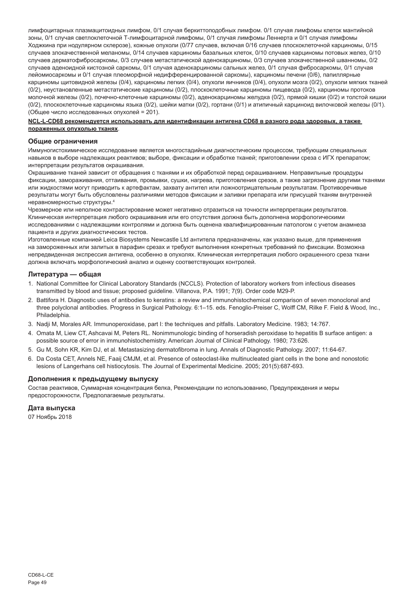лимфоцитарных плазмацитоидных лимфом, 0/1 случая беркиттоподобных лимфом. 0/1 случая лимфомы клеток мантийной зоны, 0/1 случая светлоклеточной Т-лимфоцитарной лимфомы, 0/1 случая лимфомы Леннерта и 0/1 случая лимфомы Ходжкина при нодулярном склерозе), кожные опухоли (0/77 случаев, включая 0/16 случаев плоскоклеточной карциномы, 0/15 случаев злокачественной меланомы, 0/14 случаев карциномы базальных клеток, 0/10 случаев карциномы потовых желез, 0/10 случаев дерматофибросаркомы, 0/3 случаев метастатической аденокарциномы, 0/3 случаев злокачественной шванномы, 0/2 случаев аденоидной кистозной саркомы, 0/1 случая аденокарциномы сальных желез, 0/1 случая фибросаркомы, 0/1 случая лейомиосаркомы и 0/1 случая плеоморфной недифференцированной саркомы), карциномы печени (0/6), папиллярные карциномы щитовидной железы (0/4), карциномы легких (0/4), опухоли яичников (0/4), опухоли мозга (0/2), опухоли мягких тканей (0/2), неустановленные метастатические карциномы (0/2), плоскоклеточные карциномы пищевода (0/2), карциномы протоков молочной железы (0/2), почечно-клеточные карциномы (0/2), аденокарциномы желудка (0/2), прямой кишки (0/2) и толстой кишки (0/2), плоскоклеточные карциномы языка (0/2), шейки матки (0/2), гортани (0/1) и атипичный карциноид вилочковой железы (0/1). (Общее число исследованных опухолей = 201).

#### **NCL-L-CD68 рекомендуется использовать для идентификации антигена CD68 в разного рода здоровых, а также пораженных опухолью тканях**.

#### **Общие ограничения**

Иммуногистохимическое исследование является многостадийным диагностическим процессом, требующим специальных навыков в выборе надлежащих реактивов; выборе, фиксации и обработке тканей; приготовлении среза с ИГХ препаратом; интерпретации результатов окрашивания.

Окрашивание тканей зависит от обращения с тканями и их обработкой перед окрашиванием. Неправильные процедуры фиксации, замораживания, оттаивания, промывки, сушки, нагрева, приготовления срезов, а также загрязнение другими тканями или жидкостями могут приводить к артефактам, захвату антител или ложноотрицательным результатам. Противоречивые результаты могут быть обусловлены различиями методов фиксации и заливки препарата или присущей тканям внутренней неравномерностью структуры.<sup>4</sup>

Чрезмерное или неполное контрастирование может негативно отразиться на точности интерпретации результатов. Клиническая интерпретация любого окрашивания или его отсутствия должна быть дополнена морфологическими исследованиями с надлежащими контролями и должна быть оценена квалифицированным патологом с учетом анамнеза пациента и других диагностических тестов.

Изготовленные компанией Leica Biosystems Newcastle Ltd антитела предназначены, как указано выше, для применения на замороженных или залитых в парафин срезах и требуют выполнения конкретных требований по фиксации. Возможна непредвиденная экспрессия антигена, особенно в опухолях. Клиническая интерпретация любого окрашенного среза ткани должна включать морфологический анализ и оценку соответствующих контролей.

#### **Литература — общая**

- 1. National Committee for Clinical Laboratory Standards (NCCLS). Protection of laboratory workers from infectious diseases transmitted by blood and tissue; proposed guideline. Villanova, P.A. 1991; 7(9). Order code M29-P.
- 2. Battifora H. Diagnostic uses of antibodies to keratins: a review and immunohistochemical comparison of seven monoclonal and three polyclonal antibodies. Progress in Surgical Pathology. 6:1–15. eds. Fenoglio-Preiser C, Wolff CM, Rilke F. Field & Wood, Inc., Philadelphia.
- 3. Nadji M, Morales AR. Immunoperoxidase, part I: the techniques and pitfalls. Laboratory Medicine. 1983; 14:767.
- 4. Omata M, Liew CT, Ashcavai M, Peters RL. Nonimmunologic binding of horseradish peroxidase to hepatitis B surface antigen: a possible source of error in immunohistochemistry. American Journal of Clinical Pathology. 1980; 73:626.
- 5. Gu M, Sohn KR, Kim DJ, et al. Metastasizing dermatofibroma in lung. Annals of Diagnostic Pathology. 2007; 11:64-67.
- 6. Da Costa CET, Annels NE, Faaij CMJM, et al. Presence of osteoclast-like multinucleated giant cells in the bone and nonostotic lesions of Langerhans cell histiocytosis. The Journal of Experimental Medicine. 2005; 201(5):687-693.

#### **Дополнения к предыдущему выпуску**

Состав реактивов, Суммарная концентрация белка, Рекомендации по использованию, Предупреждения и меры предосторожности, Предполагаемые результаты.

#### **Дата выпуска**

07 Ноябрь 2018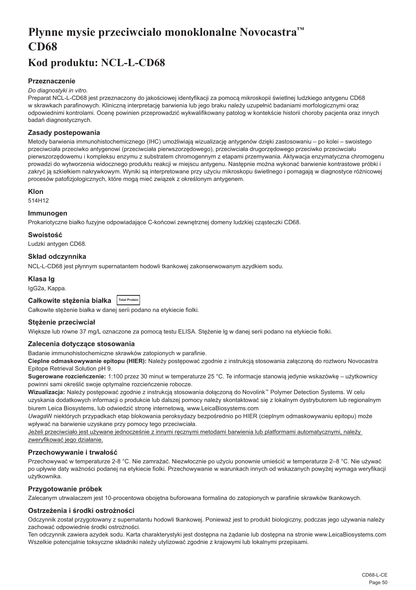## <span id="page-50-0"></span>**Płynne mysie przeciwciało monoklonalne Novocastra™ CD68**

## **Kod produktu: NCL-L-CD68**

## **Przeznaczenie**

#### *Do diagnostyki in vitro.*

Preparat NCL-L-CD68 jest przeznaczony do jakościowej identyfikacji za pomocą mikroskopii świetlnej ludzkiego antygenu CD68 w skrawkach parafinowych. Kliniczną interpretację barwienia lub jego braku należy uzupełnić badaniami morfologicznymi oraz odpowiednimi kontrolami. Ocenę powinien przeprowadzić wykwalifikowany patolog w kontekście historii choroby pacjenta oraz innych badań diagnostycznych.

#### **Zasady postepowania**

Metody barwienia immunohistochemicznego (IHC) umożliwiają wizualizację antygenów dzięki zastosowaniu – po kolei – swoistego przeciwciała przeciwko antygenowi (przeciwciała pierwszorzędowego), przeciwciała drugorzędowego przeciwko przeciwciału pierwszorzędowemu i kompleksu enzymu z substratem chromogennym z etapami przemywania. Aktywacja enzymatyczna chromogenu prowadzi do wytworzenia widocznego produktu reakcji w miejscu antygenu. Następnie można wykonać barwienie kontrastowe próbki i zakryć ją szkiełkiem nakrywkowym. Wyniki są interpretowane przy użyciu mikroskopu świetlnego i pomagają w diagnostyce różnicowej procesów patofizjologicznych, które mogą mieć związek z określonym antygenem.

#### **Klon**

514H12

### **Immunogen**

Prokariotyczne białko fuzyjne odpowiadające C-końcowi zewnętrznej domeny ludzkiej cząsteczki CD68.

#### **Swoistość**

Ludzki antygen CD68.

## **Skład odczynnika**

NCL-L-CD68 jest płynnym supernatantem hodowli tkankowej zakonserwowanym azydkiem sodu.

#### **Klasa Ig**

IgG2a, Kappa.

| Całkowite stężenia białka   Total Protein |  |  |
|-------------------------------------------|--|--|
|-------------------------------------------|--|--|

Całkowite stężenie białka w danej serii podano na etykiecie fiolki.

#### **Stężenie przeciwciał**

Większe lub równe 37 mg/L oznaczone za pomocą testu ELISA. Stężenie lg w danej serii podano na etykiecie fiolki.

#### **Zalecenia dotyczące stosowania**

Badanie immunohistochemiczne skrawków zatopionych w parafinie.

**Cieplne odmaskowywanie epitopu (HIER):** Należy postępować zgodnie z instrukcją stosowania załączoną do roztworu Novocastra Epitope Retrieval Solution pH 9.

**Sugerowane rozcieńczenie:** 1:100 przez 30 minut w temperaturze 25 °C. Te informacje stanowią jedynie wskazówkę – użytkownicy powinni sami określić swoje optymalne rozcieńczenie robocze.

**Wizualizacja:** Należy postępować zgodnie z instrukcją stosowania dołączoną do Novolink™ Polymer Detection Systems. W celu uzyskania dodatkowych informacji o produkcie lub dalszej pomocy należy skontaktować się z lokalnym dystrybutorem lub regionalnym biurem Leica Biosystems, lub odwiedzić stronę internetową, www.LeicaBiosystems.com

*Uwaga*W niektórych przypadkach etap blokowania peroksydazy bezpośrednio po HIER (cieplnym odmaskowywaniu epitopu) może wpływać na barwienie uzyskane przy pomocy tego przeciwciała.

Jeżeli przeciwciało jest używane jednocześnie z innymi ręcznymi metodami barwienia lub platformami automatycznymi, należy zweryfikować jego działanie.

#### **Przechowywanie i trwałość**

Przechowywać w temperaturze 2-8 °C. Nie zamrażać. Niezwłocznie po użyciu ponownie umieścić w temperaturze 2–8 °C. Nie używać po upływie daty ważności podanej na etykiecie fiolki. Przechowywanie w warunkach innych od wskazanych powyżej wymaga weryfikacji użytkownika.

#### **Przygotowanie próbek**

Zalecanym utrwalaczem jest 10-procentowa obojętna buforowana formalina do zatopionych w parafinie skrawków tkankowych.

#### **Ostrzeżenia i środki ostrożności**

Odczynnik został przygotowany z supernatantu hodowli tkankowej. Ponieważ jest to produkt biologiczny, podczas jego używania należy zachować odpowiednie środki ostrożności.

Ten odczynnik zawiera azydek sodu. Karta charakterystyki jest dostępna na żądanie lub dostępna na stronie www.LeicaBiosystems.com Wszelkie potencjalnie toksyczne składniki należy utylizować zgodnie z krajowymi lub lokalnymi przepisami.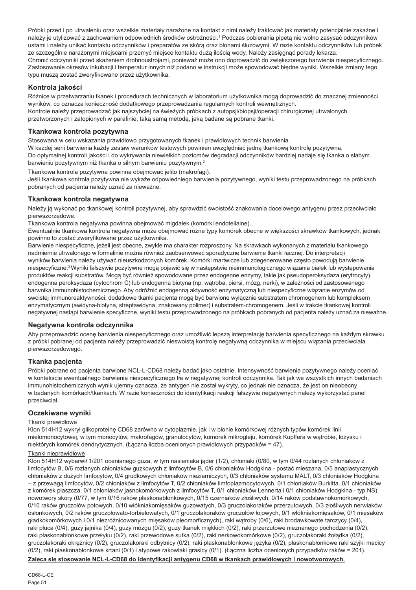Próbki przed i po utrwaleniu oraz wszelkie materiały narażone na kontakt z nimi należy traktować jak materiały potencjalnie zakaźne i należy je utylizować z zachowaniem odpowiednich środków ostrożności.<sup>1</sup> Podczas pobierania pipetą nie wolno zasysać odczynników ustami i należy unikać kontaktu odczynników i preparatów ze skórą oraz błonami śluzowymi. W razie kontaktu odczynników lub próbek ze szczególnie narażonymi miejscami przemyć miejsce kontaktu dużą ilością wody. Należy zasięgnąć porady lekarza. Chronić odczynniki przed skażeniem drobnoustrojami, ponieważ może ono doprowadzić do zwiększonego barwienia niespecyficznego. Zastosowanie okresów inkubacji i temperatur innych niż podano w instrukcji może spowodować błędne wyniki. Wszelkie zmiany tego typu muszą zostać zweryfikowane przez użytkownika.

### **Kontrola jakości**

Różnice w przetwarzaniu tkanek i procedurach technicznych w laboratorium użytkownika mogą doprowadzić do znacznej zmienności wyników, co oznacza konieczność dodatkowego przeprowadzania regularnych kontroli wewnętrznych. Kontrole należy przeprowadzać jak najszybciej na świeżych próbkach z autopsji/biopsji/operacji chirurgicznej utrwalonych,

przetworzonych i zatopionych w parafinie, taką samą metodą, jaką badane są pobrane tkanki.

#### **Tkankowa kontrola pozytywna**

Stosowana w celu wskazania prawidłowo przygotowanych tkanek i prawidłowych technik barwienia.

W każdej serii barwienia każdy zestaw warunków testowych powinien uwzględniać jedną tkankową kontrolę pozytywną. Do optymalnej kontroli jakości i do wykrywania niewielkich poziomów degradacji odczynników bardziej nadaje się tkanka o słabym barwieniu pozytywnym niż tkanka o silnym barwieniu pozytywnym.<sup>2</sup>

Tkankowa kontrola pozytywna powinna obejmować jelito (makrofagi).

Jeśli tkankowa kontrola pozytywna nie wykaże odpowiedniego barwienia pozytywnego, wyniki testu przeprowadzonego na próbkach pobranych od pacjenta należy uznać za nieważne.

#### **Tkankowa kontrola negatywna**

Należy ją wykonać po tkankowej kontroli pozytywnej, aby sprawdzić swoistość znakowania docelowego antygenu przez przeciwciało pierwszorzędowe.

Tkankowa kontrola negatywna powinna obejmować migdałek (komórki endotelialne).

Ewentualnie tkankowa kontrola negatywna może obejmować różne typy komórek obecne w większości skrawków tkankowych, jednak powinno to zostać zweryfikowane przez użytkownika.

Barwienie niespecyficzne, jeżeli jest obecne, zwykle ma charakter rozproszony. Na skrawkach wykonanych z materiału tkankowego nadmiernie utrwalonego w formalinie można również zaobserwować sporadyczne barwienie tkanki łącznej. Do interpretacji wyników barwienia należy używać nieuszkodzonych komórek. Komórki martwicze lub zdegenerowane często powodują barwienie niespecyficzne.<sup>3</sup>Wyniki fałszywie pozytywne mogą pojawić się w następstwie nieimmunologicznego wiązania białek lub występowania produktów reakcji substratów. Mogą być również spowodowane przez endogenne enzymy, takie jak pseudoperoksydaza (erytrocyty), endogenna peroksydaza (cytochrom C) lub endogenna biotyna (np. wątroba, piersi, mózg, nerki), w zależności od zastosowanego barwnika immunohistochemicznego. Aby odróżnić endogenną aktywność enzymatyczną lub niespecyficzne wiązanie enzymów od swoistej immunoreaktywności, dodatkowe tkanki pacjenta mogą być barwione wyłącznie substratem chromogenem lub kompleksem enzymatycznym (awidyna-biotyna, streptawidyna, znakowany polimer) i substratem-chromogenem. Jeśli w trakcie tkankowej kontroli negatywnej nastąpi barwienie specyficzne, wyniki testu przeprowadzonego na próbkach pobranych od pacjenta należy uznać za nieważne.

#### **Negatywna kontrola odczynnika**

Aby przeprowadzić ocenę barwienia niespecyficznego oraz umożliwić lepszą interpretację barwienia specyficznego na każdym skrawku z próbki pobranej od pacjenta należy przeprowadzić nieswoistą kontrolę negatywną odczynnika w miejscu wiązania przeciwciała pierwszorzędowego.

#### **Tkanka pacjenta**

Próbki pobrane od pacjenta barwione NCL-L-CD68 należy badać jako ostatnie. Intensywność barwienia pozytywnego należy oceniać w kontekście ewentualnego barwienia niespecyficznego tła w negatywnej kontroli odczynnika. Tak jak we wszystkich innych badaniach immunohistochemicznych wynik ujemny oznacza, że antygen nie został wykryty, co jednak nie oznacza, że jest on nieobecny w badanych komórkach/tkankach. W razie konieczności do identyfikacji reakcji fałszywie negatywnych należy wykorzystać panel przeciwciał.

### **Oczekiwane wyniki**

#### Tkanki prawidłowe

Klon 514H12 wykrył glikoproteinę CD68 zarówno w cytoplazmie, jak i w błonie komórkowej różnych typów komórek linii mielomonocytowej, w tym monocytów, makrofagów, granulocytów, komórek mikrogleju, komórek Kupffera w wątrobie, łożysku i niektórych komórek dendrytycznych. (Łączna liczba ocenionych prawidłowych przypadków = 47).

#### Tkanki nieprawidłowe

Klon 514H12 wybarwił 1/201 ocenianego guza, w tym nasieniaka jąder (1/2), chłoniaki (0/80, w tym 0/44 rozlanych chłoniaków z limfocytów B, 0/6 rozlanych chłoniaków guzkowych z limfocytów B, 0/6 chłoniaków Hodgkina - postać mieszana, 0/5 anaplastycznych chłoniaków z dużych limfocytów, 0/4 grudkowych chłoniaków nieziarniczych, 0/3 chłoniaków systemu MALT, 0/3 chłoniaków Hodgkina – z przewagą limfocytów, 0/2 chłoniaków z limfocytów T, 0/2 chłoniaków limfoplazmocytowych, 0/1 chłoniaków Burkitta. 0/1 chłoniaków z komórek płaszcza, 0/1 chłoniaków jasnokomórkowych z limfocytów T, 0/1 chłoniaków Lennerta i 0/1 chłoniaków Hodgkina - typ NS), nowotwory skóry (0/77, w tym 0/16 raków płaskonabłonkowych, 0/15 czerniaków złośliwych, 0/14 raków podstawnokomórkowych, 0/10 raków gruczołów potowych, 0/10 włókniakomięsaków guzowatych, 0/3 gruczolakoraków przerzutowych, 0/3 złośliwych nerwiaków osłonkowych, 0/2 raków gruczołowato-torbielowatych, 0/1 gruczolakoraków gruczołów łojowych, 0/1 włókniakomięsaków, 0/1 mięsaków gładkokomórkowych i 0/1 niezróżnicowanych mięsaków pleomorficznych), raki wątroby (0/6), raki brodawkowate tarczycy (0/4), raki płuca (0/4), guzy jajnika (0/4), guzy mózgu (0/2), guzy tkanek miękkich (0/2), raki przerzutowe nieznanego pochodzenia (0/2), raki płaskonabłonkowe przełyku (0/2), raki przewodowe sutka (0/2), raki nerkowokomórkowe (0/2), gruczolakoraki żołądka (0/2), gruczolakoraki okrężnicy (0/2), gruczolakoraki odbytnicy (0/2), raki płaskonabłonkowe języka (0/2), płaskonabłonkowe raki szyjki macicy (0/2), raki płaskonabłonkowe krtani (0/1) i atypowe rakowiaki grasicy (0/1). (Łączna liczba ocenionych przypadków raków = 201).

**Zaleca się stosowanie NCL-L-CD68 do identyfikacji antygenu CD68 w tkankach prawidłowych i nowotworowych.**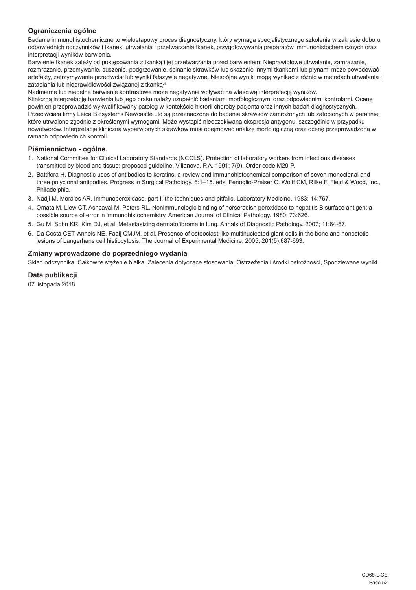## **Ograniczenia ogólne**

Badanie immunohistochemiczne to wieloetapowy proces diagnostyczny, który wymaga specjalistycznego szkolenia w zakresie doboru odpowiednich odczynników i tkanek, utrwalania i przetwarzania tkanek, przygotowywania preparatów immunohistochemicznych oraz interpretacji wyników barwienia.

Barwienie tkanek zależy od postępowania z tkanką i jej przetwarzania przed barwieniem. Nieprawidłowe utrwalanie, zamrażanie, rozmrażanie, przemywanie, suszenie, podgrzewanie, ścinanie skrawków lub skażenie innymi tkankami lub płynami może powodować artefakty, zatrzymywanie przeciwciał lub wyniki fałszywie negatywne. Niespójne wyniki mogą wynikać z różnic w metodach utrwalania i zatapiania lub nieprawidłowości związanej z tkanką.4

Nadmierne lub niepełne barwienie kontrastowe może negatywnie wpływać na właściwą interpretację wyników.

Kliniczną interpretację barwienia lub jego braku należy uzupełnić badaniami morfologicznymi oraz odpowiednimi kontrolami. Ocenę powinien przeprowadzić wykwalifikowany patolog w kontekście historii choroby pacjenta oraz innych badań diagnostycznych. Przeciwciała firmy Leica Biosystems Newcastle Ltd są przeznaczone do badania skrawków zamrożonych lub zatopionych w parafinie, które utrwalono zgodnie z określonymi wymogami. Może wystąpić nieoczekiwana ekspresja antygenu, szczególnie w przypadku nowotworów. Interpretacja kliniczna wybarwionych skrawków musi obejmować analizę morfologiczną oraz ocenę przeprowadzoną w ramach odpowiednich kontroli.

#### **Piśmiennictwo - ogólne.**

- 1. National Committee for Clinical Laboratory Standards (NCCLS). Protection of laboratory workers from infectious diseases transmitted by blood and tissue; proposed guideline. Villanova, P.A. 1991; 7(9). Order code M29-P.
- 2. Battifora H. Diagnostic uses of antibodies to keratins: a review and immunohistochemical comparison of seven monoclonal and three polyclonal antibodies. Progress in Surgical Pathology. 6:1–15. eds. Fenoglio-Preiser C, Wolff CM, Rilke F. Field & Wood, Inc., Philadelphia.
- 3. Nadji M, Morales AR. Immunoperoxidase, part I: the techniques and pitfalls. Laboratory Medicine. 1983; 14:767.
- 4. Omata M, Liew CT, Ashcavai M, Peters RL. Nonimmunologic binding of horseradish peroxidase to hepatitis B surface antigen: a possible source of error in immunohistochemistry. American Journal of Clinical Pathology. 1980; 73:626.
- 5. Gu M, Sohn KR, Kim DJ, et al. Metastasizing dermatofibroma in lung. Annals of Diagnostic Pathology. 2007; 11:64-67.
- 6. Da Costa CET, Annels NE, Faaij CMJM, et al. Presence of osteoclast-like multinucleated giant cells in the bone and nonostotic lesions of Langerhans cell histiocytosis. The Journal of Experimental Medicine. 2005; 201(5):687-693.

#### **Zmiany wprowadzone do poprzedniego wydania**

Skład odczynnika, Całkowite stężenie białka, Zalecenia dotyczące stosowania, Ostrzeżenia i środki ostrożności, Spodziewane wyniki.

## **Data publikacji**

07 listopada 2018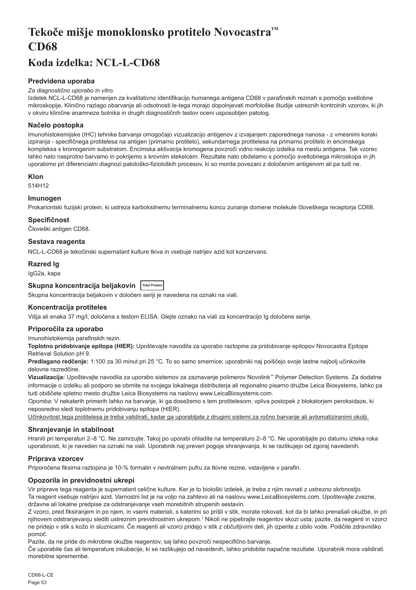## <span id="page-53-0"></span>**Tekoče mišje monoklonsko protitelo Novocastra™ CD68**

## **Koda izdelka: NCL-L-CD68**

## **Predvidena uporaba**

#### *Za diagnostično uporabo in vitro.*

Izdelek NCL-L-CD68 je namenjen za kvalitativno identifikacijo humanega antigena CD68 v parafinskih rezinah s pomočjo svetlobne mikroskopije. Klinično razlago obarvanja ali odsotnosti le-tega morajo dopolnjevati morfološke študije ustreznih kontrolnih vzorcev, ki jih v okviru klinične anamneze bolnika in drugih diagnostičnih testov oceni usposobljen patolog.

### **Načelo postopka**

Imunohistokemijske (IHC) tehnike barvanja omogočajo vizualizacijo antigenov z izvajanjem zaporednega nanosa - z vmesnimi koraki izpiranja - specifičnega protitelesa na antigen (primarno protitelo), sekundarnega protitelesa na primarno protitelo in encimskega kompleksa s kromogenim substratom. Encimska aktivacija kromogena povzroči vidno reakcijo izdelka na mestu antigena. Tak vzorec lahko nato nasprotno barvamo in pokrijemo s krovnim stekelcem. Rezultate nato obdelamo s pomočjo svetlobnega mikroskopa in jih uporabimo pri diferencialni diagnozi patološko-fizioloških procesov, ki so morda povezani z določenim antigenom ali pa tudi ne.

#### **Klon**

514H12

## **Imunogen**

Prokariontski fuzijski protein, ki ustreza karboksilnemu terminalnemu koncu zunanje domene molekule človeškega receptorja CD68.

#### **Specifičnost**

Človeški antigen CD68.

#### **Sestava reagenta**

NCL-L-CD68 je tekočinski supernatant kulture tkiva in vsebuje natrijev azid kot konzervans.

#### **Razred Ig**

IgG2a, kapa

## **Skupna koncentracija beljakovin Total Protein**

Skupna koncentracija beljakovin v določeni seriji je navedena na oznaki na viali.

#### **Koncentracija protiteles**

Višja ali enaka 37 mg/l, določena s testom ELISA. Glejte oznako na viali za koncentracijo Ig določene serije.

#### **Priporočila za uporabo**

Imunohistokemija parafinskih rezin.

**Toplotno pridobivanje epitopa (HIER):** Upoštevajte navodila za uporabo raztopine za pridobivanje epitopov Novocastra Epitope Retrieval Solution pH 9.

**Predlagano redčenje:** 1:100 za 30 minut pri 25 °C. To so samo smernice; uporabniki naj poiščejo svoje lastne najbolj učinkovite delovne razredčine.

**Vizualizacija:** Upoštevajte navodila za uporabo sistemov za zaznavanje polimerov Novolink™ Polymer Detection Systems. Za dodatne informacije o izdelku ali podporo se obrnite na svojega lokalnega distributerja ali regionalno pisarno družbe Leica Biosystems, lahko pa tudi obiščete spletno mesto družbe Leica Biosystems na naslovu www.LeicaBiosystems.com.

*Opomba:* V nekaterih primerih lahko na barvanje, ki ga dosežemo s tem protitelesom, vpliva postopek z blokatorjem peroksidaze, ki neposredno sledi toplotnemu pridobivanju epitopa (HIER).

Učinkovitost tega protitelesa je treba validirati, kadar ga uporabljate z drugimi sistemi za ročno barvanje ali avtomatiziranimi okolji.

#### **Shranjevanje in stabilnost**

Hraniti pri temperaturi 2–8 °C. Ne zamrzujte. Takoj po uporabi ohladite na temperaturo 2–8 °C. Ne uporabljajte po datumu izteka roka uporabnosti, ki je naveden na oznaki na viali. Uporabnik naj preveri pogoje shranjevanja, ki se razlikujejo od zgoraj navedenih.

#### **Priprava vzorcev**

Priporočena fiksirna raztopina je 10-% formalin v nevtralnem pufru za tkivne rezine, vstavljene v parafin.

#### **Opozorila in previdnostni ukrepi**

Vir priprave tega reagenta je supernatant celične kulture. Ker je to biološki izdelek, je treba z njim ravnati z ustrezno skrbnostjo. Ta reagent vsebuje natrijev azid. Varnostni list je na voljo na zahtevo ali na naslovu www.LeicaBiosystems.com. Upoštevajte zvezne, državne ali lokalne predpise za odstranjevanje vseh morebitnih strupenih sestavin.

Z vzorci, pred fiksiranjem in po njem, in vsemi materiali, s katerimi so prišli v stik, morate rokovati, kot da bi lahko prenašali okužbe, in pri njihovem odstranjevanju slediti ustreznim previdnostnim ukrepom.<sup>1</sup> Nikoli ne pipetirajte reagentov skozi usta; pazite, da reagenti in vzorci ne pridejo v stik s kožo in sluznicami. Če reagenti ali vzorci pridejo v stik z občutljivimi deli, jih izperite z obilo vode. Poiščite zdravniško pomoč.

Pazite, da ne pride do mikrobne okužbe reagentov, saj lahko povzroči nespecifično barvanje. Če uporabite čas ali temperature inkubacije, ki se razlikujejo od navedenih, lahko pridobite napačne rezultate. Uporabnik mora validirati morebitne spremembe.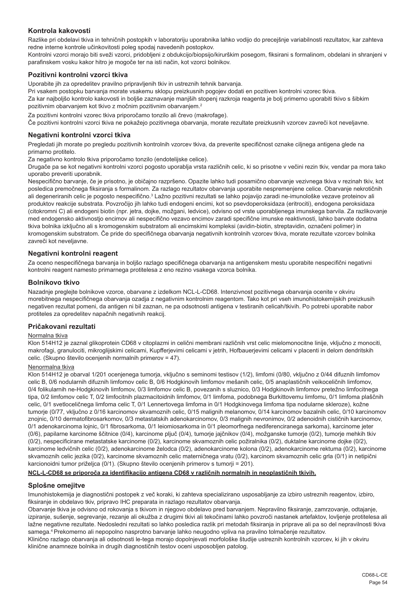## **Kontrola kakovosti**

Razlike pri obdelavi tkiva in tehničnih postopkih v laboratoriju uporabnika lahko vodijo do precejšnje variabilnosti rezultatov, kar zahteva redne interne kontrole učinkovitosti poleg spodaj navedenih postopkov.

Kontrolni vzorci morajo biti sveži vzorci, pridobljeni z obdukcijo/biopsijo/kirurškim posegom, fiksirani s formalinom, obdelani in shranjeni v parafinskem vosku kakor hitro je mogoče ter na isti način, kot vzorci bolnikov.

#### **Pozitivni kontrolni vzorci tkiva**

Uporabite jih za opredelitev pravilno pripravljenih tkiv in ustreznih tehnik barvanja.

Pri vsakem postopku barvanja morate vsakemu sklopu preizkusnih pogojev dodati en pozitiven kontrolni vzorec tkiva.

Za kar najboljšo kontrolo kakovosti in boljše zaznavanje manjših stopenj razkroja reagenta je bolj primerno uporabiti tkivo s šibkim pozitivnim obarvanjem kot tkivo z močnim pozitivnim obarvanjem.<sup>2</sup>

Za pozitivni kontrolni vzorec tkiva priporočamo tonzilo ali črevo (makrofage).

Če pozitivni kontrolni vzorci tkiva ne pokažejo pozitivnega obarvanja, morate rezultate preizkusnih vzorcev zavreči kot neveljavne.

#### **Negativni kontrolni vzorci tkiva**

Pregledati jih morate po pregledu pozitivnih kontrolnih vzorcev tkiva, da preverite specifičnost oznake ciljnega antigena glede na primarno protitelo.

Za negativno kontrolo tkiva priporočamo tonzilo (endotelijske celice).

Drugače pa se kot negativni kontrolni vzorci pogosto uporablja vrsta različnih celic, ki so prisotne v večini rezin tkiv, vendar pa mora tako uporabo preveriti uporabnik.

Nespecifično barvanje, če je prisotno, je običajno razpršeno. Opazite lahko tudi posamično obarvanje vezivnega tkiva v rezinah tkiv, kot posledica premočnega fiksiranja s formalinom. Za razlago rezultatov obarvanja uporabite nespremenjene celice. Obarvanje nekrotičnih ali degeneriranih celic je pogosto nespecifično.<sup>3</sup> Lažno pozitivni rezultati se lahko pojavijo zaradi ne-imunološke vezave proteinov ali produktov reakcije substrata. Povzročijo jih lahko tudi endogeni encimi, kot so psevdoperoksidaza (eritrociti), endogena peroksidaza (citokromni C) ali endogeni biotin (npr. jetra, dojke, možgani, ledvice), odvisno od vrste uporabljenega imunskega barvila. Za razlikovanje med endogensko aktivnostjo encimov ali nespecifično vezavo encimov zaradi specifične imunske reaktivnosti, lahko barvate dodatna tkiva bolnika izključno ali s kromogenskim substratom ali encimskimi kompleksi (avidin-biotin, streptavidin, označeni polimer) in kromogenskim substratom. Če pride do specifičnega obarvanja negativnih kontrolnih vzorcev tkiva, morate rezultate vzorcev bolnika zavreči kot neveljavne.

#### **Negativni kontrolni reagent**

Za oceno nespecifičnega barvanja in boljšo razlago specifičnega obarvanja na antigenskem mestu uporabite nespecifični negativni kontrolni reagent namesto primarnega protitelesa z eno rezino vsakega vzorca bolnika.

#### **Bolnikovo tkivo**

Nazadnje preglejte bolnikove vzorce, obarvane z izdelkom NCL-L-CD68. Intenzivnost pozitivnega obarvanja ocenite v okviru morebitnega nespecifičnega obarvanja ozadja z negativnim kontrolnim reagentom. Tako kot pri vseh imunohistokemijskih preizkusih negativen rezultat pomeni, da antigen ni bil zaznan, ne pa odsotnosti antigena v testiranih celicah/tkivih. Po potrebi uporabite nabor protiteles za opredelitev napačnih negativnih reakcij.

#### **Pričakovani rezultati**

#### Normalna tkiva

Klon 514H12 je zaznal glikoprotein CD68 v citoplazmi in celični membrani različnih vrst celic mielomonocitne linije, vključno z monociti, makrofagi, granulociti, mikroglijskimi celicami, Kupfferjevimi celicami v jetrih, Hofbauerjevimi celicami v placenti in delom dendritskih celic. (Skupno število ocenjenih normalnih primerov = 47).

#### Nenormalna tkiva

Klon 514H12 je obarval 1/201 ocenjenega tumorja, vključno s seminomi testisov (1/2), limfomi (0/80, vključno z 0/44 difuznih limfomov celic B, 0/6 nodularnih difuznih limfomov celic B, 0/6 Hodgkinovih limfomov mešanih celic, 0/5 anaplastičnih veikoceličnih limfomov, 0/4 folikularnih ne-Hodgkinovih limfomov, 0/3 limfomov celic B, povezanih s sluznico, 0/3 Hodgkinovih limfomov pretežno limfocitnega tipa, 0/2 limfomov celic T, 0/2 limfocitnih plazmacitoidnih limfomov, 0/1 limfoma, podobnega Burkittovemu limfomu, 0/1 limfoma plaščnih celic, 0/1 svetloceličnega limfoma celic T, 0/1 Lennertovega limfoma in 0/1 Hodgkinovega limfoma tipa nodularne skleroze), kožne tumorje (0/77, vključno z 0/16 karcinomov skvamoznih celic, 0/15 malignih melanomov, 0/14 karcinomov bazalnih celic, 0/10 karcinomov znojnic, 0/10 dermatofibrosarkomov, 0/3 metastatskih adenokarcinomov, 0/3 malignih nevronimov, 0/2 adenoidnih cističnih karcinomov, 0/1 adenokarcinoma lojnic, 0/1 fibrosarkoma, 0/1 leiomiosarkoma in 0/1 pleomorfnega nediferenciranega sarkoma), karcinome jeter (0/6), papilarne karcinome ščitnice (0/4), karcinome pljuč (0/4), tumorje jajčnikov (0/4), možganske tumorje (0/2), tumorje mehkih tkiv (0/2), nespecificirane metastatske karcinome (0/2), karcinome skvamoznih celic požiralnika (0/2), duktalne karcinome dojke (0/2), karcinome ledvičnih celic (0/2), adenokarcinome želodca (0/2), adenokarcinome kolona (0/2), adenokarcinome rektuma (0/2), karcinome skvamoznih celic jezika (0/2), karcinome skvamoznih celic materničnega vratu (0/2), karcinom skvamoznih celic grla (0/1) in netipični karcionoidni tumor priželjca (0/1). (Skupno število ocenjenih primerov s tumorji = 201).

## **NCL-L-CD68 se priporoča za identifikacijo antigena CD68 v različnih normalnih in neoplastičnih tkivih.**

#### **Splošne omejitve**

Imunohistokemija je diagnostični postopek z več koraki, ki zahteva specializirano usposabljanje za izbiro ustreznih reagentov, izbiro, fiksiranje in obdelavo tkiv, pripravo IHC preparata in razlago rezultatov obarvanja.

Obarvanje tkiva je odvisno od rokovanja s tkivom in njegovo obdelavo pred barvanjem. Nepravilno fiksiranje, zamrzovanje, odtajanje, izpiranje, sušenje, segrevanje, rezanje ali okužba z drugimi tkivi ali tekočinami lahko povzroči nastanek artefaktov, lovljenje protitelesa ali lažne negativne rezultate. Nedosledni rezultati so lahko posledica razlik pri metodah fiksiranja in priprave ali pa so del nepravilnosti tkiva samega.<sup>4</sup> Prekomerno ali nepopolno nasprotno barvanje lahko neugodno vpliva na pravilno tolmačenje rezultatov.

Klinično razlago obarvanja ali odsotnosti le-tega morajo dopolnjevati morfološke študije ustreznih kontrolnih vzorcev, ki jih v okviru klinične anamneze bolnika in drugih diagnostičnih testov oceni usposobljen patolog.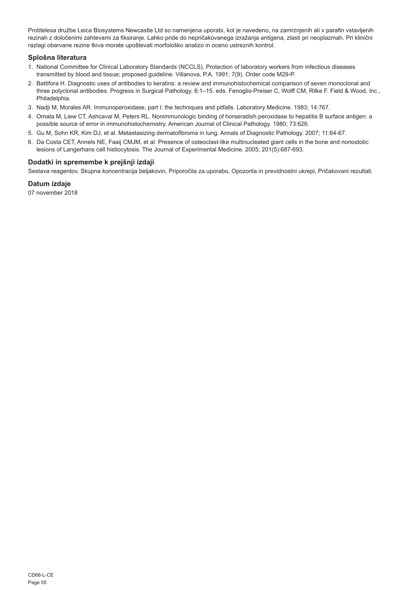Protitelesa družbe Leica Biosystems Newcastle Ltd so namenjena uporabi, kot je navedeno, na zamrznjenih ali v parafin vstavljenih rezinah z določenimi zahtevami za fiksiranje. Lahko pride do nepričakovanega izražanja antigena, zlasti pri neoplazmah. Pri klinični razlagi obarvane rezine tkiva morate upoštevati morfološko analizo in oceno ustreznih kontrol.

### **Splošna literatura**

- 1. National Committee for Clinical Laboratory Standards (NCCLS). Protection of laboratory workers from infectious diseases transmitted by blood and tissue; proposed guideline. Villanova, P.A. 1991; 7(9). Order code M29-P.
- 2. Battifora H. Diagnostic uses of antibodies to keratins: a review and immunohistochemical comparison of seven monoclonal and three polyclonal antibodies. Progress in Surgical Pathology. 6:1–15. eds. Fenoglio-Preiser C, Wolff CM, Rilke F. Field & Wood, Inc., Philadelphia.
- 3. Nadji M, Morales AR. Immunoperoxidase, part I: the techniques and pitfalls. Laboratory Medicine. 1983; 14:767.
- 4. Omata M, Liew CT, Ashcavai M, Peters RL. Nonimmunologic binding of horseradish peroxidase to hepatitis B surface antigen: a possible source of error in immunohistochemistry. American Journal of Clinical Pathology. 1980; 73:626.
- 5. Gu M, Sohn KR, Kim DJ, et al. Metastasizing dermatofibroma in lung. Annals of Diagnostic Pathology. 2007; 11:64-67.
- 6. Da Costa CET, Annels NE, Faaij CMJM, et al. Presence of osteoclast-like multinucleated giant cells in the bone and nonostotic lesions of Langerhans cell histiocytosis. The Journal of Experimental Medicine. 2005; 201(5):687-693.

### **Dodatki in spremembe k prejšnji izdaji**

Sestava reagentov, Skupna koncentracija beljakovin, Priporočila za uporabo, Opozorila in previdnostni ukrepi, Pričakovani rezultati.

#### **Datum izdaje**

07 november 2018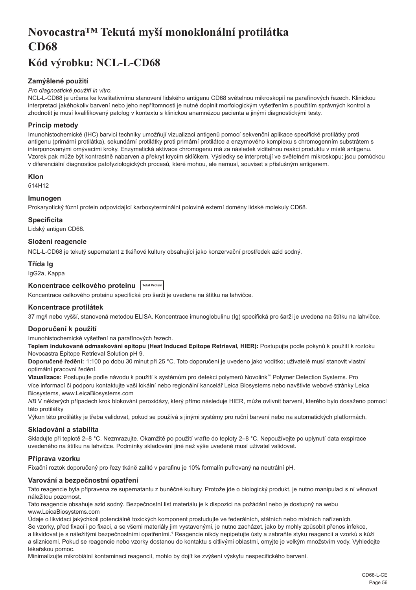## <span id="page-56-0"></span>**Novocastra™ Tekutá myší monoklonální protilátka CD68**

## **Kód výrobku: NCL-L-CD68**

## **Zamýšlené použití**

#### *Pro diagnostické použití in vitro.*

NCL-L-CD68 je určena ke kvalitativnímu stanovení lidského antigenu CD68 světelnou mikroskopií na parafínových řezech. Klinickou interpretaci jakéhokoliv barvení nebo jeho nepřítomnosti je nutné doplnit morfologickým vyšetřením s použitím správných kontrol a zhodnotit je musí kvalifikovaný patolog v kontextu s klinickou anamnézou pacienta a jinými diagnostickými testy.

## **Princip metody**

Imunohistochemické (IHC) barvicí techniky umožňují vizualizaci antigenů pomocí sekvenční aplikace specifické protilátky proti antigenu (primární protilátka), sekundární protilátky proti primární protilátce a enzymového komplexu s chromogenním substrátem s interponovanými omývacími kroky. Enzymatická aktivace chromogenu má za následek viditelnou reakci produktu v místě antigenu. Vzorek pak může být kontrastně nabarven a překryt krycím sklíčkem. Výsledky se interpretují ve světelném mikroskopu; jsou pomůckou v diferenciální diagnostice patofyziologických procesů, které mohou, ale nemusí, souviset s příslušným antigenem.

#### **Klon**

514H12

## **Imunogen**

Prokaryotický fúzní protein odpovídající karboxyterminální polovině externí domény lidské molekuly CD68.

#### **Specificita**

Lidský antigen CD68.

**Složení reagencie**

NCL-L-CD68 je tekutý supernatant z tkáňové kultury obsahující jako konzervační prostředek azid sodný.

#### **Třída Ig**

IgG2a, Kappa

## **Koncentrace celkového proteinu Total Protein**

Koncentrace celkového proteinu specifická pro šarži je uvedena na štítku na lahvičce.

#### **Koncentrace protilátek**

37 mg/l nebo vyšší, stanovená metodou ELISA. Koncentrace imunoglobulinu (Ig) specifická pro šarži je uvedena na štítku na lahvičce.

#### **Doporučení k použití**

Imunohistochemické vyšetření na parafínových řezech.

**Teplem indukované odmaskování epitopu (Heat Induced Epitope Retrieval, HIER):** Postupujte podle pokynů k použití k roztoku Novocastra Epitope Retrieval Solution pH 9.

**Doporučené ředění:** 1:100 po dobu 30 minut při 25 °C. Toto doporučení je uvedeno jako vodítko; uživatelé musí stanovit vlastní optimální pracovní ředění.

**Vizualizace:** Postupujte podle návodu k použití k systémům pro detekci polymerů Novolink™ Polymer Detection Systems. Pro více informací či podporu kontaktujte vaši lokální nebo regionální kancelář Leica Biosystems nebo navštivte webové stránky Leica Biosystems, www.LeicaBiosystems.com

*NB* V některých případech krok blokování peroxidázy, který přímo následuje HIER, může ovlivnit barvení, kterého bylo dosaženo pomocí této protilátky

Výkon této protilátky je třeba validovat, pokud se používá s jinými systémy pro ruční barvení nebo na automatických platformách.

### **Skladování a stabilita**

Skladujte při teplotě 2–8 °C. Nezmrazujte. Okamžitě po použití vraťte do teploty 2–8 °C. Nepoužívejte po uplynutí data exspirace uvedeného na štítku na lahvičce. Podmínky skladování jiné než výše uvedené musí uživatel validovat.

#### **Příprava vzorku**

Fixační roztok doporučený pro řezy tkáně zalité v parafinu je 10% formalín pufrovaný na neutrální pH.

#### **Varování a bezpečnostní opatření**

Tato reagencie byla připravena ze supernatantu z buněčné kultury. Protože jde o biologický produkt, je nutno manipulaci s ní věnovat náležitou pozornost.

Tato reagencie obsahuje azid sodný. Bezpečnostní list materiálu je k dispozici na požádání nebo je dostupný na webu www.LeicaBiosystems.com

Údaje o likvidaci jakýchkoli potenciálně toxických komponent prostudujte ve federálních, státních nebo místních nařízeních. Se vzorky, před fixací i po fixaci, a se všemi materiály jim vystavenými, je nutno zacházet, jako by mohly způsobit přenos infekce, a likvidovat je s náležitými bezpečnostními opatřeními.1 Reagencie nikdy nepipetujte ústy a zabraňte styku reagencií a vzorků s kůží a sliznicemi. Pokud se reagencie nebo vzorky dostanou do kontaktu s citlivými oblastmi, omyjte je velkým množstvím vody. Vyhledejte lékařskou pomoc.

Minimalizujte mikrobiální kontaminaci reagencií, mohlo by dojít ke zvýšení výskytu nespecifického barvení.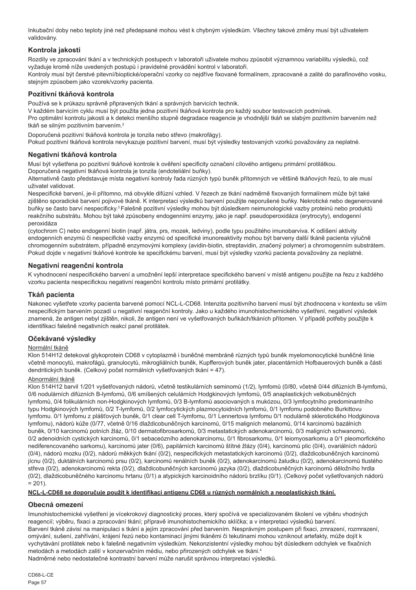Inkubační doby nebo teploty jiné než předepsané mohou vést k chybným výsledkům. Všechny takové změny musí být uživatelem validovány.

## **Kontrola jakosti**

Rozdíly ve zpracování tkání a v technických postupech v laboratoři uživatele mohou způsobit významnou variabilitu výsledků, což vyžaduje kromě níže uvedených postupů i pravidelné provádění kontrol v laboratoři.

Kontroly musí být čerstvé pitevní/bioptické/operační vzorky co nejdříve fixované formalínem, zpracované a zalité do parafínového vosku, stejným způsobem jako vzorek/vzorky pacienta.

#### **Pozitivní tkáňová kontrola**

Používá se k průkazu správně připravených tkání a správných barvicích technik.

V každém barvicím cyklu musí být použita jedna pozitivní tkáňová kontrola pro každý soubor testovacích podmínek. Pro optimální kontrolu jakosti a k detekci menšího stupně degradace reagencie je vhodnější tkáň se slabým pozitivním barvením než tkáň se silným pozitivním barvením.<sup>2</sup>

Doporučená pozitivní tkáňová kontrola je tonzila nebo střevo (makrofágy).

Pokud pozitivní tkáňová kontrola nevykazuje pozitivní barvení, musí být výsledky testovaných vzorků považovány za neplatné.

#### **Negativní tkáňová kontrola**

Musí být vyšetřena po pozitivní tkáňové kontrole k ověření specificity označení cílového antigenu primární protilátkou.

Doporučená negativní tkáňová kontrola je tonzila (endoteliální buňky).

Alternativně často představuje místa negativní kontroly řada různých typů buněk přítomných ve většině tkáňových řezů, to ale musí uživatel validovat.

Nespecifické barvení, je-li přítomno, má obvykle difúzní vzhled. V řezech ze tkání nadměrně fixovaných formalínem může být také zjištěno sporadické barvení pojivové tkáně. K interpretaci výsledků barvení použijte neporušené buňky. Nekrotické nebo degenerované buňky se často barví nespecificky.<sup>3</sup>Falešně pozitivní výsledky mohou být důsledkem neimunologické vazby proteinů nebo produktů reakčního substrátu. Mohou být také způsobeny endogenními enzymy, jako je např. pseudoperoxidáza (erytrocyty), endogenní peroxidáza

(cytochrom C) nebo endogenní biotin (např. játra, prs, mozek, ledviny), podle typu použitého imunobarviva. K odlišení aktivity endogenních enzymů či nespecifické vazby enzymů od specifické imunoreaktivity mohou být barveny další tkáně pacienta výlučně chromogenním substrátem, případně enzymovými komplexy (avidin-biotin, streptavidin, značený polymer) a chromogenním substrátem. Pokud dojde v negativní tkáňové kontrole ke specifickému barvení, musí být výsledky vzorků pacienta považovány za neplatné.

#### **Negativní reagenční kontrola**

K vyhodnocení nespecifického barvení a umožnění lepší interpretace specifického barvení v místě antigenu použijte na řezu z každého vzorku pacienta nespecifickou negativní reagenční kontrolu místo primární protilátky.

#### **Tkáň pacienta**

Nakonec vyšetřete vzorky pacienta barvené pomocí NCL-L-CD68. Intenzita pozitivního barvení musí být zhodnocena v kontextu se vším nespecifickým barvením pozadí u negativní reagenční kontroly. Jako u každého imunohistochemického vyšetření, negativní výsledek znamená, že antigen nebyl zjištěn, nikoli, že antigen není ve vyšetřovaných buňkách/tkáních přítomen. V případě potřeby použijte k identifikaci falešně negativních reakcí panel protilátek.

## **Očekávané výsledky**

#### Normální tkáně

Klon 514H12 detekoval glykoprotein CD68 v cytoplazmě i buněčné membráně různých typů buněk myelomonocytické buněčné linie včetně monocytů, makrofágů, granulocytů, mikrogliálních buněk, Kupfferových buněk jater, placentárních Hofbauerových buněk a části dendritických buněk. (Celkový počet normálních vyšetřovaných tkání = 47).

#### Abnormální tkáně

Klon 514H12 barvil 1/201 vyšetřovaných nádorů, včetně testikulárních seminomů (1/2), lymfomů (0/80, včetně 0/44 difúzních B-lymfomů, 0/6 nodulárních difúzních B-lymfomů, 0/6 smíšených celulárních Hodgkinových lymfomů, 0/5 anaplastických velkobuněčných lymfomů, 0/4 folikulárních non-Hodgkinových lymfomů, 0/3 B-lymfomů asociovaných s mukózou, 0/3 lymfocytního predominantního typu Hodgkinových lymfomů, 0/2 T-lymfomů, 0/2 lymfocytických plazmocytoidních lymfomů, 0/1 lymfomu podobného Burkittovu lymfomu. 0/1 lymfomu z plášťových buněk, 0/1 clear cell T-lymfomu, 0/1 Lennertova lymfomu 0/1 nodulárně sklerotického Hodgkinova lymfomu), nádorů kůže (0/77, včetně 0/16 dlaždicobuněčných karcinomů, 0/15 maligních melanomů, 0/14 karcinomů bazálních buněk, 0/10 karcinomů potních žláz, 0/10 dermatofibrosarkomů, 0/3 metastatických adenokarcinomů, 0/3 maligních schwanomů, 0/2 adenoidních cystických karcinomů, 0/1 sebaceózního adenokarcinomu, 0/1 fibrosarkomu, 0/1 leiomyosarkomu a 0/1 pleomorfického nediferencovaného sarkomu), karcinomů jater (0/6), papilárních karcinomů štítné žlázy (0/4), karcinomů plic (0/4), ovariálních nádorů (0/4), nádorů mozku (0/2), nádorů měkkých tkání (0/2), nespecifických metastatických karcinomů (0/2), dlaždicobuněčných karcinomů jícnu (0/2), duktálních karcinomů prsu (0/2), karcinomů renálních buněk (0/2), adenokarcinomů žaludku (0/2), adenokarcinomů tlustého střeva (0/2), adenokarcinomů rekta (0/2), dlaždicobuněčných karcinomů jazyka (0/2), dlaždicobuněčných karcinomů děložního hrdla (0/2), dlaždicobuněčného karcinomu hrtanu (0/1) a atypických karcinoidního nádorů brzlíku (0/1). (Celkový počet vyšetřovaných nádorů  $= 201$ .

#### **NCL-L-CD68 se doporučuje použít k identifikaci antigenu CD68 u různých normálních a neoplastických tkání.**

#### **Obecná omezení**

Imunohistochemické vyšetření je vícekrokový diagnostický proces, který spočívá ve specializovaném školení ve výběru vhodných reagencií; výběru, fixaci a zpracování tkání; přípravě imunohistochemickího sklíčka; a v interpretaci výsledků barvení. Barvení tkáně závisí na manipulaci s tkání a jejím zpracování před barvením. Nesprávným postupem při fixaci, zmrazení, rozmrazení, omývání, sušení, zahřívání, krájení řezů nebo kontaminací jinými tkáněmi či tekutinami mohou vzniknout artefakty, může dojít k vychytávání protilátek nebo k falešně negativním výsledkům. Nekonzistentní výsledky mohou být důsledkem odchylek ve fixačních metodách a metodách zalití v konzervačním médiu, nebo přirozených odchylek ve tkáni.<sup>4</sup>

Nadměrné nebo nedostatečné kontrastní barvení může narušit správnou interpretaci výsledků.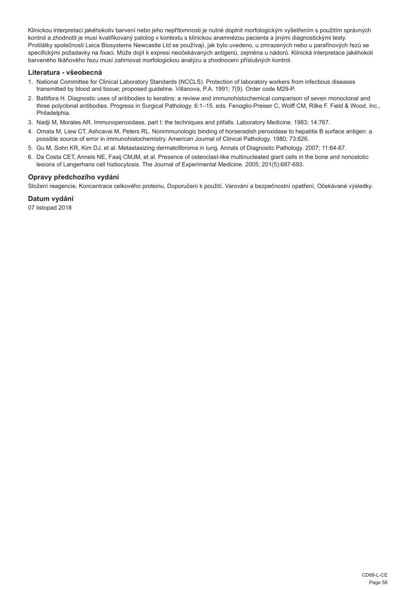Klinickou interpretaci jakéhokoliv barvení nebo jeho nepřítomnosti je nutné doplnit morfologickým vyšetřením s použitím správných kontrol a zhodnotit je musí kvalifikovaný patolog v kontextu s klinickou anamnézou pacienta a jinými diagnostickými testy. Protilátky společnosti Leica Biosystems Newcastle Ltd se používají, jak bylo uvedeno, u zmrazených nebo u parafínových řezů se specifickými požadavky na fixaci. Může dojít k expresi neočekávaných antigenů, zejména u nádorů. Klinická interpretace jakéhokoli barveného tkáňového řezu musí zahrnovat morfologickou analýzu a zhodnocení příslušných kontrol.

### **Literatura - všeobecná**

- 1. National Committee for Clinical Laboratory Standards (NCCLS). Protection of laboratory workers from infectious diseases transmitted by blood and tissue; proposed guideline. Villanova, P.A. 1991; 7(9). Order code M29-P.
- 2. Battifora H. Diagnostic uses of antibodies to keratins: a review and immunohistochemical comparison of seven monoclonal and three polyclonal antibodies. Progress in Surgical Pathology. 6:1–15. eds. Fenoglio-Preiser C, Wolff CM, Rilke F. Field & Wood, Inc., Philadelphia.
- 3. Nadji M, Morales AR. Immunoperoxidase, part I: the techniques and pitfalls. Laboratory Medicine. 1983; 14:767.
- 4. Omata M, Liew CT, Ashcavai M, Peters RL. Nonimmunologic binding of horseradish peroxidase to hepatitis B surface antigen: a possible source of error in immunohistochemistry. American Journal of Clinical Pathology. 1980; 73:626.
- 5. Gu M, Sohn KR, Kim DJ, et al. Metastasizing dermatofibroma in lung. Annals of Diagnostic Pathology. 2007; 11:64-67.
- 6. Da Costa CET, Annels NE, Faaij CMJM, et al. Presence of osteoclast-like multinucleated giant cells in the bone and nonostotic lesions of Langerhans cell histiocytosis. The Journal of Experimental Medicine. 2005; 201(5):687-693.

#### **Opravy předchozího vydání**

Složení reagencie, Koncentrace celkového proteinu, Doporučení k použití, Varování a bezpečnostní opatření, Očekávané výsledky.

## **Datum vydání**

07 listopad 2018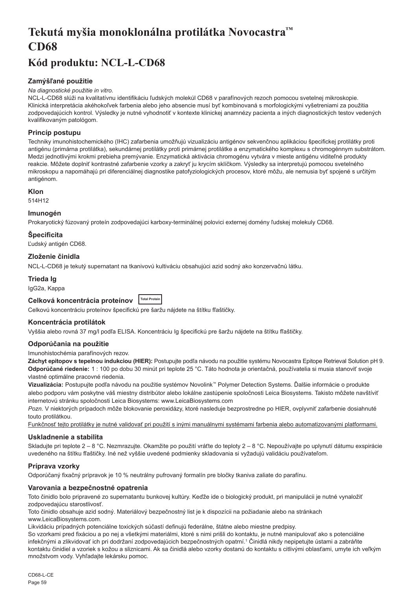## <span id="page-59-0"></span>**Tekutá myšia monoklonálna protilátka Novocastra™ CD68**

## **Kód produktu: NCL-L-CD68**

## **Zamýšľané použitie**

#### *Na diagnostické použitie in vitro.*

NCL-L-CD68 slúži na kvalitatívnu identifikáciu ľudských molekúl CD68 v parafínových rezoch pomocou svetelnej mikroskopie. Klinická interpretácia akéhokoľvek farbenia alebo jeho absencie musí byť kombinovaná s morfologickými vyšetreniami za použitia zodpovedajúcich kontrol. Výsledky je nutné vyhodnotiť v kontexte klinickej anamnézy pacienta a iných diagnostických testov vedených kvalifikovaným patológom.

## **Princíp postupu**

Techniky imunohistochemického (IHC) zafarbenia umožňujú vizualizáciu antigénov sekvenčnou aplikáciou špecifickej protilátky proti antigénu (primárna protilátka), sekundárnej protilátky proti primárnej protilátke a enzymatického komplexu s chromogénnym substrátom. Medzi jednotlivými krokmi prebieha premývanie. Enzymatická aktivácia chromogénu vytvára v mieste antigénu viditeľné produkty reakcie. Môžete doplniť kontrastné zafarbenie vzorky a zakryť ju krycím sklíčkom. Výsledky sa interpretujú pomocou svetelného mikroskopu a napomáhajú pri diferenciálnej diagnostike patofyziologických procesov, ktoré môžu, ale nemusia byť spojené s určitým antigénom.

#### **Klon**

514H12

#### **Imunogén**

Prokaryotický fúzovaný proteín zodpovedajúci karboxy-terminálnej polovici externej domény ľudskej molekuly CD68.

## **Špecificita**

Ľudský antigén CD68.

## **Zloženie činidla**

NCL-L-CD68 je tekutý supernatant na tkanivovú kultiváciu obsahujúci azid sodný ako konzervačnú látku.

#### **Trieda Ig**

IgG2a, Kappa

## **Celková koncentrácia proteínov Total Protein**

Celkovú koncentráciu proteínov špecifickú pre šaržu nájdete na štítku fľaštičky.

#### **Koncentrácia protilátok**

Vyššia alebo rovná 37 mg/l podľa ELISA. Koncentráciu Ig špecifickú pre šaržu nájdete na štítku fľaštičky.

#### **Odporúčania na použitie**

Imunohistochémia parafínových rezov.

**Záchyt epitopov s tepelnou indukciou (HIER):** Postupujte podľa návodu na použitie systému Novocastra Epitope Retrieval Solution pH 9. **Odporúčané riedenie:** 1 : 100 po dobu 30 minút pri teplote 25 °C. Táto hodnota je orientačná, používatelia si musia stanoviť svoje vlastné optimálne pracovné riedenia.

**Vizualizácia:** Postupujte podľa návodu na použitie systémov Novolink™ Polymer Detection Systems. Ďalšie informácie o produkte alebo podporu vám poskytne váš miestny distribútor alebo lokálne zastúpenie spoločnosti Leica Biosystems. Takisto môžete navštíviť internetovú stránku spoločnosti Leica Biosystems: www.LeicaBiosystems.com

*Pozn.* V niektorých prípadoch môže blokovanie peroxidázy, ktoré nasleduje bezprostredne po HIER, ovplyvniť zafarbenie dosiahnuté touto protilátkou.

Funkčnosť tejto protilátky je nutné validovať pri použití s inými manuálnymi systémami farbenia alebo automatizovanými platformami.

#### **Uskladnenie a stabilita**

Skladujte pri teplote 2 – 8 °C. Nezmrazujte. Okamžite po použití vráťte do teploty 2 – 8 °C. Nepoužívajte po uplynutí dátumu exspirácie uvedeného na štítku fľaštičky. Iné než vyššie uvedené podmienky skladovania si vyžadujú validáciu používateľom.

#### **Príprava vzorky**

Odporúčaný fixačný prípravok je 10 % neutrálny pufrovaný formalín pre bločky tkaniva zaliate do parafínu.

#### **Varovania a bezpečnostné opatrenia**

Toto činidlo bolo pripravené zo supernatantu bunkovej kultúry. Keďže ide o biologický produkt, pri manipulácii je nutné vynaložiť zodpovedajúcu starostlivosť.

Toto činidlo obsahuje azid sodný. Materiálový bezpečnostný list je k dispozícii na požiadanie alebo na stránkach www.LeicaBiosystems.com.

Likvidáciu prípadných potenciálne toxických súčastí definujú federálne, štátne alebo miestne predpisy.

So vzorkami pred fixáciou a po nej a všetkými materiálmi, ktoré s nimi prišli do kontaktu, je nutné manipulovať ako s potenciálne infekčnými a zlikvidovať ich pri dodržaní zodpovedajúcich bezpečnostných opatrní.<sup>1</sup> Činidlá nikdy nepipetujte ústami a zabráňte kontaktu činidiel a vzoriek s kožou a sliznicami. Ak sa činidlá alebo vzorky dostanú do kontaktu s citlivými oblasťami, umyte ich veľkým množstvom vody. Vyhľadajte lekársku pomoc.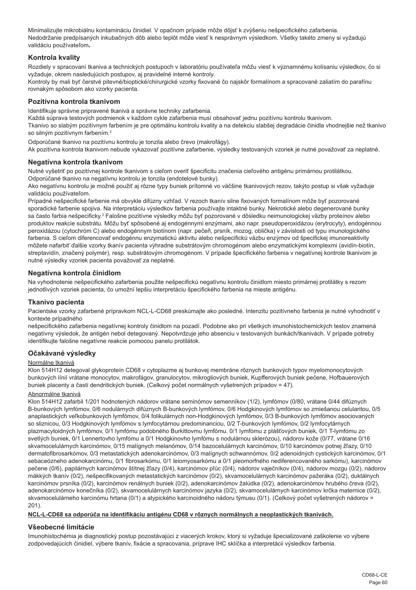Minimalizujte mikrobiálnu kontamináciu činidiel. V opačnom prípade môže dôjsť k zvýšeniu nešpecifického zafarbenia. Nedodržanie predpísaných inkubačných dôb alebo teplôt môže viesť k nesprávnym výsledkom. Všetky takéto zmeny si vyžadujú validáciu používateľom**.**

## **Kontrola kvality**

Rozdiely v spracovaní tkaniva a technických postupoch v laboratóriu používateľa môžu viesť k významnému kolísaniu výsledkov, čo si vyžaduje, okrem nasledujúcich postupov, aj pravidelné interné kontroly.

Kontroly by mali byť čerstvé pitevné/bioptické/chirurgické vzorky fixované čo najskôr formalínom a spracované zaliatím do parafínu rovnakým spôsobom ako vzorky pacienta.

#### **Pozitívna kontrola tkanivom**

Identifikuje správne pripravené tkanivá a správne techniky zafarbenia.

Každá súprava testových podmienok v každom cykle zafarbenia musí obsahovať jednu pozitívnu kontrolu tkanivom.

Tkanivo so slabým pozitívnym farbením je pre optimálnu kontrolu kvality a na detekciu slabšej degradácie činidla vhodnejšie než tkanivo so silným pozitívnym farbením.<sup>2</sup>

Odporúčané tkanivo na pozitívnu kontrolu je tonzila alebo črevo (makrofágy).

Ak pozitívna kontrola tkanivom nebude vykazovať pozitívne zafarbenie, výsledky testovaných vzoriek je nutné považovať za neplatné.

#### **Negatívna kontrola tkanivom**

Nutné vyšetriť po pozitívnej kontrole tkanivom s cieľom overiť špecificitu značenia cieľového antigénu primárnou protilátkou. Odporúčané tkanivo na negatívnu kontrolu je tonzila (endotelové bunky).

Ako negatívnu kontrolu je možné použiť aj rôzne typy buniek prítomné vo väčšine tkanivových rezov, takýto postup si však vyžaduje validáciu používateľom.

Prípadné nešpecifické farbenie má obvykle difúzny vzhľad. V rezoch tkanív silne fixovaných formalínom môže byť pozorované sporadické farbenie spojiva. Na interpretáciu výsledkov farbenia používajte intaktné bunky. Nekrotické alebo degenerované bunky sa často farbia nešpecificky.<sup>3</sup> Falošne pozitívne výsledky môžu byť pozorované v dôsledku neimunologickej väzby proteínov alebo produktov reakcie substrátu. Môžu byť spôsobené aj endogénnymi enzýmami, ako napr. pseudoperoxidázou (erytrocyty), endogénnou peroxidázou (cytochróm C) alebo endogénnym biotínom (napr. pečeň, prsník, mozog, oblička) v závislosti od typu imunologického farbenia. S cieľom diferencovať endogénnu enzymatickú aktivitu alebo nešpecifickú väzbu enzýmov od špecifickej imunoreaktivity môžete nafarbiť ďalšie vzorky tkanív pacienta výhradne substrátovým chromogénom alebo enzymatickými komplexmi (avidín-biotín, streptavidín, značený polymér), resp. substrátovým chromogénom. V prípade špecifického farbenia v negatívnej kontrole tkanivom je nutné výsledky vzoriek pacienta považovať za neplatné.

## **Negatívna kontrola činidlom**

Na vyhodnotenie nešpecifického zafarbenia použite nešpecifickú negatívnu kontrolu činidlom miesto primárnej protilátky s rezom jednotlivých vzoriek pacienta, čo umožní lepšiu interpretáciu špecifického farbenia na mieste antigénu.

#### **Tkanivo pacienta**

Pacientske vzorky zafarbené prípravkom NCL-L-CD68 preskúmajte ako posledné. Intenzitu pozitívneho farbenia je nutné vyhodnotiť v kontexte prípadného

nešpecifického zafarbenia negatívnej kontroly činidlom na pozadí. Podobne ako pri všetkých imunohistochemických testov znamená negatívny výsledok, že antigén nebol detegovaný. Nepotvrdzuje jeho absenciu v testovaných bunkách/tkanivách. V prípade potreby identifikujte falošne negatívne reakcie pomocou panelu protilátok.

#### **Očakávané výsledky**

#### Normálne tkanivá

Klon 514H12 detegoval glykoproteín CD68 v cytoplazme aj bunkovej membráne rôznych bunkových typov myelomonocytových bunkových línií vrátane monocytov, makrofágov, granulocytov, mikrogliových buniek, Kupfferových buniek pečene, Hofbauerových buniek placenty a časti dendritických buniek. (Celkový počet normálnych vyšetrených prípadov = 47).

#### Abnormálne tkanivá

Klon 514H12 zafarbil 1/201 hodnotených nádorov vrátane seminómov semenníkov (1/2), lymfómov (0/80, vrátane 0/44 difúznych B-bunkových lymfómov, 0/6 nodulárnych difúznych B-bunkových lymfómov, 0/6 Hodgkinových lymfómov so zmiešanou celularitou, 0/5 anaplastických veľkobunkových lymfómov, 0/4 folikulárnych non-Hodgkinových lymfómov, 0/3 B-bunkových lymfómov asociovaných so sliznicou, 0/3 Hodgkinových lymfómov s lymfocytárnou predominanciou, 0/2 T-bunkových lymfómov, 0/2 lymfocytárnych plazmacytoidných lymfómov, 0/1 lymfómu podobného Burkittovmu lymfómu. 0/1 lymfómu z plášťových buniek, 0/1 T-lymfómu zo svetlých buniek, 0/1 Lennertovho lymfómu a 0/1 Hodgkinovho lymfómu s nodulárnou sklerózou), nádorov kože (0/77, vrátane 0/16 skvamocelulárnych karcinómov, 0/15 malígnych melanómov, 0/14 bazocelulárnych karcinómov, 0/10 karcinómov potnej žľazy, 0/10 dermatofibrosarkómov, 0/3 metastatických adenokarcinómov, 0/3 malígnych schwannómov, 0/2 adenoidných cystických karcinómov, 0/1 sebaceózneho adenokarcinómu, 0/1 fibrosarkómu, 0/1 leiomyosarkómu a 0/1 pleomorfného nediferencovaného sarkómu), karcinómov pečene (0/6), papilárnych karcinómov štítnej žľazy (0/4), karcinómov pľúc (0/4), nádorov vaječníkov (0/4), nádorov mozgu (0/2), nádorov mäkkých tkanív (0/2), nešpecifikovaných metastatických karcinómov (0/2), skvamocelulárnych karcinómov pažeráka (0/2), duktálnych karcinómov prsníka (0/2), karcinómov renálnych buniek (0/2), adenokarcinómov žalúdka (0/2), adenokarcinómov hrubého čreva (0/2), adenokarcinómov konečníka (0/2), skvamocelulárnych karcinómov jazyka (0/2), skvamocelulárnych karcinómov krčka maternice (0/2), skvamocelulárneho karcinómu hrtana (0/1) a atypického karcinoidného nádoru týmusu (0/1). (Celkový počet vyšetrených nádorov = 201).

#### **NCL-L-CD68 sa odporúča na identifikáciu antigénu CD68 v rôznych normálnych a neoplastických tkanivách.**

#### **Všeobecné limitácie**

Imunohistochémia je diagnostický postup pozostávajúci z viacerých krokov, ktorý si vyžaduje špecializované zaškolenie vo výbere zodpovedajúcich činidiel, výbere tkanív, fixácie a spracovania, príprave IHC sklíčka a interpretácii výsledkov farbenia.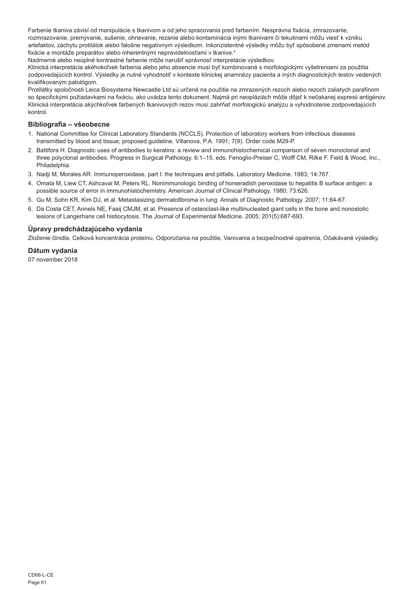Farbenie tkaniva závisí od manipulácie s tkanivom a od jeho spracovania pred farbením. Nesprávna fixácia, zmrazovanie, rozmrazovanie, premývanie, sušenie, ohrievanie, rezanie alebo kontaminácia inými tkanivami či tekutinami môžu viesť k vzniku artefaktov, záchytu protilátok alebo falošne negatívnym výsledkom. Inkonzistentné výsledky môžu byť spôsobené zmenami metód fixácie a montáže preparátov alebo inherentnými nepravidelnosťami v tkanive.<sup>4</sup>

Nadmerné alebo neúplné kontrastné farbenie môže narušiť správnosť interpretácie výsledkov.

Klinická interpretácia akéhokoľvek farbenia alebo jeho absencie musí byť kombinovaná s morfologickými vyšetreniami za použitia zodpovedajúcich kontrol. Výsledky je nutné vyhodnotiť v kontexte klinickej anamnézy pacienta a iných diagnostických testov vedených kvalifikovaným patológom.

Protilátky spoločnosti Leica Biosystems Newcastle Ltd sú určené na použitie na zmrazených rezoch alebo rezoch zaliatych parafínom so špecifickými požiadavkami na fixáciu, ako uvádza tento dokument. Najmä pri neopláziách môže dôjsť k nečakanej expresii antigénov. Klinická interpretácia akýchkoľvek farbených tkanivových rezov musí zahŕňať morfologickú analýzu a vyhodnotenie zodpovedajúcich kontrol.

#### **Bibliografia – všeobecne**

- 1. National Committee for Clinical Laboratory Standards (NCCLS). Protection of laboratory workers from infectious diseases transmitted by blood and tissue; proposed guideline. Villanova, P.A. 1991; 7(9). Order code M29-P.
- 2. Battifora H. Diagnostic uses of antibodies to keratins: a review and immunohistochemical comparison of seven monoclonal and three polyclonal antibodies. Progress in Surgical Pathology. 6:1–15. eds. Fenoglio-Preiser C, Wolff CM, Rilke F. Field & Wood, Inc., Philadelphia.
- 3. Nadji M, Morales AR. Immunoperoxidase, part I: the techniques and pitfalls. Laboratory Medicine. 1983; 14:767.
- 4. Omata M, Liew CT, Ashcavai M, Peters RL. Nonimmunologic binding of horseradish peroxidase to hepatitis B surface antigen: a possible source of error in immunohistochemistry. American Journal of Clinical Pathology. 1980; 73:626.
- 5. Gu M, Sohn KR, Kim DJ, et al. Metastasizing dermatofibroma in lung. Annals of Diagnostic Pathology. 2007; 11:64-67.
- 6. Da Costa CET, Annels NE, Faaij CMJM, et al. Presence of osteoclast-like multinucleated giant cells in the bone and nonostotic lesions of Langerhans cell histiocytosis. The Journal of Experimental Medicine. 2005; 201(5):687-693.

## **Úpravy predchádzajúceho vydania**

Zloženie činidla, Celková koncentrácia proteínu, Odporúčania na použitie, Varovania a bezpečnostné opatrenia, Očakávané výsledky.

## **Dátum vydania**

07 november 2018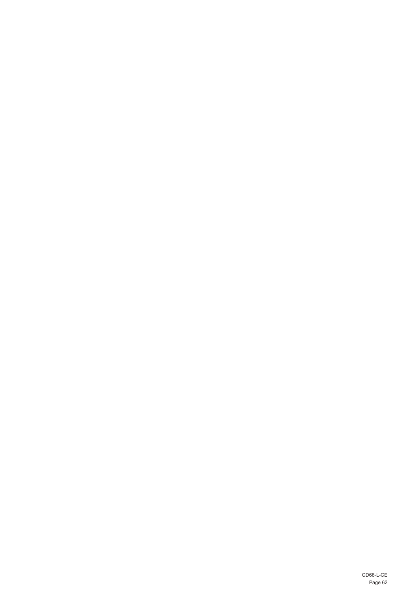CD68-L-CE Page 62